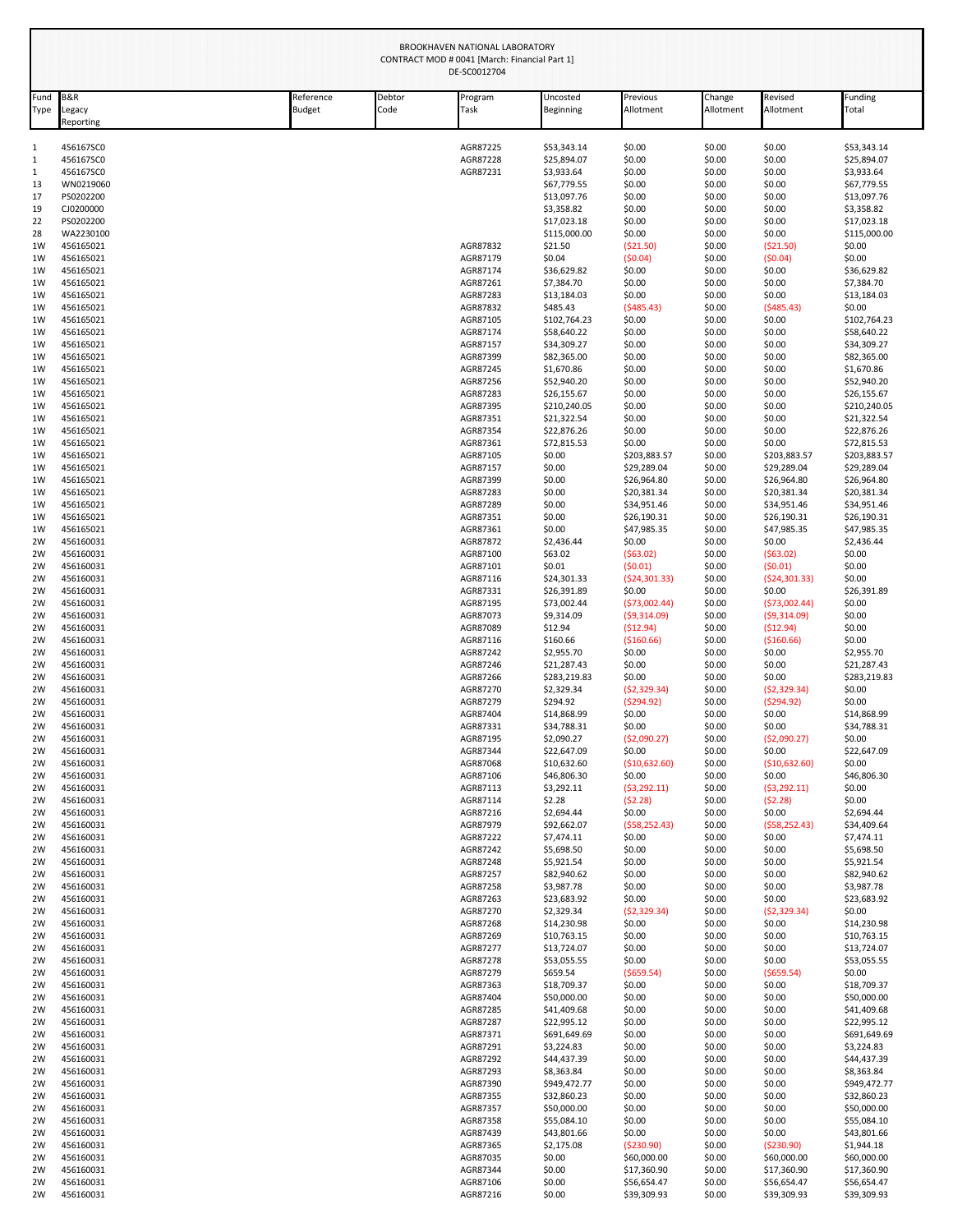|              | BROOKHAVEN NATIONAL LABORATORY<br>CONTRACT MOD # 0041 [March: Financial Part 1]<br>DE-SC0012704 |                     |                |                      |                            |                            |                     |                            |                            |  |  |  |
|--------------|-------------------------------------------------------------------------------------------------|---------------------|----------------|----------------------|----------------------------|----------------------------|---------------------|----------------------------|----------------------------|--|--|--|
| Fund<br>Type | <b>B&amp;R</b><br>Legacy<br>Reporting                                                           | Reference<br>Budget | Debtor<br>Code | Program<br>Task      | Uncosted<br>Beginning      | Previous<br>Allotment      | Change<br>Allotment | Revised<br>Allotment       | Funding<br>Total           |  |  |  |
| 1            | 456167SC0                                                                                       |                     |                | AGR87225             | \$53,343.14                | \$0.00                     | \$0.00              | \$0.00                     | \$53,343.14                |  |  |  |
| 1            | 456167SC0                                                                                       |                     |                | AGR87228             | \$25,894.07                | \$0.00                     | \$0.00              | \$0.00                     | \$25,894.07                |  |  |  |
| 1<br>13      | 456167SC0<br>WN0219060                                                                          |                     |                | AGR87231             | \$3,933.64<br>\$67,779.55  | \$0.00<br>\$0.00           | \$0.00<br>\$0.00    | \$0.00<br>\$0.00           | \$3,933.64<br>\$67,779.55  |  |  |  |
| 17           | PS0202200                                                                                       |                     |                |                      | \$13,097.76                | \$0.00                     | \$0.00              | \$0.00                     | \$13,097.76                |  |  |  |
| 19           | CJ0200000                                                                                       |                     |                |                      | \$3,358.82                 | \$0.00                     | \$0.00              | \$0.00                     | \$3,358.82                 |  |  |  |
| 22           | PS0202200                                                                                       |                     |                |                      | \$17,023.18                | \$0.00                     | \$0.00              | \$0.00                     | \$17,023.18                |  |  |  |
| 28           | WA2230100                                                                                       |                     |                |                      | \$115,000.00               | \$0.00                     | \$0.00              | \$0.00                     | \$115,000.00               |  |  |  |
| 1W           | 456165021                                                                                       |                     |                | AGR87832             | \$21.50                    | ( \$21.50)                 | \$0.00              | ( \$21.50)                 | \$0.00                     |  |  |  |
| 1W<br>1W     | 456165021                                                                                       |                     |                | AGR87179<br>AGR87174 | \$0.04                     | (50.04)                    | \$0.00<br>\$0.00    | (50.04)                    | \$0.00                     |  |  |  |
| 1W           | 456165021<br>456165021                                                                          |                     |                | AGR87261             | \$36,629.82<br>\$7,384.70  | \$0.00<br>\$0.00           | \$0.00              | \$0.00<br>\$0.00           | \$36,629.82<br>\$7,384.70  |  |  |  |
| 1W           | 456165021                                                                                       |                     |                | AGR87283             | \$13,184.03                | \$0.00                     | \$0.00              | \$0.00                     | \$13,184.03                |  |  |  |
| 1W           | 456165021                                                                                       |                     |                | AGR87832             | \$485.43                   | (5485.43)                  | \$0.00              | (5485.43)                  | \$0.00                     |  |  |  |
| 1W           | 456165021                                                                                       |                     |                | AGR87105             | \$102,764.23               | \$0.00                     | \$0.00              | \$0.00                     | \$102,764.23               |  |  |  |
| 1W           | 456165021                                                                                       |                     |                | AGR87174             | \$58,640.22                | \$0.00                     | \$0.00              | \$0.00                     | \$58,640.22                |  |  |  |
| 1W<br>1W     | 456165021<br>456165021                                                                          |                     |                | AGR87157<br>AGR87399 | \$34,309.27<br>\$82,365.00 | \$0.00<br>\$0.00           | \$0.00<br>\$0.00    | \$0.00<br>\$0.00           | \$34,309.27<br>\$82,365.00 |  |  |  |
| 1W           | 456165021                                                                                       |                     |                | AGR87245             | \$1,670.86                 | \$0.00                     | \$0.00              | \$0.00                     | \$1,670.86                 |  |  |  |
| 1W           | 456165021                                                                                       |                     |                | AGR87256             | \$52,940.20                | \$0.00                     | \$0.00              | \$0.00                     | \$52,940.20                |  |  |  |
| 1W           | 456165021                                                                                       |                     |                | AGR87283             | \$26,155.67                | \$0.00                     | \$0.00              | \$0.00                     | \$26,155.67                |  |  |  |
| 1W           | 456165021                                                                                       |                     |                | AGR87395             | \$210,240.05               | \$0.00                     | \$0.00              | \$0.00                     | \$210,240.05               |  |  |  |
| 1W<br>1W     | 456165021<br>456165021                                                                          |                     |                | AGR87351<br>AGR87354 | \$21,322.54<br>\$22,876.26 | \$0.00<br>\$0.00           | \$0.00<br>\$0.00    | \$0.00<br>\$0.00           | \$21,322.54<br>\$22,876.26 |  |  |  |
| 1W           | 456165021                                                                                       |                     |                | AGR87361             | \$72,815.53                | \$0.00                     | \$0.00              | \$0.00                     | \$72,815.53                |  |  |  |
| 1W           | 456165021                                                                                       |                     |                | AGR87105             | \$0.00                     | \$203,883.57               | \$0.00              | \$203,883.57               | \$203,883.57               |  |  |  |
| 1W           | 456165021                                                                                       |                     |                | AGR87157             | \$0.00                     | \$29,289.04                | \$0.00              | \$29,289.04                | \$29,289.04                |  |  |  |
| 1W           | 456165021                                                                                       |                     |                | AGR87399             | \$0.00                     | \$26,964.80                | \$0.00              | \$26,964.80                | \$26,964.80                |  |  |  |
| 1W           | 456165021                                                                                       |                     |                | AGR87283             | \$0.00                     | \$20,381.34                | \$0.00              | \$20,381.34                | \$20,381.34                |  |  |  |
| 1W<br>1W     | 456165021<br>456165021                                                                          |                     |                | AGR87289<br>AGR87351 | \$0.00<br>\$0.00           | \$34,951.46<br>\$26,190.31 | \$0.00<br>\$0.00    | \$34,951.46<br>\$26,190.31 | \$34,951.46<br>\$26,190.31 |  |  |  |
| 1W           | 456165021                                                                                       |                     |                | AGR87361             | \$0.00                     | \$47,985.35                | \$0.00              | \$47,985.35                | \$47,985.35                |  |  |  |
| 2W           | 456160031                                                                                       |                     |                | AGR87872             | \$2,436.44                 | \$0.00                     | \$0.00              | \$0.00                     | \$2,436.44                 |  |  |  |
| 2W           | 456160031                                                                                       |                     |                | AGR87100             | \$63.02                    | (563.02)                   | \$0.00              | (563.02)                   | \$0.00                     |  |  |  |
| 2W           | 456160031                                                                                       |                     |                | AGR87101             | \$0.01                     | (50.01)                    | \$0.00              | (50.01)                    | \$0.00                     |  |  |  |
| 2W           | 456160031                                                                                       |                     |                | AGR87116             | \$24,301.33                | (524, 301.33)              | \$0.00              | (524, 301.33)              | \$0.00                     |  |  |  |
| 2W<br>2W     | 456160031<br>456160031                                                                          |                     |                | AGR87331<br>AGR87195 | \$26,391.89<br>\$73,002.44 | \$0.00<br>(573,002.44)     | \$0.00<br>\$0.00    | \$0.00<br>(573,002.44)     | \$26,391.89<br>\$0.00      |  |  |  |
| 2W           | 456160031                                                                                       |                     |                | AGR87073             | \$9,314.09                 | (59,314.09)                | \$0.00              | (59,314.09)                | \$0.00                     |  |  |  |
| 2W           | 456160031                                                                                       |                     |                | AGR87089             | \$12.94                    | (512.94)                   | \$0.00              | (512.94)                   | \$0.00                     |  |  |  |
| 2W           | 456160031                                                                                       |                     |                | AGR87116             | \$160.66                   | ( \$160.66)                | \$0.00              | ( \$160.66)                | \$0.00                     |  |  |  |
| 2W           | 456160031                                                                                       |                     |                | AGR87242             | \$2,955.70                 | \$0.00                     | \$0.00              | \$0.00                     | \$2,955.70                 |  |  |  |
| 2W           | 456160031                                                                                       |                     |                | AGR87246             | \$21,287.43                | \$0.00                     | \$0.00              | \$0.00                     | \$21,287.43                |  |  |  |
| 2W<br>2W     | 456160031<br>456160031                                                                          |                     |                | AGR87266<br>AGR87270 | \$283,219.83<br>\$2,329.34 | \$0.00<br>(52, 329.34)     | \$0.00<br>\$0.00    | \$0.00<br>(52, 329.34)     | \$283,219.83<br>\$0.00     |  |  |  |
| 2W           | 456160031                                                                                       |                     |                | AGR87279             | \$294.92                   | (5294.92)                  | \$0.00              | (5294.92)                  | \$0.00                     |  |  |  |
| 2W           | 456160031                                                                                       |                     |                | AGR87404             | \$14,868.99                | \$0.00                     | \$0.00              | \$0.00                     | \$14,868.99                |  |  |  |
| 2W           | 456160031                                                                                       |                     |                | AGR87331             | \$34,788.31                | \$0.00                     | \$0.00              | \$0.00                     | \$34,788.31                |  |  |  |
| 2W           | 456160031                                                                                       |                     |                | AGR87195             | \$2,090.27                 | (52,090.27)                | \$0.00              | (52,090.27)                | \$0.00                     |  |  |  |
| 2W<br>2W     | 456160031                                                                                       |                     |                | AGR87344             | \$22,647.09                | \$0.00                     | \$0.00              | \$0.00                     | \$22,647.09                |  |  |  |
| 2W           | 456160031<br>456160031                                                                          |                     |                | AGR87068<br>AGR87106 | \$10,632.60<br>\$46,806.30 | ( \$10,632.60)<br>\$0.00   | \$0.00<br>\$0.00    | (\$10,632.60)<br>\$0.00    | \$0.00<br>\$46,806.30      |  |  |  |
| 2W           | 456160031                                                                                       |                     |                | AGR87113             | \$3,292.11                 | (53, 292.11)               | \$0.00              | (53, 292.11)               | \$0.00                     |  |  |  |
| 2W           | 456160031                                                                                       |                     |                | AGR87114             | \$2.28                     | (52.28)                    | \$0.00              | (52.28)                    | \$0.00                     |  |  |  |
| 2W           | 456160031                                                                                       |                     |                | AGR87216             | \$2,694.44                 | \$0.00                     | \$0.00              | \$0.00                     | \$2,694.44                 |  |  |  |
| 2W           | 456160031                                                                                       |                     |                | AGR87979             | \$92,662.07                | (558, 252.43)              | \$0.00              | (558, 252.43)              | \$34,409.64                |  |  |  |
| 2W<br>2W     | 456160031<br>456160031                                                                          |                     |                | AGR87222<br>AGR87242 | \$7,474.11<br>\$5,698.50   | \$0.00<br>\$0.00           | \$0.00<br>\$0.00    | \$0.00<br>\$0.00           | \$7,474.11<br>\$5,698.50   |  |  |  |
| 2W           | 456160031                                                                                       |                     |                | AGR87248             | \$5,921.54                 | \$0.00                     | \$0.00              | \$0.00                     | \$5,921.54                 |  |  |  |
| 2W           | 456160031                                                                                       |                     |                | AGR87257             | \$82,940.62                | \$0.00                     | \$0.00              | \$0.00                     | \$82,940.62                |  |  |  |
| 2W           | 456160031                                                                                       |                     |                | AGR87258             | \$3,987.78                 | \$0.00                     | \$0.00              | \$0.00                     | \$3,987.78                 |  |  |  |
| 2W<br>2W     | 456160031<br>456160031                                                                          |                     |                | AGR87263<br>AGR87270 | \$23,683.92<br>\$2,329.34  | \$0.00<br>(52, 329.34)     | \$0.00<br>\$0.00    | \$0.00<br>(52, 329.34)     | \$23,683.92<br>\$0.00      |  |  |  |
| 2W           | 456160031                                                                                       |                     |                | AGR87268             | \$14,230.98                | \$0.00                     | \$0.00              | \$0.00                     | \$14,230.98                |  |  |  |
| 2W           | 456160031                                                                                       |                     |                | AGR87269             | \$10,763.15                | \$0.00                     | \$0.00              | \$0.00                     | \$10,763.15                |  |  |  |
| 2W           | 456160031                                                                                       |                     |                | AGR87277             | \$13,724.07                | \$0.00                     | \$0.00              | \$0.00                     | \$13,724.07                |  |  |  |
| 2W           | 456160031                                                                                       |                     |                | AGR87278             | \$53,055.55                | \$0.00                     | \$0.00              | \$0.00                     | \$53,055.55                |  |  |  |
| 2W           | 456160031                                                                                       |                     |                | AGR87279             | \$659.54                   | ( \$659.54)                | \$0.00              | ( \$659.54)                | \$0.00                     |  |  |  |
| 2W<br>2W     | 456160031<br>456160031                                                                          |                     |                | AGR87363<br>AGR87404 | \$18,709.37<br>\$50,000.00 | \$0.00<br>\$0.00           | \$0.00<br>\$0.00    | \$0.00<br>\$0.00           | \$18,709.37<br>\$50,000.00 |  |  |  |
| 2W           | 456160031                                                                                       |                     |                | AGR87285             | \$41,409.68                | \$0.00                     | \$0.00              | \$0.00                     | \$41,409.68                |  |  |  |
| 2W           | 456160031                                                                                       |                     |                | AGR87287             | \$22,995.12                | \$0.00                     | \$0.00              | \$0.00                     | \$22,995.12                |  |  |  |
| 2W           | 456160031                                                                                       |                     |                | AGR87371             | \$691,649.69               | \$0.00                     | \$0.00              | \$0.00                     | \$691,649.69               |  |  |  |
| 2W           | 456160031                                                                                       |                     |                | AGR87291             | \$3,224.83                 | \$0.00                     | \$0.00              | \$0.00                     | \$3,224.83                 |  |  |  |
| 2W           | 456160031                                                                                       |                     |                | AGR87292             | \$44,437.39                | \$0.00                     | \$0.00              | \$0.00                     | \$44,437.39                |  |  |  |
| 2W<br>2W     | 456160031<br>456160031                                                                          |                     |                | AGR87293<br>AGR87390 | \$8,363.84<br>\$949,472.77 | \$0.00<br>\$0.00           | \$0.00<br>\$0.00    | \$0.00<br>\$0.00           | \$8,363.84<br>\$949,472.77 |  |  |  |
| 2W           | 456160031                                                                                       |                     |                | AGR87355             | \$32,860.23                | \$0.00                     | \$0.00              | \$0.00                     | \$32,860.23                |  |  |  |
| 2W           | 456160031                                                                                       |                     |                | AGR87357             | \$50,000.00                | \$0.00                     | \$0.00              | \$0.00                     | \$50,000.00                |  |  |  |
| 2W           | 456160031                                                                                       |                     |                | AGR87358             | \$55,084.10                | \$0.00                     | \$0.00              | \$0.00                     | \$55,084.10                |  |  |  |
| 2W           | 456160031                                                                                       |                     |                | AGR87439             | \$43,801.66                | \$0.00                     | \$0.00              | \$0.00                     | \$43,801.66                |  |  |  |
| 2W           | 456160031                                                                                       |                     |                | AGR87365             | \$2,175.08                 | ( \$230.90)                | \$0.00              | ( \$230.90)                | \$1,944.18                 |  |  |  |
| 2W           | 456160031                                                                                       |                     |                | AGR87035             | \$0.00                     | \$60,000.00                | \$0.00              | \$60,000.00                | \$60,000.00                |  |  |  |
| 2W<br>2W     | 456160031<br>456160031                                                                          |                     |                | AGR87344<br>AGR87106 | \$0.00<br>\$0.00           | \$17,360.90<br>\$56,654.47 | \$0.00<br>\$0.00    | \$17,360.90<br>\$56,654.47 | \$17,360.90<br>\$56,654.47 |  |  |  |
| 2W           | 456160031                                                                                       |                     |                | AGR87216             | \$0.00                     | \$39,309.93                | \$0.00              | \$39,309.93                | \$39,309.93                |  |  |  |
|              |                                                                                                 |                     |                |                      |                            |                            |                     |                            |                            |  |  |  |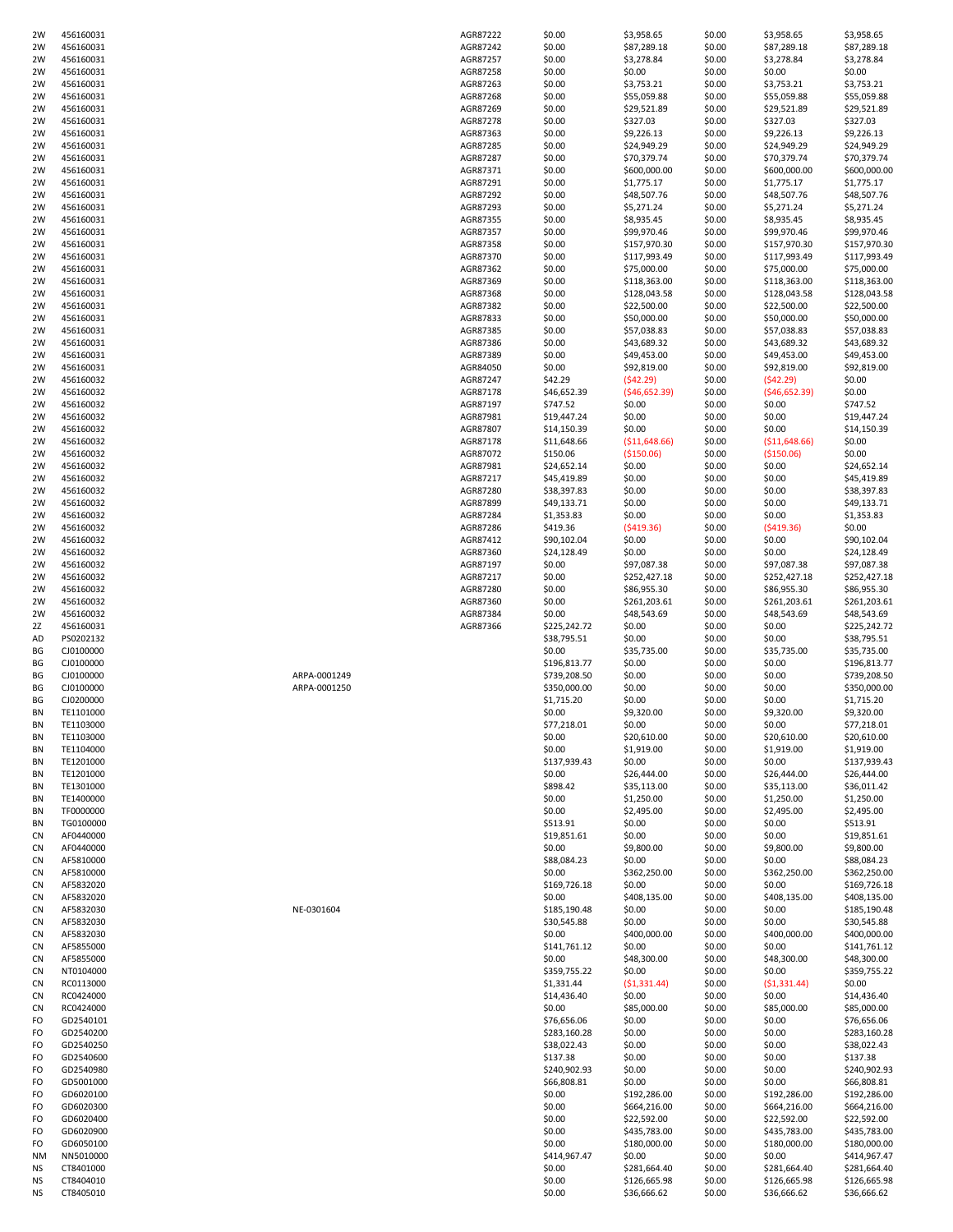| 2W        | 456160031 |              | AGR87222 | \$0.00       | \$3,958.65     | \$0.00 | \$3,958.65     | \$3,958.65   |
|-----------|-----------|--------------|----------|--------------|----------------|--------|----------------|--------------|
| 2W        | 456160031 |              | AGR87242 | \$0.00       | \$87,289.18    | \$0.00 | \$87,289.18    | \$87,289.18  |
| 2W        | 456160031 |              | AGR87257 | \$0.00       | \$3,278.84     | \$0.00 | \$3,278.84     | \$3,278.84   |
| 2W        | 456160031 |              | AGR87258 | \$0.00       | \$0.00         | \$0.00 | \$0.00         | \$0.00       |
| 2W        | 456160031 |              | AGR87263 | \$0.00       | \$3,753.21     | \$0.00 | \$3,753.21     | \$3,753.21   |
| 2W        | 456160031 |              | AGR87268 | \$0.00       | \$55,059.88    | \$0.00 | \$55,059.88    | \$55,059.88  |
|           |           |              |          |              |                |        |                |              |
| 2W        | 456160031 |              | AGR87269 | \$0.00       | \$29,521.89    | \$0.00 | \$29,521.89    | \$29,521.89  |
| 2W        | 456160031 |              | AGR87278 | \$0.00       | \$327.03       | \$0.00 | \$327.03       | \$327.03     |
| 2W        | 456160031 |              | AGR87363 | \$0.00       | \$9,226.13     | \$0.00 | \$9,226.13     | \$9,226.13   |
| 2W        | 456160031 |              | AGR87285 | \$0.00       | \$24,949.29    | \$0.00 | \$24,949.29    | \$24,949.29  |
| 2W        | 456160031 |              | AGR87287 | \$0.00       | \$70,379.74    | \$0.00 | \$70,379.74    | \$70,379.74  |
| 2W        | 456160031 |              | AGR87371 | \$0.00       | \$600,000.00   | \$0.00 | \$600,000.00   | \$600,000.00 |
| 2W        | 456160031 |              | AGR87291 | \$0.00       | \$1,775.17     | \$0.00 | \$1,775.17     | \$1,775.17   |
| 2W        | 456160031 |              | AGR87292 | \$0.00       | \$48,507.76    | \$0.00 | \$48,507.76    | \$48,507.76  |
| 2W        | 456160031 |              | AGR87293 | \$0.00       | \$5,271.24     | \$0.00 | \$5,271.24     | \$5,271.24   |
| 2W        | 456160031 |              | AGR87355 | \$0.00       | \$8,935.45     | \$0.00 | \$8,935.45     | \$8,935.45   |
| 2W        | 456160031 |              | AGR87357 | \$0.00       | \$99,970.46    | \$0.00 | \$99,970.46    | \$99,970.46  |
| 2W        | 456160031 |              | AGR87358 | \$0.00       | \$157,970.30   | \$0.00 | \$157,970.30   | \$157,970.30 |
| 2W        | 456160031 |              | AGR87370 | \$0.00       | \$117,993.49   | \$0.00 | \$117,993.49   | \$117,993.49 |
| 2W        | 456160031 |              | AGR87362 | \$0.00       | \$75,000.00    | \$0.00 | \$75,000.00    | \$75,000.00  |
| 2W        | 456160031 |              | AGR87369 | \$0.00       |                | \$0.00 |                | \$118,363.00 |
|           |           |              |          |              | \$118,363.00   |        | \$118,363.00   |              |
| 2W        | 456160031 |              | AGR87368 | \$0.00       | \$128,043.58   | \$0.00 | \$128,043.58   | \$128,043.58 |
| 2W        | 456160031 |              | AGR87382 | \$0.00       | \$22,500.00    | \$0.00 | \$22,500.00    | \$22,500.00  |
| 2W        | 456160031 |              | AGR87833 | \$0.00       | \$50,000.00    | \$0.00 | \$50,000.00    | \$50,000.00  |
| 2W        | 456160031 |              | AGR87385 | \$0.00       | \$57,038.83    | \$0.00 | \$57,038.83    | \$57,038.83  |
| 2W        | 456160031 |              | AGR87386 | \$0.00       | \$43,689.32    | \$0.00 | \$43,689.32    | \$43,689.32  |
| 2W        | 456160031 |              | AGR87389 | \$0.00       | \$49,453.00    | \$0.00 | \$49,453.00    | \$49,453.00  |
| 2W        | 456160031 |              | AGR84050 | \$0.00       | \$92,819.00    | \$0.00 | \$92,819.00    | \$92,819.00  |
| 2W        | 456160032 |              | AGR87247 | \$42.29      | (542.29)       | \$0.00 | (542.29)       | \$0.00       |
| 2W        | 456160032 |              | AGR87178 | \$46,652.39  | (546, 652.39)  | \$0.00 | (546, 652.39)  | \$0.00       |
| 2W        | 456160032 |              | AGR87197 | \$747.52     | \$0.00         | \$0.00 | \$0.00         | \$747.52     |
| 2W        | 456160032 |              | AGR87981 | \$19,447.24  | \$0.00         | \$0.00 | \$0.00         | \$19,447.24  |
|           |           |              |          |              |                |        |                | \$14,150.39  |
| 2W        | 456160032 |              | AGR87807 | \$14,150.39  | \$0.00         | \$0.00 | \$0.00         |              |
| 2W        | 456160032 |              | AGR87178 | \$11,648.66  | ( \$11,648.66) | \$0.00 | ( \$11,648.66) | \$0.00       |
| 2W        | 456160032 |              | AGR87072 | \$150.06     | ( \$150.06)    | \$0.00 | ( \$150.06)    | \$0.00       |
| 2W        | 456160032 |              | AGR87981 | \$24,652.14  | \$0.00         | \$0.00 | \$0.00         | \$24,652.14  |
| 2W        | 456160032 |              | AGR87217 | \$45,419.89  | \$0.00         | \$0.00 | \$0.00         | \$45,419.89  |
| 2W        | 456160032 |              | AGR87280 | \$38,397.83  | \$0.00         | \$0.00 | \$0.00         | \$38,397.83  |
| 2W        | 456160032 |              | AGR87899 | \$49,133.71  | \$0.00         | \$0.00 | \$0.00         | \$49,133.71  |
| 2W        | 456160032 |              | AGR87284 | \$1,353.83   | \$0.00         | \$0.00 | \$0.00         | \$1,353.83   |
| 2W        | 456160032 |              | AGR87286 | \$419.36     | (5419.36)      | \$0.00 | (5419.36)      | \$0.00       |
| 2W        | 456160032 |              | AGR87412 | \$90,102.04  | \$0.00         | \$0.00 | \$0.00         | \$90,102.04  |
| 2W        | 456160032 |              | AGR87360 | \$24,128.49  | \$0.00         | \$0.00 | \$0.00         | \$24,128.49  |
| 2W        | 456160032 |              | AGR87197 | \$0.00       |                |        | \$97,087.38    | \$97,087.38  |
|           |           |              |          |              | \$97,087.38    | \$0.00 |                |              |
| 2W        | 456160032 |              | AGR87217 | \$0.00       | \$252,427.18   | \$0.00 | \$252,427.18   | \$252,427.18 |
| 2W        | 456160032 |              | AGR87280 | \$0.00       | \$86,955.30    | \$0.00 | \$86,955.30    | \$86,955.30  |
| 2W        | 456160032 |              | AGR87360 | \$0.00       | \$261,203.61   | \$0.00 | \$261,203.61   | \$261,203.61 |
| 2W        | 456160032 |              | AGR87384 | \$0.00       | \$48,543.69    | \$0.00 | \$48,543.69    | \$48,543.69  |
| 2Z        | 456160031 |              | AGR87366 | \$225,242.72 | \$0.00         | \$0.00 | \$0.00         | \$225,242.72 |
| AD        | PS0202132 |              |          | \$38,795.51  | \$0.00         | \$0.00 | \$0.00         | \$38,795.51  |
| ΒG        | CJ0100000 |              |          | \$0.00       | \$35,735.00    | \$0.00 | \$35,735.00    | \$35,735.00  |
| BG        | CJ0100000 |              |          | \$196,813.77 | \$0.00         | \$0.00 | \$0.00         | \$196,813.77 |
| BG        | CJ0100000 | ARPA-0001249 |          | \$739,208.50 | \$0.00         | \$0.00 | \$0.00         | \$739,208.50 |
| BG        | CJ0100000 | ARPA-0001250 |          | \$350,000.00 | \$0.00         | \$0.00 | \$0.00         | \$350,000.00 |
| BG        | CJ0200000 |              |          | \$1,715.20   | \$0.00         | \$0.00 | \$0.00         | \$1,715.20   |
| ΒN        | TE1101000 |              |          | \$0.00       | \$9,320.00     | \$0.00 | \$9,320.00     | \$9,320.00   |
|           |           |              |          |              |                |        |                |              |
| BN        | TE1103000 |              |          | \$77,218.01  | \$0.00         | \$0.00 | \$0.00         | \$77,218.01  |
| BN        | TE1103000 |              |          | \$0.00       | \$20,610.00    | \$0.00 | \$20,610.00    | \$20,610.00  |
| BN        | TE1104000 |              |          | \$0.00       | \$1,919.00     | \$0.00 | \$1,919.00     | \$1,919.00   |
| BN        | TE1201000 |              |          | \$137,939.43 | \$0.00         | \$0.00 | \$0.00         | \$137,939.43 |
| BN        | TE1201000 |              |          | \$0.00       | \$26,444.00    | \$0.00 | \$26,444.00    | \$26,444.00  |
| BN        | TE1301000 |              |          | \$898.42     | \$35,113.00    | \$0.00 | \$35,113.00    | \$36,011.42  |
| BN        | TE1400000 |              |          | \$0.00       | \$1,250.00     | \$0.00 | \$1,250.00     | \$1,250.00   |
| BN        | TF0000000 |              |          | \$0.00       | \$2,495.00     | \$0.00 | \$2,495.00     | \$2,495.00   |
| <b>BN</b> | TG0100000 |              |          | \$513.91     | \$0.00         | \$0.00 | \$0.00         | \$513.91     |
| CN        | AF0440000 |              |          | \$19,851.61  | \$0.00         | \$0.00 | \$0.00         | \$19,851.61  |
| CN        | AF0440000 |              |          | \$0.00       | \$9,800.00     | \$0.00 | \$9,800.00     | \$9,800.00   |
| CN        | AF5810000 |              |          | \$88,084.23  | \$0.00         | \$0.00 | \$0.00         | \$88,084.23  |
| CN        | AF5810000 |              |          | \$0.00       | \$362,250.00   | \$0.00 | \$362,250.00   | \$362,250.00 |
| CN        | AF5832020 |              |          | \$169,726.18 | \$0.00         | \$0.00 | \$0.00         | \$169,726.18 |
|           |           |              |          |              |                |        |                | \$408,135.00 |
| CN        | AF5832020 |              |          | \$0.00       | \$408,135.00   | \$0.00 | \$408,135.00   |              |
| CN        | AF5832030 | NE-0301604   |          | \$185,190.48 | \$0.00         | \$0.00 | \$0.00         | \$185,190.48 |
| CN        | AF5832030 |              |          | \$30,545.88  | \$0.00         | \$0.00 | \$0.00         | \$30,545.88  |
| CN        | AF5832030 |              |          | \$0.00       | \$400,000.00   | \$0.00 | \$400,000.00   | \$400,000.00 |
| CN        | AF5855000 |              |          | \$141,761.12 | \$0.00         | \$0.00 | \$0.00         | \$141,761.12 |
| CN        | AF5855000 |              |          | \$0.00       | \$48,300.00    | \$0.00 | \$48,300.00    | \$48,300.00  |
| CN        | NT0104000 |              |          | \$359,755.22 | \$0.00         | \$0.00 | \$0.00         | \$359,755.22 |
| CN        | RC0113000 |              |          | \$1,331.44   | (51, 331.44)   | \$0.00 | (51, 331.44)   | \$0.00       |
| CN        | RC0424000 |              |          | \$14,436.40  | \$0.00         | \$0.00 | \$0.00         | \$14,436.40  |
| CN        | RC0424000 |              |          | \$0.00       | \$85,000.00    | \$0.00 | \$85,000.00    | \$85,000.00  |
| FO        | GD2540101 |              |          | \$76,656.06  | \$0.00         | \$0.00 | \$0.00         | \$76,656.06  |
| FO        | GD2540200 |              |          | \$283,160.28 | \$0.00         | \$0.00 | \$0.00         | \$283,160.28 |
| FO        | GD2540250 |              |          | \$38,022.43  | \$0.00         | \$0.00 | \$0.00         | \$38,022.43  |
|           |           |              |          |              |                |        |                |              |
| FO        | GD2540600 |              |          | \$137.38     | \$0.00         | \$0.00 | \$0.00         | \$137.38     |
| FO        | GD2540980 |              |          | \$240,902.93 | \$0.00         | \$0.00 | \$0.00         | \$240,902.93 |
| FO        | GD5001000 |              |          | \$66,808.81  | \$0.00         | \$0.00 | \$0.00         | \$66,808.81  |
| FO        | GD6020100 |              |          | \$0.00       | \$192,286.00   | \$0.00 | \$192,286.00   | \$192,286.00 |
| FO        | GD6020300 |              |          | \$0.00       | \$664,216.00   | \$0.00 | \$664,216.00   | \$664,216.00 |
| FO        | GD6020400 |              |          | \$0.00       | \$22,592.00    | \$0.00 | \$22,592.00    | \$22,592.00  |
| FO        | GD6020900 |              |          | \$0.00       | \$435,783.00   | \$0.00 | \$435,783.00   | \$435,783.00 |
| FO        | GD6050100 |              |          | \$0.00       | \$180,000.00   | \$0.00 | \$180,000.00   | \$180,000.00 |
| <b>NM</b> | NN5010000 |              |          | \$414,967.47 | \$0.00         | \$0.00 | \$0.00         | \$414,967.47 |
| <b>NS</b> | CT8401000 |              |          | \$0.00       | \$281,664.40   | \$0.00 | \$281,664.40   | \$281,664.40 |
| <b>NS</b> | CT8404010 |              |          | \$0.00       | \$126,665.98   | \$0.00 | \$126,665.98   | \$126,665.98 |
| ΝS        | CT8405010 |              |          | \$0.00       |                | \$0.00 |                |              |
|           |           |              |          |              | \$36,666.62    |        | \$36,666.62    | \$36,666.62  |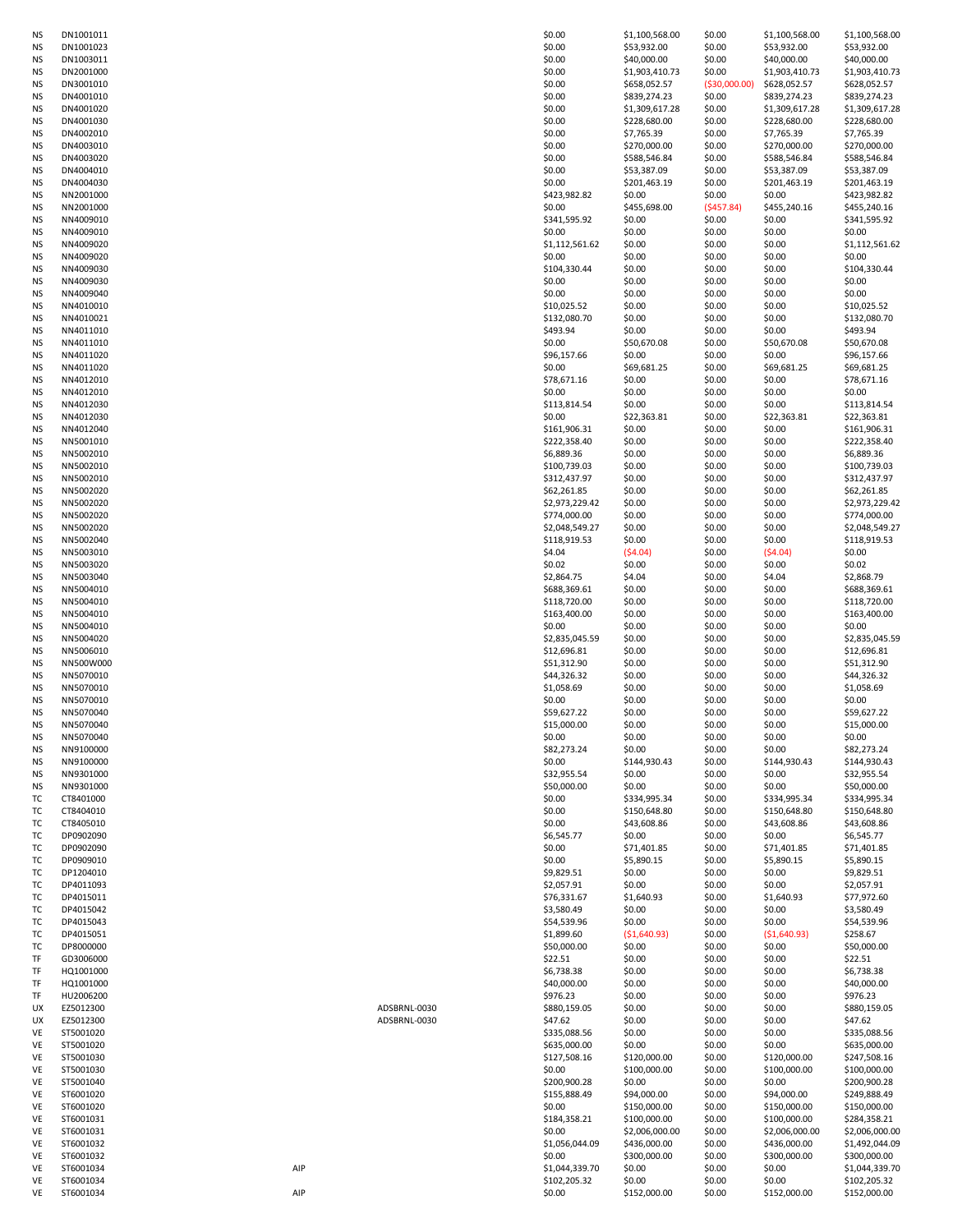| NS              | DN1001011              |     |              | \$0.00                   | \$1,100,568.00         | \$0.00           | \$1,100,568.00         | \$1,100,568.00               |
|-----------------|------------------------|-----|--------------|--------------------------|------------------------|------------------|------------------------|------------------------------|
| <b>NS</b>       | DN1001023              |     |              | \$0.00                   | \$53,932.00            | \$0.00           | \$53,932.00            | \$53,932.00                  |
| NS              | DN1003011              |     |              | \$0.00                   | \$40,000.00            | \$0.00           | \$40,000.00            | \$40,000.00                  |
| NS              | DN2001000              |     |              | \$0.00                   | \$1,903,410.73         | \$0.00           | \$1,903,410.73         | \$1,903,410.73               |
| NS              | DN3001010              |     |              | \$0.00                   | \$658,052.57           | ( \$30,000.00)   | \$628,052.57           | \$628,052.57                 |
| ΝS              | DN4001010              |     |              | \$0.00                   | \$839,274.23           | \$0.00           | \$839,274.23           | \$839,274.23                 |
| ΝS              | DN4001020              |     |              | \$0.00                   | \$1,309,617.28         | \$0.00           | \$1,309,617.28         | \$1,309,617.28               |
| NS              | DN4001030              |     |              | \$0.00                   | \$228,680.00           | \$0.00           | \$228,680.00           | \$228,680.00                 |
| ΝS              | DN4002010              |     |              | \$0.00                   | \$7,765.39             | \$0.00           | \$7,765.39             | \$7,765.39                   |
| NS              | DN4003010              |     |              | \$0.00                   | \$270,000.00           | \$0.00           | \$270,000.00           | \$270,000.00                 |
| NS              | DN4003020              |     |              | \$0.00                   | \$588,546.84           | \$0.00           | \$588,546.84           | \$588,546.84                 |
| ΝS              | DN4004010              |     |              | \$0.00                   | \$53,387.09            | \$0.00           | \$53,387.09            | \$53,387.09                  |
| ΝS<br>NS        | DN4004030<br>NN2001000 |     |              | \$0.00<br>\$423,982.82   | \$201,463.19<br>\$0.00 | \$0.00<br>\$0.00 | \$201,463.19<br>\$0.00 | \$201,463.19                 |
| <b>NS</b>       | NN2001000              |     |              | \$0.00                   | \$455,698.00           | (\$457.84)       | \$455,240.16           | \$423,982.82<br>\$455,240.16 |
| ΝS              | NN4009010              |     |              | \$341,595.92             | \$0.00                 | \$0.00           | \$0.00                 | \$341,595.92                 |
| <b>NS</b>       | NN4009010              |     |              | \$0.00                   | \$0.00                 | \$0.00           | \$0.00                 | \$0.00                       |
| <b>NS</b>       | NN4009020              |     |              | \$1,112,561.62           | \$0.00                 | \$0.00           | \$0.00                 | \$1,112,561.62               |
| NS              | NN4009020              |     |              | \$0.00                   | \$0.00                 | \$0.00           | \$0.00                 | \$0.00                       |
| ΝS              | NN4009030              |     |              | \$104,330.44             | \$0.00                 | \$0.00           | \$0.00                 | \$104,330.44                 |
| ΝS              | NN4009030              |     |              | \$0.00                   | \$0.00                 | \$0.00           | \$0.00                 | \$0.00                       |
| <b>NS</b>       | NN4009040              |     |              | \$0.00                   | \$0.00                 | \$0.00           | \$0.00                 | \$0.00                       |
| ΝS              | NN4010010              |     |              | \$10,025.52              | \$0.00                 | \$0.00           | \$0.00                 | \$10,025.52                  |
| ΝS              | NN4010021              |     |              | \$132,080.70             | \$0.00                 | \$0.00           | \$0.00                 | \$132,080.70                 |
| <b>NS</b>       | NN4011010              |     |              | \$493.94                 | \$0.00                 | \$0.00           | \$0.00                 | \$493.94                     |
| NS              | NN4011010              |     |              | \$0.00                   | \$50,670.08            | \$0.00           | \$50,670.08            | \$50,670.08                  |
| NS              | NN4011020              |     |              | \$96,157.66              | \$0.00                 | \$0.00           | \$0.00                 | \$96,157.66                  |
| <b>NS</b>       | NN4011020              |     |              | \$0.00                   | \$69,681.25            | \$0.00           | \$69,681.25            | \$69,681.25                  |
| NS              | NN4012010<br>NN4012010 |     |              | \$78,671.16<br>\$0.00    | \$0.00<br>\$0.00       | \$0.00           | \$0.00<br>\$0.00       | \$78,671.16                  |
| NS<br><b>NS</b> | NN4012030              |     |              | \$113,814.54             | \$0.00                 | \$0.00<br>\$0.00 | \$0.00                 | \$0.00<br>\$113,814.54       |
| NS              | NN4012030              |     |              | \$0.00                   | \$22,363.81            | \$0.00           | \$22,363.81            | \$22,363.81                  |
| NS              | NN4012040              |     |              | \$161,906.31             | \$0.00                 | \$0.00           | \$0.00                 | \$161,906.31                 |
| ΝS              | NN5001010              |     |              | \$222,358.40             | \$0.00                 | \$0.00           | \$0.00                 | \$222,358.40                 |
| NS              | NN5002010              |     |              | \$6,889.36               | \$0.00                 | \$0.00           | \$0.00                 | \$6,889.36                   |
| NS              | NN5002010              |     |              | \$100,739.03             | \$0.00                 | \$0.00           | \$0.00                 | \$100,739.03                 |
| NS              | NN5002010              |     |              | \$312,437.97             | \$0.00                 | \$0.00           | \$0.00                 | \$312,437.97                 |
| NS              | NN5002020              |     |              | \$62,261.85              | \$0.00                 | \$0.00           | \$0.00                 | \$62,261.85                  |
| NS              | NN5002020              |     |              | \$2,973,229.42           | \$0.00                 | \$0.00           | \$0.00                 | \$2,973,229.42               |
| NS              | NN5002020              |     |              | \$774,000.00             | \$0.00                 | \$0.00           | \$0.00                 | \$774,000.00                 |
| NS              | NN5002020              |     |              | \$2,048,549.27           | \$0.00                 | \$0.00           | \$0.00                 | \$2,048,549.27               |
| NS              | NN5002040              |     |              | \$118,919.53             | \$0.00                 | \$0.00           | \$0.00                 | \$118,919.53                 |
| ΝS              | NN5003010              |     |              | \$4.04                   | (54.04)                | \$0.00           | (54.04)                | \$0.00                       |
| NS              | NN5003020              |     |              | \$0.02                   | \$0.00                 | \$0.00           | \$0.00                 | \$0.02                       |
| NS              | NN5003040              |     |              | \$2,864.75               | \$4.04                 | \$0.00           | \$4.04                 | \$2,868.79                   |
| NS              | NN5004010              |     |              | \$688,369.61             | \$0.00                 | \$0.00           | \$0.00                 | \$688,369.61                 |
| NS              | NN5004010              |     |              | \$118,720.00             | \$0.00                 | \$0.00           | \$0.00                 | \$118,720.00                 |
| NS              | NN5004010              |     |              | \$163,400.00             | \$0.00                 | \$0.00           | \$0.00                 | \$163,400.00                 |
| ΝS<br><b>NS</b> | NN5004010<br>NN5004020 |     |              | \$0.00<br>\$2,835,045.59 | \$0.00<br>\$0.00       | \$0.00<br>\$0.00 | \$0.00<br>\$0.00       | \$0.00<br>\$2,835,045.59     |
| NS              | NN5006010              |     |              | \$12,696.81              | \$0.00                 | \$0.00           | \$0.00                 | \$12,696.81                  |
| NS              | NN500W000              |     |              | \$51,312.90              | \$0.00                 | \$0.00           | \$0.00                 | \$51,312.90                  |
| <b>NS</b>       | NN5070010              |     |              | \$44,326.32              | \$0.00                 | \$0.00           | \$0.00                 | \$44,326.32                  |
| <b>NS</b>       | NN5070010              |     |              | \$1,058.69               | \$0.00                 | \$0.00           | \$0.00                 | \$1,058.69                   |
| <b>NS</b>       | NN5070010              |     |              | \$0.00                   | \$0.00                 | \$0.00           | \$0.00                 | \$0.00                       |
| <b>NS</b>       | NN5070040              |     |              | \$59,627.22              | \$0.00                 | \$0.00           | \$0.00                 | \$59,627.22                  |
| NS              | NN5070040              |     |              | \$15,000.00              | \$0.00                 | \$0.00           | \$0.00                 | \$15,000.00                  |
| <b>NS</b>       | NN5070040              |     |              | \$0.00                   | \$0.00                 | \$0.00           | \$0.00                 | \$0.00                       |
| <b>NS</b>       | NN9100000              |     |              | \$82,273.24              | \$0.00                 | \$0.00           | \$0.00                 | \$82,273.24                  |
| NS              | NN9100000              |     |              | \$0.00                   | \$144,930.43           | \$0.00           | \$144,930.43           | \$144,930.43                 |
| NS              | NN9301000              |     |              | \$32,955.54              | \$0.00                 | \$0.00           | \$0.00                 | \$32,955.54                  |
| <b>NS</b>       | NN9301000              |     |              | \$50,000.00              | \$0.00                 | \$0.00           | \$0.00                 | \$50,000.00                  |
| TC              | CT8401000              |     |              | \$0.00                   | \$334,995.34           | \$0.00           | \$334,995.34           | \$334,995.34                 |
| тс<br>TC        | CT8404010              |     |              | \$0.00                   | \$150,648.80           | \$0.00           | \$150,648.80           | \$150,648.80                 |
| ТC              | CT8405010<br>DP0902090 |     |              | \$0.00<br>\$6,545.77     | \$43,608.86<br>\$0.00  | \$0.00<br>\$0.00 | \$43,608.86<br>\$0.00  | \$43,608.86<br>\$6,545.77    |
| TC              | DP0902090              |     |              | \$0.00                   | \$71,401.85            | \$0.00           | \$71,401.85            | \$71,401.85                  |
| ТC              | DP0909010              |     |              | \$0.00                   | \$5,890.15             | \$0.00           | \$5,890.15             | \$5,890.15                   |
| TC              | DP1204010              |     |              | \$9,829.51               | \$0.00                 | \$0.00           | \$0.00                 | \$9,829.51                   |
| TC              | DP4011093              |     |              | \$2,057.91               | \$0.00                 | \$0.00           | \$0.00                 | \$2,057.91                   |
| TC              | DP4015011              |     |              | \$76,331.67              | \$1,640.93             | \$0.00           | \$1,640.93             | \$77,972.60                  |
| TC              | DP4015042              |     |              | \$3,580.49               | \$0.00                 | \$0.00           | \$0.00                 | \$3,580.49                   |
| TC              | DP4015043              |     |              | \$54,539.96              | \$0.00                 | \$0.00           | \$0.00                 | \$54,539.96                  |
| ТC              | DP4015051              |     |              | \$1,899.60               | ( \$1,640.93)          | \$0.00           | (51,640.93)            | \$258.67                     |
| TC              | DP8000000              |     |              | \$50,000.00              | \$0.00                 | \$0.00           | \$0.00                 | \$50,000.00                  |
| TF              | GD3006000              |     |              | \$22.51                  | \$0.00                 | \$0.00           | \$0.00                 | \$22.51                      |
| TF              | HQ1001000              |     |              | \$6,738.38               | \$0.00                 | \$0.00           | \$0.00                 | \$6,738.38                   |
| TF<br>TF        | HQ1001000              |     |              | \$40,000.00              | \$0.00                 | \$0.00           | \$0.00                 | \$40,000.00                  |
| UX              | HU2006200<br>EZ5012300 |     | ADSBRNL-0030 | \$976.23<br>\$880,159.05 | \$0.00<br>\$0.00       | \$0.00<br>\$0.00 | \$0.00<br>\$0.00       | \$976.23<br>\$880,159.05     |
| UX              | EZ5012300              |     | ADSBRNL-0030 | \$47.62                  | \$0.00                 | \$0.00           | \$0.00                 | \$47.62                      |
| VE              | ST5001020              |     |              | \$335,088.56             | \$0.00                 | \$0.00           | \$0.00                 | \$335,088.56                 |
| VE              | ST5001020              |     |              | \$635,000.00             | \$0.00                 | \$0.00           | \$0.00                 | \$635,000.00                 |
| VE              | ST5001030              |     |              | \$127,508.16             | \$120,000.00           | \$0.00           | \$120,000.00           | \$247,508.16                 |
| VE              | ST5001030              |     |              | \$0.00                   | \$100,000.00           | \$0.00           | \$100,000.00           | \$100,000.00                 |
| VE              | ST5001040              |     |              | \$200,900.28             | \$0.00                 | \$0.00           | \$0.00                 | \$200,900.28                 |
| VE              | ST6001020              |     |              | \$155,888.49             | \$94,000.00            | \$0.00           | \$94,000.00            | \$249,888.49                 |
| VE              | ST6001020              |     |              | \$0.00                   | \$150,000.00           | \$0.00           | \$150,000.00           | \$150,000.00                 |
| VE              | ST6001031              |     |              | \$184,358.21             | \$100,000.00           | \$0.00           | \$100,000.00           | \$284,358.21                 |
| VE              | ST6001031              |     |              | \$0.00                   | \$2,006,000.00         | \$0.00           | \$2,006,000.00         | \$2,006,000.00               |
| VE              | ST6001032              |     |              | \$1,056,044.09           | \$436,000.00           | \$0.00           | \$436,000.00           | \$1,492,044.09               |
| VE              | ST6001032              |     |              | \$0.00                   | \$300,000.00           | \$0.00           | \$300,000.00           | \$300,000.00                 |
| VE              | ST6001034              | AIP |              | \$1,044,339.70           | \$0.00                 | \$0.00           | \$0.00                 | \$1,044,339.70               |
| VE<br>VE        | ST6001034<br>ST6001034 | AIP |              | \$102,205.32<br>\$0.00   | \$0.00<br>\$152,000.00 | \$0.00<br>\$0.00 | \$0.00<br>\$152,000.00 | \$102,205.32<br>\$152,000.00 |
|                 |                        |     |              |                          |                        |                  |                        |                              |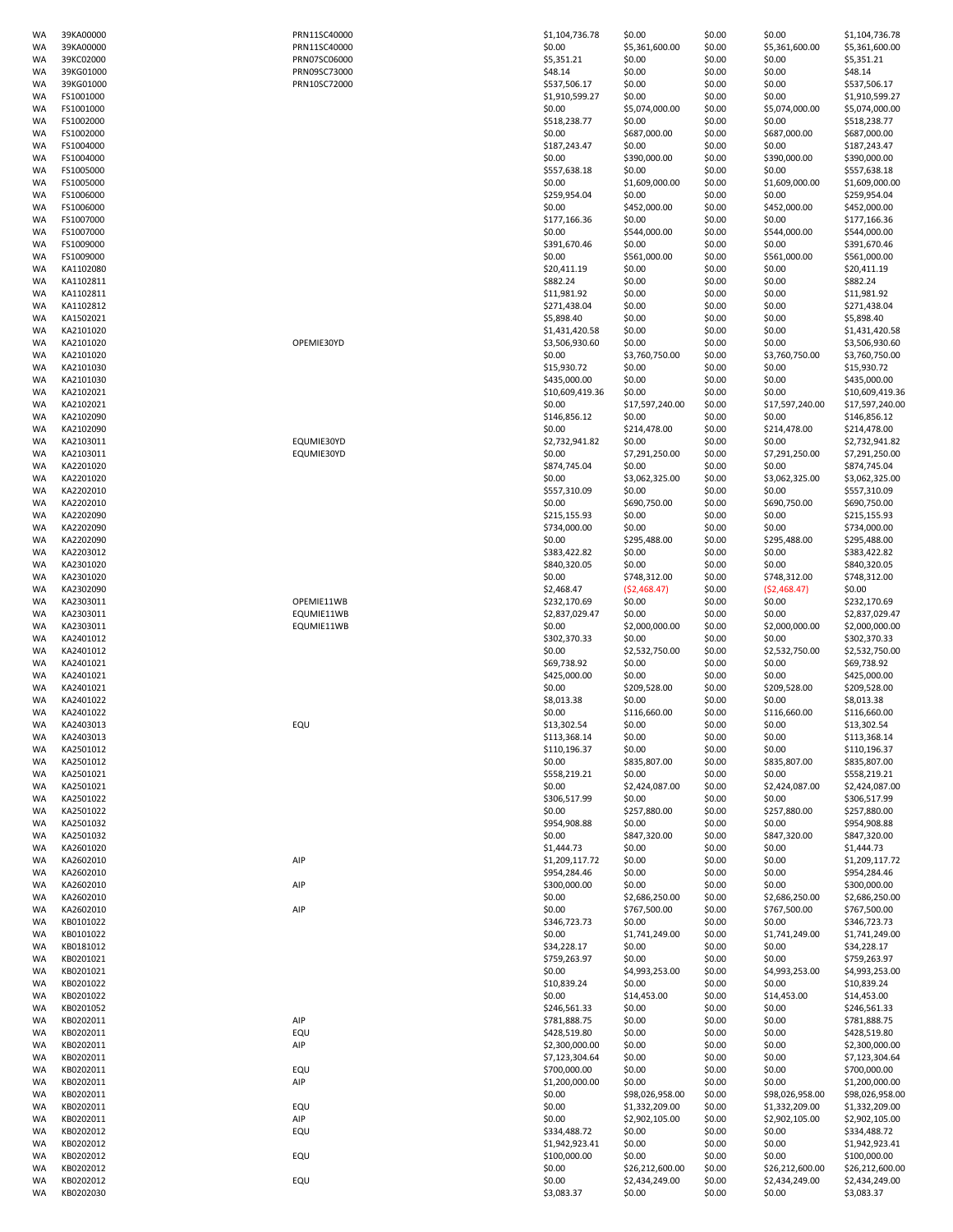| WA              | 39KA00000              |
|-----------------|------------------------|
|                 |                        |
| WA              | 39KA00000              |
| <b>WA</b>       | 39KC02000              |
| WA              | 39KG01000              |
| WA              | 39KG01000              |
|                 |                        |
| WA              | FS1001000              |
| <b>WA</b>       | FS1001000              |
| WA              | FS1002000              |
| WA              | FS1002000              |
|                 |                        |
| WA              | FS1004000              |
| WA              | FS1004000              |
| WA              | FS1005000              |
| WA              | FS1005000              |
|                 |                        |
| WA              | FS1006000              |
| WA              | FS1006000              |
| WA              | FS1007000              |
| WA              | FS1007000              |
| WA              | FS1009000              |
|                 |                        |
| <b>WA</b>       | FS1009000              |
| WA              | KA1102080              |
| WA              | KA1102811              |
| WA              | KA1102811              |
|                 |                        |
| WA              | KA1102812              |
| WA              | KA1502021              |
| WA              | KA2101020              |
| <b>WA</b>       | KA2101020              |
|                 |                        |
| WA              | KA2101020              |
| WA              | KA2101030              |
| WA              | KA2101030              |
| WA              | KA2102021              |
| WA              | KA2102021              |
|                 |                        |
| WA              | KA2102090              |
| WA              | KA2102090              |
| WA              | KA2103011              |
| WA              | KA2103011              |
|                 |                        |
| WA              | KA2201020              |
| WA              | KA2201020              |
| WA              | KA2202010              |
| WA              | KA2202010              |
| WA              | KA2202090              |
|                 |                        |
| WA              | KA2202090              |
| WA              | KA2202090              |
| WA              | KA2203012              |
| WA              | KA2301020              |
| WA              | KA2301020              |
| WA              | KA2302090              |
|                 |                        |
| WA              | KA2303011              |
| WA              | KA2303011              |
| WA              | KA2303011              |
| WA              | KA2401012              |
| WA              | KA2401012              |
| WA              | KA2401021              |
| WA              | KA2401021              |
|                 |                        |
| WA              | KA2401021              |
| WA              | KA2401022              |
| WA              | KA2401022              |
| WA              | KA2403013              |
| WA              | KA2403013              |
| WA              | KA2501012              |
| WA              | KA2501012              |
|                 |                        |
| WA              | KA2501021              |
| <b>WA</b>       | KA2501021              |
| WA              | KA2501022              |
| <b>WA</b>       | KA2501022              |
| WA              | KA2501032              |
| <b>WA</b>       | KA2501032              |
|                 |                        |
| WA              | KA2601020              |
| WA              | KA2602010              |
| WA              |                        |
|                 | KA2602010              |
|                 |                        |
| WA              | KA2602010              |
| WA              | KA2602010              |
| WA              | KA2602010              |
| WA              | KB0101022              |
| WA              | KB0101022              |
| WA              | KB0181012              |
|                 |                        |
| WA              | KB0201021              |
| WA              | KB0201021              |
| WA              | KB0201022              |
| WA              | KB0201022              |
| WA              | KB0201052              |
| WA              | KB0202011              |
| WA              | KB0202011              |
|                 |                        |
| WA              | KB0202011              |
| WA              | KB0202011              |
| WA              | KB0202011              |
| WA              | KB0202011              |
| WA              | KB0202011              |
| WA              | KB0202011              |
| WA              | KB0202011              |
|                 |                        |
| WA              | KB0202012              |
| WA              | KB0202012              |
| WA              | KB0202012              |
| WA              | KB0202012              |
| WA<br><b>WA</b> | KB0202012<br>KB0202030 |

| WA       | 39KA00000              | PRN11SC40000 | \$1,104,736.78         | \$0.00                 | \$0.00           | \$0.00                 | \$1,104,736.78               |
|----------|------------------------|--------------|------------------------|------------------------|------------------|------------------------|------------------------------|
| WA       | 39KA00000              | PRN11SC40000 | \$0.00                 | \$5,361,600.00         | \$0.00           | \$5,361,600.00         | \$5,361,600.00               |
| WA       | 39KC02000              | PRN07SC06000 | \$5,351.21             | \$0.00                 | \$0.00           | \$0.00                 | \$5,351.21                   |
| WA       | 39KG01000              | PRN09SC73000 | \$48.14                | \$0.00                 | \$0.00           | \$0.00                 | \$48.14                      |
| WA       | 39KG01000              | PRN10SC72000 | \$537,506.17           | \$0.00                 | \$0.00           | \$0.00                 | \$537,506.17                 |
| WA       | FS1001000              |              | \$1,910,599.27         | \$0.00                 | \$0.00           | \$0.00                 | \$1,910,599.27               |
| WA       | FS1001000              |              | \$0.00                 | \$5,074,000.00         | \$0.00           | \$5,074,000.00         | \$5,074,000.00               |
| WA       | FS1002000              |              | \$518,238.77           | \$0.00                 | \$0.00           | \$0.00                 | \$518,238.77                 |
| WA       | FS1002000              |              | \$0.00                 | \$687,000.00           | \$0.00           | \$687,000.00           | \$687,000.00                 |
| WA       | FS1004000              |              | \$187,243.47           | \$0.00                 | \$0.00           | \$0.00                 | \$187,243.47                 |
| WA       | FS1004000              |              | \$0.00                 | \$390,000.00           | \$0.00           | \$390,000.00           | \$390,000.00                 |
| WA       | FS1005000              |              | \$557,638.18           | \$0.00                 | \$0.00           | \$0.00                 | \$557,638.18                 |
| WA       | FS1005000              |              | \$0.00                 | \$1,609,000.00         | \$0.00           | \$1,609,000.00         | \$1,609,000.00               |
| WA       | FS1006000              |              | \$259,954.04           | \$0.00                 | \$0.00           | \$0.00                 | \$259,954.04                 |
| WA       | FS1006000              |              | \$0.00                 | \$452,000.00           | \$0.00           | \$452,000.00           | \$452,000.00                 |
| WA       | FS1007000              |              | \$177,166.36           | \$0.00                 | \$0.00           | \$0.00                 | \$177,166.36                 |
| WA       | FS1007000              |              | \$0.00                 | \$544,000.00           | \$0.00<br>\$0.00 | \$544,000.00           | \$544,000.00                 |
| WA<br>WA | FS1009000<br>FS1009000 |              | \$391,670.46<br>\$0.00 | \$0.00<br>\$561,000.00 | \$0.00           | \$0.00<br>\$561,000.00 | \$391,670.46<br>\$561,000.00 |
| WA       | KA1102080              |              | \$20,411.19            | \$0.00                 | \$0.00           | \$0.00                 | \$20,411.19                  |
| WA       | KA1102811              |              | \$882.24               | \$0.00                 | \$0.00           | \$0.00                 | \$882.24                     |
| WA       | KA1102811              |              | \$11,981.92            | \$0.00                 | \$0.00           | \$0.00                 | \$11,981.92                  |
| WA       | KA1102812              |              | \$271,438.04           | \$0.00                 | \$0.00           | \$0.00                 | \$271,438.04                 |
| WA       | KA1502021              |              | \$5,898.40             | \$0.00                 | \$0.00           | \$0.00                 | \$5,898.40                   |
| WA       | KA2101020              |              | \$1,431,420.58         | \$0.00                 | \$0.00           | \$0.00                 | \$1,431,420.58               |
| WA       | KA2101020              | OPEMIE30YD   | \$3,506,930.60         | \$0.00                 | \$0.00           | \$0.00                 | \$3,506,930.60               |
| WA       | KA2101020              |              | \$0.00                 | \$3,760,750.00         | \$0.00           | \$3,760,750.00         | \$3,760,750.00               |
| WA       | KA2101030              |              | \$15,930.72            | \$0.00                 | \$0.00           | \$0.00                 | \$15,930.72                  |
| WA       | KA2101030              |              | \$435,000.00           | \$0.00                 | \$0.00           | \$0.00                 | \$435,000.00                 |
| WA       | KA2102021              |              | \$10,609,419.36        | \$0.00                 | \$0.00           | \$0.00                 | \$10,609,419.36              |
| WA       | KA2102021              |              | \$0.00                 | \$17,597,240.00        | \$0.00           | \$17,597,240.00        | \$17,597,240.00              |
| WA       | KA2102090              |              | \$146,856.12           | \$0.00                 | \$0.00           | \$0.00                 | \$146,856.12                 |
| WA       | KA2102090              |              | \$0.00                 | \$214,478.00           | \$0.00           | \$214,478.00           | \$214,478.00                 |
| WA       | KA2103011              | EQUMIE30YD   | \$2,732,941.82         | \$0.00                 | \$0.00           | \$0.00                 | \$2,732,941.82               |
| WA       | KA2103011              | EQUMIE30YD   | \$0.00                 | \$7,291,250.00         | \$0.00           | \$7,291,250.00         | \$7,291,250.00               |
| WA       | KA2201020              |              | \$874,745.04           | \$0.00                 | \$0.00           | \$0.00                 | \$874,745.04                 |
| WA       | KA2201020              |              | \$0.00                 | \$3,062,325.00         | \$0.00           | \$3,062,325.00         | \$3,062,325.00               |
| WA       | KA2202010              |              | \$557,310.09           | \$0.00                 | \$0.00           | \$0.00                 | \$557,310.09                 |
| WA       | KA2202010              |              | \$0.00                 | \$690,750.00           | \$0.00           | \$690,750.00           | \$690,750.00                 |
| WA       | KA2202090              |              | \$215,155.93           | \$0.00                 | \$0.00           | \$0.00                 | \$215,155.93                 |
| WA       | KA2202090              |              | \$734,000.00           | \$0.00                 | \$0.00           | \$0.00                 | \$734,000.00                 |
| WA       | KA2202090              |              | \$0.00                 | \$295,488.00           | \$0.00           | \$295,488.00           | \$295,488.00                 |
| WA       | KA2203012              |              | \$383,422.82           | \$0.00                 | \$0.00           | \$0.00                 | \$383,422.82                 |
| WA       | KA2301020              |              | \$840,320.05           | \$0.00                 | \$0.00           | \$0.00                 | \$840,320.05                 |
| WA       | KA2301020              |              | \$0.00                 | \$748,312.00           | \$0.00           | \$748,312.00           | \$748,312.00                 |
| WA       | KA2302090              |              | \$2,468.47             | (52, 468.47)           | \$0.00           | (52, 468.47)           | \$0.00                       |
| WA       | KA2303011              | OPEMIE11WB   | \$232,170.69           | \$0.00                 | \$0.00           | \$0.00                 | \$232,170.69                 |
| WA       | KA2303011              | EQUMIE11WB   | \$2,837,029.47         | \$0.00                 | \$0.00           | \$0.00                 | \$2,837,029.47               |
| WA       | KA2303011              | EQUMIE11WB   | \$0.00                 | \$2,000,000.00         | \$0.00           | \$2,000,000.00         | \$2,000,000.00               |
| WA       | KA2401012              |              | \$302,370.33           | \$0.00                 | \$0.00           | \$0.00                 | \$302,370.33                 |
| WA       | KA2401012              |              | \$0.00                 | \$2,532,750.00         | \$0.00           | \$2,532,750.00         | \$2,532,750.00               |
| WA       | KA2401021              |              | \$69,738.92            | \$0.00                 | \$0.00           | \$0.00                 | \$69,738.92                  |
| WA       | KA2401021              |              | \$425,000.00           | \$0.00                 | \$0.00           | \$0.00                 | \$425,000.00                 |
| WA       | KA2401021              |              | \$0.00                 | \$209,528.00           | \$0.00           | \$209,528.00           | \$209,528.00                 |
| WA       | KA2401022              |              | \$8,013.38             | \$0.00                 | \$0.00           | \$0.00                 | \$8,013.38                   |
| WA       | KA2401022              |              | \$0.00                 | \$116,660.00           | \$0.00           | \$116,660.00           | \$116,660.00                 |
| ۸/۵      | KA2403013              | <b>FOLL</b>  | \$13,302.54            | sn nn                  | sn nn            | sn nn                  | \$13,302.54                  |

| WA | 39KA00000 | PRN11SC40000 | \$0.00          | \$5,361,600.00  | \$0.00 | \$5,361,600.00  | \$5,361,600.00  |
|----|-----------|--------------|-----------------|-----------------|--------|-----------------|-----------------|
| WA | 39KC02000 | PRN07SC06000 | \$5,351.21      | \$0.00          | \$0.00 | \$0.00          | \$5,351.21      |
| WA | 39KG01000 | PRN09SC73000 | \$48.14         | \$0.00          | \$0.00 | \$0.00          | \$48.14         |
| WA | 39KG01000 | PRN10SC72000 | \$537,506.17    | \$0.00          | \$0.00 | \$0.00          | \$537,506.17    |
| WA | FS1001000 |              | \$1,910,599.27  | \$0.00          | \$0.00 | \$0.00          | \$1,910,599.27  |
|    |           |              |                 |                 |        |                 |                 |
| WA | FS1001000 |              | \$0.00          | \$5,074,000.00  | \$0.00 | \$5,074,000.00  | \$5,074,000.00  |
| WA | FS1002000 |              | \$518,238.77    | \$0.00          | \$0.00 | \$0.00          | \$518,238.77    |
| WA | FS1002000 |              | \$0.00          | \$687,000.00    | \$0.00 | \$687,000.00    | \$687,000.00    |
| WA | FS1004000 |              | \$187,243.47    | \$0.00          | \$0.00 | \$0.00          | \$187,243.47    |
| WA | FS1004000 |              | \$0.00          | \$390,000.00    | \$0.00 | \$390,000.00    | \$390,000.00    |
| WA | FS1005000 |              | \$557,638.18    | \$0.00          | \$0.00 | \$0.00          | \$557,638.18    |
| WA | FS1005000 |              | \$0.00          | \$1,609,000.00  | \$0.00 | \$1,609,000.00  | \$1,609,000.00  |
| WA | FS1006000 |              | \$259,954.04    | \$0.00          | \$0.00 | \$0.00          | \$259,954.04    |
|    |           |              |                 |                 | \$0.00 |                 |                 |
| WA | FS1006000 |              | \$0.00          | \$452,000.00    |        | \$452,000.00    | \$452,000.00    |
| WA | FS1007000 |              | \$177,166.36    | \$0.00          | \$0.00 | \$0.00          | \$177,166.36    |
| WA | FS1007000 |              | \$0.00          | \$544,000.00    | \$0.00 | \$544,000.00    | \$544,000.00    |
| WA | FS1009000 |              | \$391,670.46    | \$0.00          | \$0.00 | \$0.00          | \$391,670.46    |
| WA | FS1009000 |              | \$0.00          | \$561,000.00    | \$0.00 | \$561,000.00    | \$561,000.00    |
| WA | KA1102080 |              | \$20,411.19     | \$0.00          | \$0.00 | \$0.00          | \$20,411.19     |
|    |           |              |                 |                 |        |                 |                 |
| WA | KA1102811 |              | \$882.24        | \$0.00          | \$0.00 | \$0.00          | \$882.24        |
| WA | KA1102811 |              | \$11,981.92     | \$0.00          | \$0.00 | \$0.00          | \$11,981.92     |
| WA | KA1102812 |              | \$271,438.04    | \$0.00          | \$0.00 | \$0.00          | \$271,438.04    |
| WA | KA1502021 |              | \$5,898.40      | \$0.00          | \$0.00 | \$0.00          | \$5,898.40      |
| WA | KA2101020 |              | \$1,431,420.58  | \$0.00          | \$0.00 | \$0.00          | \$1,431,420.58  |
| WA | KA2101020 | OPEMIE30YD   | \$3,506,930.60  | \$0.00          | \$0.00 | \$0.00          | \$3,506,930.60  |
| WA | KA2101020 |              | \$0.00          | \$3,760,750.00  | \$0.00 | \$3,760,750.00  |                 |
|    |           |              |                 |                 |        |                 | \$3,760,750.00  |
| WA | KA2101030 |              | \$15,930.72     | \$0.00          | \$0.00 | \$0.00          | \$15,930.72     |
| WA | KA2101030 |              | \$435,000.00    | \$0.00          | \$0.00 | \$0.00          | \$435,000.00    |
| WA | KA2102021 |              | \$10,609,419.36 | \$0.00          | \$0.00 | \$0.00          | \$10,609,419.36 |
| WA | KA2102021 |              | \$0.00          | \$17,597,240.00 | \$0.00 | \$17,597,240.00 | \$17,597,240.00 |
| WA | KA2102090 |              | \$146,856.12    | \$0.00          | \$0.00 | \$0.00          | \$146,856.12    |
| WA | KA2102090 |              | \$0.00          | \$214,478.00    | \$0.00 | \$214,478.00    | \$214,478.00    |
|    |           |              |                 |                 |        |                 |                 |
| WA | KA2103011 | EQUMIE30YD   | \$2,732,941.82  | \$0.00          | \$0.00 | \$0.00          | \$2,732,941.82  |
| WA | KA2103011 | EQUMIE30YD   | \$0.00          | \$7,291,250.00  | \$0.00 | \$7,291,250.00  | \$7,291,250.00  |
| WA | KA2201020 |              | \$874,745.04    | \$0.00          | \$0.00 | \$0.00          | \$874,745.04    |
| WA | KA2201020 |              | \$0.00          | \$3,062,325.00  | \$0.00 | \$3,062,325.00  | \$3,062,325.00  |
| WA | KA2202010 |              | \$557,310.09    | \$0.00          | \$0.00 | \$0.00          | \$557,310.09    |
| WA | KA2202010 |              | \$0.00          | \$690,750.00    | \$0.00 | \$690,750.00    | \$690,750.00    |
|    |           |              |                 |                 |        |                 |                 |
| WA | KA2202090 |              | \$215,155.93    | \$0.00          | \$0.00 | \$0.00          | \$215,155.93    |
| WA | KA2202090 |              | \$734,000.00    | \$0.00          | \$0.00 | \$0.00          | \$734,000.00    |
| WA | KA2202090 |              | \$0.00          | \$295,488.00    | \$0.00 | \$295,488.00    | \$295,488.00    |
| WA | KA2203012 |              | \$383,422.82    | \$0.00          | \$0.00 | \$0.00          | \$383,422.82    |
| WA | KA2301020 |              | \$840,320.05    | \$0.00          | \$0.00 | \$0.00          | \$840,320.05    |
| WA | KA2301020 |              | \$0.00          | \$748,312.00    | \$0.00 | \$748,312.00    | \$748,312.00    |
| WA | KA2302090 |              | \$2,468.47      | (52, 468.47)    | \$0.00 | (52, 468.47)    | \$0.00          |
|    |           |              |                 |                 |        |                 |                 |
| WA | KA2303011 | OPEMIE11WB   | \$232,170.69    | \$0.00          | \$0.00 | \$0.00          | \$232,170.69    |
| WA | KA2303011 | EQUMIE11WB   | \$2,837,029.47  | \$0.00          | \$0.00 | \$0.00          | \$2,837,029.47  |
| WA | KA2303011 | EQUMIE11WB   | \$0.00          | \$2,000,000.00  | \$0.00 | \$2,000,000.00  | \$2,000,000.00  |
| WA | KA2401012 |              | \$302,370.33    | \$0.00          | \$0.00 | \$0.00          | \$302,370.33    |
| WA | KA2401012 |              | \$0.00          | \$2,532,750.00  | \$0.00 | \$2,532,750.00  | \$2,532,750.00  |
| WA | KA2401021 |              | \$69,738.92     | \$0.00          | \$0.00 | \$0.00          | \$69,738.92     |
|    | KA2401021 |              | \$425,000.00    | \$0.00          | \$0.00 | \$0.00          | \$425,000.00    |
| WA |           |              |                 |                 |        |                 |                 |
| WA | KA2401021 |              | \$0.00          | \$209,528.00    | \$0.00 | \$209,528.00    | \$209,528.00    |
| WA | KA2401022 |              | \$8,013.38      | \$0.00          | \$0.00 | \$0.00          | \$8,013.38      |
| WA | KA2401022 |              | \$0.00          | \$116,660.00    | \$0.00 | \$116,660.00    | \$116,660.00    |
| WA | KA2403013 | EQU          | \$13,302.54     | \$0.00          | \$0.00 | \$0.00          | \$13,302.54     |
| WA | KA2403013 |              | \$113,368.14    | \$0.00          | \$0.00 | \$0.00          | \$113,368.14    |
| WA | KA2501012 |              | \$110,196.37    | \$0.00          | \$0.00 | \$0.00          | \$110,196.37    |
|    |           |              |                 |                 |        |                 |                 |
| WA | KA2501012 |              | \$0.00          | \$835,807.00    | \$0.00 | \$835,807.00    | \$835,807.00    |
| WA | KA2501021 |              | \$558,219.21    | \$0.00          | \$0.00 | \$0.00          | \$558,219.21    |
| WA | KA2501021 |              | \$0.00          | \$2,424,087.00  | \$0.00 | \$2,424,087.00  | \$2,424,087.00  |
| WA | KA2501022 |              | \$306,517.99    | \$0.00          | \$0.00 | \$0.00          | \$306,517.99    |
| WA | KA2501022 |              | \$0.00          | \$257,880.00    | \$0.00 | \$257,880.00    | \$257,880.00    |
| WA | KA2501032 |              | \$954,908.88    | \$0.00          | \$0.00 | \$0.00          | \$954,908.88    |
| WA | KA2501032 |              | \$0.00          | \$847,320.00    | \$0.00 | \$847,320.00    | \$847,320.00    |
|    | KA2601020 |              | \$1,444.73      | \$0.00          | \$0.00 | \$0.00          | \$1,444.73      |
| WA |           |              |                 |                 |        |                 |                 |
| WA | KA2602010 | AIP          | \$1,209,117.72  | \$0.00          | \$0.00 | \$0.00          | \$1,209,117.72  |
| WA | KA2602010 |              | \$954,284.46    | \$0.00          | \$0.00 | \$0.00          | \$954,284.46    |
| WA | KA2602010 | AIP          | \$300,000.00    | \$0.00          | \$0.00 | \$0.00          | \$300,000.00    |
| WA | KA2602010 |              | \$0.00          | \$2,686,250.00  | \$0.00 | \$2,686,250.00  | \$2,686,250.00  |
| WA | KA2602010 | AIP          | \$0.00          | \$767,500.00    | \$0.00 | \$767,500.00    | \$767,500.00    |
| WA | KB0101022 |              | \$346,723.73    | \$0.00          | \$0.00 | \$0.00          | \$346,723.73    |
| WA | KB0101022 |              | \$0.00          | \$1,741,249.00  | \$0.00 | \$1,741,249.00  | \$1,741,249.00  |
|    |           |              |                 |                 |        |                 |                 |
| WA | KB0181012 |              | \$34,228.17     | \$0.00          | \$0.00 | \$0.00          | \$34,228.17     |
| WA | KB0201021 |              | \$759,263.97    | \$0.00          | \$0.00 | \$0.00          | \$759,263.97    |
| WA | KB0201021 |              | \$0.00          | \$4,993,253.00  | \$0.00 | \$4,993,253.00  | \$4,993,253.00  |
| WA | KB0201022 |              | \$10,839.24     | \$0.00          | \$0.00 | \$0.00          | \$10,839.24     |
| WA | KB0201022 |              | \$0.00          | \$14,453.00     | \$0.00 | \$14,453.00     | \$14,453.00     |
| WA | KB0201052 |              | \$246,561.33    | \$0.00          | \$0.00 | \$0.00          | \$246,561.33    |
| WA | KB0202011 | AIP          | \$781,888.75    | \$0.00          | \$0.00 | \$0.00          | \$781,888.75    |
|    |           |              |                 |                 |        |                 |                 |
| WA | KB0202011 | EQU          | \$428,519.80    | \$0.00          | \$0.00 | \$0.00          | \$428,519.80    |
| WA | KB0202011 | AIP          | \$2,300,000.00  | \$0.00          | \$0.00 | \$0.00          | \$2,300,000.00  |
| WA | KB0202011 |              | \$7,123,304.64  | \$0.00          | \$0.00 | \$0.00          | \$7,123,304.64  |
| WA | KB0202011 | EQU          | \$700,000.00    | \$0.00          | \$0.00 | \$0.00          | \$700,000.00    |
| WA | KB0202011 | AIP          | \$1,200,000.00  | \$0.00          | \$0.00 | \$0.00          | \$1,200,000.00  |
| WA | KB0202011 |              | \$0.00          | \$98,026,958.00 | \$0.00 | \$98,026,958.00 | \$98,026,958.00 |
|    |           |              |                 |                 |        |                 |                 |
| WA | KB0202011 | EQU          | \$0.00          | \$1,332,209.00  | \$0.00 | \$1,332,209.00  | \$1,332,209.00  |
| WA | KB0202011 | AIP          | \$0.00          | \$2,902,105.00  | \$0.00 | \$2,902,105.00  | \$2,902,105.00  |
| WA | KB0202012 | EQU          | \$334,488.72    | \$0.00          | \$0.00 | \$0.00          | \$334,488.72    |
| WA | KB0202012 |              | \$1,942,923.41  | \$0.00          | \$0.00 | \$0.00          | \$1,942,923.41  |
| WA | KB0202012 | EQU          | \$100,000.00    | \$0.00          | \$0.00 | \$0.00          | \$100,000.00    |
| WA | KB0202012 |              | \$0.00          | \$26,212,600.00 | \$0.00 | \$26,212,600.00 | \$26,212,600.00 |
|    |           |              |                 |                 |        |                 |                 |
| WA | KB0202012 | EQU          | \$0.00          | \$2,434,249.00  | \$0.00 | \$2,434,249.00  | \$2,434,249.00  |

| WA       | 39KA00000              | PRN11SC40000                 | \$1,104,736.78        | \$0.00           | \$0.00           | \$0.00           | \$1,104,736.78        |
|----------|------------------------|------------------------------|-----------------------|------------------|------------------|------------------|-----------------------|
| WA       | 39KA00000<br>39KC02000 | PRN11SC40000                 | \$0.00                | \$5,361,600.00   | \$0.00           | \$5,361,600.00   | \$5,361,600.00        |
| WA<br>WA | 39KG01000              | PRN07SC06000<br>PRN09SC73000 | \$5,351.21<br>\$48.14 | \$0.00<br>\$0.00 | \$0.00<br>\$0.00 | \$0.00<br>\$0.00 | \$5,351.21<br>\$48.14 |
| WA       | 39KG01000              | PRN10SC72000                 | \$537,506.17          | \$0.00           | \$0.00           | \$0.00           | \$537,506.17          |
| WA       | FS1001000              |                              | \$1,910,599.27        | \$0.00           | \$0.00           | \$0.00           | \$1,910,599.27        |
| WA       | FS1001000              |                              | \$0.00                | \$5,074,000.00   | \$0.00           | \$5,074,000.00   | \$5,074,000.00        |
| WA       | FS1002000              |                              | \$518,238.77          | \$0.00           | \$0.00           | \$0.00           | \$518,238.77          |
| WA       | FS1002000              |                              | \$0.00                | \$687,000.00     | \$0.00           | \$687,000.00     | \$687,000.00          |
| WA       | FS1004000              |                              | \$187,243.47          | \$0.00           | \$0.00           | \$0.00           | \$187,243.47          |
|          |                        |                              | \$0.00                |                  |                  |                  |                       |
| WA       | FS1004000              |                              |                       | \$390,000.00     | \$0.00           | \$390,000.00     | \$390,000.00          |
| WA       | FS1005000              |                              | \$557,638.18          | \$0.00           | \$0.00           | \$0.00           | \$557,638.18          |
| WA       | FS1005000              |                              | \$0.00                | \$1,609,000.00   | \$0.00           | \$1,609,000.00   | \$1,609,000.00        |
| WA       | FS1006000              |                              | \$259,954.04          | \$0.00           | \$0.00           | \$0.00           | \$259,954.04          |
| WA       | FS1006000              |                              | \$0.00                | \$452,000.00     | \$0.00           | \$452,000.00     | \$452,000.00          |
| WA       | FS1007000              |                              | \$177,166.36          | \$0.00           | \$0.00           | \$0.00           | \$177,166.36          |
| WA       | FS1007000              |                              | \$0.00                | \$544,000.00     | \$0.00           | \$544,000.00     | \$544,000.00          |
| WA       | FS1009000              |                              | \$391,670.46          | \$0.00           | \$0.00           | \$0.00           | \$391,670.46          |
| WA       | FS1009000              |                              | \$0.00                | \$561,000.00     | \$0.00           | \$561,000.00     | \$561,000.00          |
| WA       | KA1102080              |                              | \$20,411.19           | \$0.00           | \$0.00           | \$0.00           | \$20,411.19           |
| WA       | KA1102811              |                              | \$882.24              | \$0.00           | \$0.00           | \$0.00           | \$882.24              |
| WA       | KA1102811              |                              | \$11,981.92           | \$0.00           | \$0.00           | \$0.00           | \$11,981.92           |
| WA       | KA1102812              |                              | \$271,438.04          | \$0.00           | \$0.00           | \$0.00           | \$271,438.04          |
| WA       | KA1502021              |                              | \$5,898.40            | \$0.00           | \$0.00           | \$0.00           | \$5,898.40            |
| WA       | KA2101020              |                              | \$1,431,420.58        | \$0.00           | \$0.00           | \$0.00           | \$1,431,420.58        |
| WA       | KA2101020              | OPEMIE30YD                   | \$3,506,930.60        | \$0.00           | \$0.00           | \$0.00           | \$3,506,930.60        |
| WA       | KA2101020              |                              | \$0.00                | \$3,760,750.00   | \$0.00           | \$3,760,750.00   | \$3,760,750.00        |
| WA       | KA2101030              |                              | \$15,930.72           | \$0.00           | \$0.00           | \$0.00           | \$15,930.72           |
| WA       | KA2101030              |                              | \$435,000.00          | \$0.00           | \$0.00           | \$0.00           | \$435,000.00          |
| WA       | KA2102021              |                              | \$10,609,419.36       | \$0.00           | \$0.00           | \$0.00           | \$10,609,419.3        |
| WA       | KA2102021              |                              | \$0.00                | \$17,597,240.00  | \$0.00           | \$17,597,240.00  | \$17,597,240.0        |
| WA       | KA2102090              |                              | \$146,856.12          | \$0.00           | \$0.00           | \$0.00           | \$146,856.12          |
| WA       | KA2102090              |                              | \$0.00                | \$214,478.00     | \$0.00           | \$214,478.00     | \$214,478.00          |
| WA       | KA2103011              | EQUMIE30YD                   | \$2,732,941.82        | \$0.00           | \$0.00           | \$0.00           | \$2,732,941.82        |
| WA       | KA2103011              | EQUMIE30YD                   | \$0.00                | \$7,291,250.00   | \$0.00           | \$7,291,250.00   | \$7,291,250.00        |
| WA       | KA2201020              |                              | \$874,745.04          | \$0.00           | \$0.00           | \$0.00           | \$874,745.04          |
| WA       | KA2201020              |                              | \$0.00                | \$3,062,325.00   | \$0.00           | \$3,062,325.00   | \$3,062,325.00        |
| WA       | KA2202010              |                              | \$557,310.09          | \$0.00           | \$0.00           | \$0.00           | \$557,310.09          |
|          |                        |                              |                       |                  |                  |                  |                       |
| WA       | KA2202010              |                              | \$0.00                | \$690,750.00     | \$0.00           | \$690,750.00     | \$690,750.00          |
| WA       | KA2202090              |                              | \$215,155.93          | \$0.00           | \$0.00           | \$0.00           | \$215,155.93          |
| WA       | KA2202090              |                              | \$734,000.00          | \$0.00           | \$0.00           | \$0.00           | \$734,000.00          |
| WA       | KA2202090              |                              | \$0.00                | \$295,488.00     | \$0.00           | \$295,488.00     | \$295,488.00          |
| WA       | KA2203012              |                              | \$383,422.82          | \$0.00           | \$0.00           | \$0.00           | \$383,422.82          |
| WA       | KA2301020              |                              | \$840,320.05          | \$0.00           | \$0.00           | \$0.00           | \$840,320.05          |
| WA       | KA2301020              |                              | \$0.00                | \$748,312.00     | \$0.00           | \$748,312.00     | \$748,312.00          |
| WA       | KA2302090              |                              | \$2,468.47            | (52, 468.47)     | \$0.00           | (52, 468.47)     | \$0.00                |
| WA       | KA2303011              | OPEMIE11WB                   | \$232,170.69          | \$0.00           | \$0.00           | \$0.00           | \$232,170.69          |
| WA       | KA2303011              | EQUMIE11WB                   | \$2,837,029.47        | \$0.00           | \$0.00           | \$0.00           | \$2,837,029.47        |
| WA       | KA2303011              | EQUMIE11WB                   | \$0.00                | \$2,000,000.00   | \$0.00           | \$2,000,000.00   | \$2,000,000.00        |
| WA       | KA2401012              |                              | \$302,370.33          | \$0.00           | \$0.00           | \$0.00           | \$302,370.33          |
| WA       | KA2401012              |                              | \$0.00                | \$2,532,750.00   | \$0.00           | \$2,532,750.00   | \$2,532,750.00        |
| WA       | KA2401021              |                              | \$69,738.92           | \$0.00           | \$0.00           | \$0.00           | \$69,738.92           |
| WA       | KA2401021              |                              | \$425,000.00          | \$0.00           | \$0.00           | \$0.00           | \$425,000.00          |
| WA       | KA2401021              |                              | \$0.00                | \$209,528.00     | \$0.00           | \$209,528.00     | \$209,528.00          |
| WA       | KA2401022              |                              | \$8,013.38            | \$0.00           | \$0.00           | \$0.00           | \$8,013.38            |
| WA       | KA2401022              |                              | \$0.00                | \$116,660.00     | \$0.00           | \$116,660.00     | \$116,660.00          |
| WA       | KA2403013              | EQU                          | \$13,302.54           | \$0.00           | \$0.00           | \$0.00           | \$13,302.54           |
| WA       | KA2403013              |                              | \$113,368.14          | \$0.00           | \$0.00           | \$0.00           | \$113,368.14          |
| WA       | KA2501012              |                              | \$110,196.37          | \$0.00           | \$0.00           | \$0.00           | \$110,196.37          |
| WA       | KA2501012              |                              | \$0.00                | \$835,807.00     | \$0.00           | \$835,807.00     | \$835,807.00          |
| WA       | KA2501021              |                              | \$558,219.21          | \$0.00           | \$0.00           | \$0.00           | \$558,219.21          |
| WA       | KA2501021              |                              | \$0.00                | \$2,424,087.00   | \$0.00           | \$2,424,087.00   | \$2,424,087.00        |
| WA       | KA2501022              |                              | \$306,517.99          | \$0.00           | \$0.00           | \$0.00           | \$306,517.99          |
| WA       | KA2501022              |                              | \$0.00                | \$257,880.00     | \$0.00           | \$257,880.00     | \$257,880.00          |
| WA       | KA2501032              |                              | \$954,908.88          | \$0.00           | \$0.00           | \$0.00           | \$954,908.88          |
| WA       | KA2501032              |                              | \$0.00                | \$847,320.00     | \$0.00           | \$847,320.00     | \$847,320.00          |
| WA       | KA2601020              |                              | \$1,444.73            | \$0.00           | \$0.00           | \$0.00           | \$1,444.73            |
| WA       | KA2602010              | AIP                          | \$1,209,117.72        | \$0.00           | \$0.00           | \$0.00           | \$1,209,117.72        |
| WA       | KA2602010              |                              | \$954,284.46          | \$0.00           | \$0.00           | \$0.00           | \$954,284.46          |
| WA       | KA2602010              | AIP                          | \$300,000.00          | \$0.00           | \$0.00           | \$0.00           | \$300,000.00          |
| WA       | KA2602010              |                              | \$0.00                | \$2,686,250.00   | \$0.00           | \$2,686,250.00   | \$2,686,250.00        |
| WA       | KA2602010              | AIP                          | \$0.00                | \$767,500.00     | \$0.00           | \$767,500.00     | \$767,500.00          |
| WA       | KB0101022              |                              | \$346,723.73          | \$0.00           | \$0.00           | \$0.00           | \$346,723.73          |
| WA       | KB0101022              |                              | \$0.00                | \$1,741,249.00   | \$0.00           | \$1,741,249.00   | \$1,741,249.00        |
| WA       | KB0181012              |                              | \$34,228.17           | \$0.00           | \$0.00           | \$0.00           | \$34,228.17           |
| WA       | KB0201021              |                              | \$759,263.97          | \$0.00           | \$0.00           | \$0.00           | \$759,263.97          |
|          |                        |                              |                       |                  |                  |                  |                       |
| WA       | KB0201021              |                              | \$0.00                | \$4,993,253.00   | \$0.00           | \$4,993,253.00   | \$4,993,253.00        |
| WA       | KB0201022              |                              | \$10,839.24           | \$0.00           | \$0.00           | \$0.00           | \$10,839.24           |
| WA       | KB0201022              |                              | \$0.00                | \$14,453.00      | \$0.00           | \$14,453.00      | \$14,453.00           |
| WA       | KB0201052              |                              | \$246,561.33          | \$0.00           | \$0.00           | \$0.00           | \$246,561.33          |
| WA       | KB0202011              | AIP                          | \$781,888.75          | \$0.00           | \$0.00           | \$0.00           | \$781,888.75          |
| WA       | KB0202011              | EQU                          | \$428,519.80          | \$0.00           | \$0.00           | \$0.00           | \$428,519.80          |
| WA       | KB0202011              | AIP                          | \$2,300,000.00        | \$0.00           | \$0.00           | \$0.00           | \$2,300,000.00        |
| WA       | KB0202011              |                              | \$7,123,304.64        | \$0.00           | \$0.00           | \$0.00           | \$7,123,304.64        |
| WA       | KB0202011              | EQU                          | \$700,000.00          | \$0.00           | \$0.00           | \$0.00           | \$700,000.00          |
| WA       | KB0202011              | AIP                          | \$1,200,000.00        | \$0.00           | \$0.00           | \$0.00           | \$1,200,000.00        |
| WA       | KB0202011              |                              | \$0.00                | \$98,026,958.00  | \$0.00           | \$98,026,958.00  | \$98,026,958.0        |
| WA       | KB0202011              | EQU                          | \$0.00                | \$1,332,209.00   | \$0.00           | \$1,332,209.00   | \$1,332,209.00        |
| WA       | KB0202011              | AIP                          | \$0.00                | \$2,902,105.00   | \$0.00           | \$2,902,105.00   | \$2,902,105.00        |
| WA       | KB0202012              | EQU                          | \$334,488.72          | \$0.00           | \$0.00           | \$0.00           | \$334,488.72          |
| WA       | KB0202012              |                              | \$1,942,923.41        | \$0.00           | \$0.00           | \$0.00           | \$1,942,923.41        |
| WA       | KB0202012              | EQU                          | \$100,000.00          | \$0.00           | \$0.00           | \$0.00           | \$100,000.00          |
| WA       | KB0202012              |                              | \$0.00                | \$26,212,600.00  | \$0.00           | \$26,212,600.00  | \$26,212,600.0        |
| WA       | KB0202012              | EQU                          | \$0.00                | \$2,434,249.00   | \$0.00           | \$2,434,249.00   | \$2,434,249.00        |
| WA       | KB0202030              |                              | \$3,083.37            | \$0.00           | \$0.00           | \$0.00           | \$3,083.37            |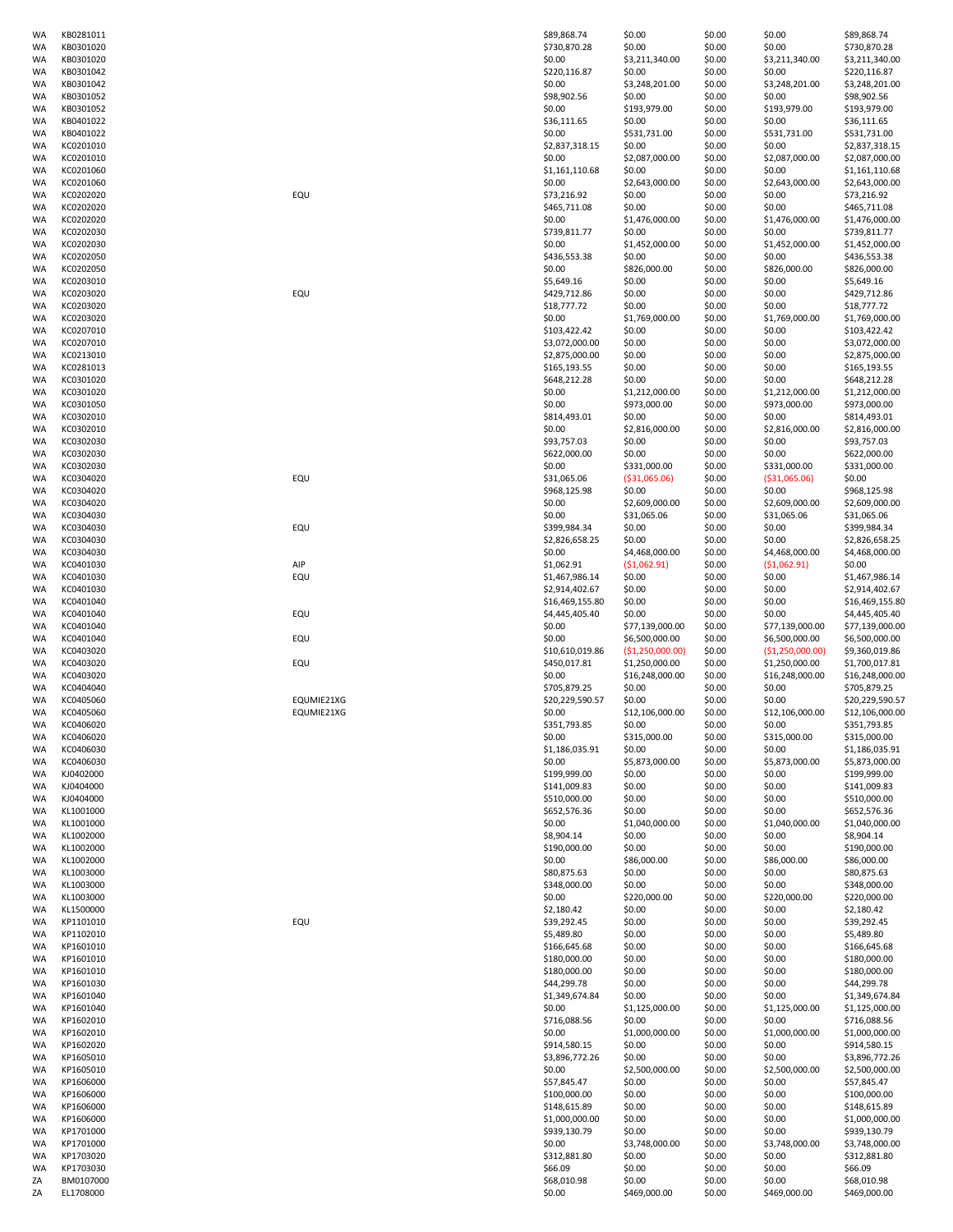| WA       | KB0281011              |            | \$89,868.74           | \$0.00                 | \$0.00           | \$0.00                 | \$89,868.74                 |
|----------|------------------------|------------|-----------------------|------------------------|------------------|------------------------|-----------------------------|
| WA       | KB0301020              |            | \$730,870.28          | \$0.00                 | \$0.00           | \$0.00                 | \$730,870.28                |
| WA       | KB0301020              |            | \$0.00                | \$3,211,340.00         | \$0.00           | \$3,211,340.00         | \$3,211,340.00              |
| WA       | KB0301042              |            | \$220,116.87          | \$0.00                 | \$0.00           | \$0.00                 | \$220,116.87                |
| WA       | KB0301042              |            | \$0.00                | \$3,248,201.00         | \$0.00           | \$3,248,201.00         | \$3,248,201.00              |
| WA       | KB0301052              |            | \$98,902.56           | \$0.00                 | \$0.00           | \$0.00                 | \$98,902.56                 |
| WA       | KB0301052              |            | \$0.00                | \$193,979.00           | \$0.00           | \$193,979.00           | \$193,979.00                |
| WA       | KB0401022              |            | \$36,111.65           | \$0.00                 | \$0.00           | \$0.00                 | \$36,111.65                 |
| WA       | KB0401022              |            | \$0.00                | \$531,731.00           | \$0.00           | \$531,731.00           | \$531,731.00                |
| WA       | KC0201010              |            | \$2,837,318.15        | \$0.00                 | \$0.00           | \$0.00                 | \$2,837,318.15              |
| WA       | KC0201010              |            | \$0.00                | \$2,087,000.00         | \$0.00           | \$2,087,000.00         | \$2,087,000.00              |
| WA       | KC0201060              |            | \$1,161,110.68        | \$0.00                 | \$0.00           | \$0.00                 | \$1,161,110.68              |
| WA       | KC0201060              |            | \$0.00                | \$2,643,000.00         | \$0.00           | \$2,643,000.00         | \$2,643,000.00              |
| WA       | KC0202020              | EQU        | \$73,216.92           | \$0.00                 | \$0.00           | \$0.00                 | \$73,216.92                 |
| WA       | KC0202020              |            | \$465,711.08          | \$0.00                 | \$0.00           | \$0.00                 | \$465,711.08                |
| WA       | KC0202020              |            | \$0.00                | \$1,476,000.00         | \$0.00           | \$1,476,000.00         | \$1,476,000.00              |
| WA       | KC0202030              |            | \$739,811.77          | \$0.00                 | \$0.00           | \$0.00                 | \$739,811.77                |
| WA       | KC0202030              |            | \$0.00                | \$1,452,000.00         | \$0.00           | \$1,452,000.00         | \$1,452,000.00              |
| WA       | KC0202050              |            | \$436,553.38          | \$0.00                 | \$0.00           | \$0.00                 | \$436,553.38                |
|          | KC0202050              |            | \$0.00                | \$826,000.00           | \$0.00           | \$826,000.00           |                             |
| WA       |                        |            |                       |                        | \$0.00           |                        | \$826,000.00                |
| WA       | KC0203010              |            | \$5,649.16            | \$0.00                 |                  | \$0.00                 | \$5,649.16                  |
| WA       | KC0203020              | EQU        | \$429,712.86          | \$0.00                 | \$0.00           | \$0.00                 | \$429,712.86                |
| WA       | KC0203020              |            | \$18,777.72           | \$0.00                 | \$0.00           | \$0.00                 | \$18,777.72                 |
| WA       | KC0203020              |            | \$0.00                | \$1,769,000.00         | \$0.00           | \$1,769,000.00         | \$1,769,000.00              |
| WA       | KC0207010              |            | \$103,422.42          | \$0.00                 | \$0.00           | \$0.00                 | \$103,422.42                |
| WA       | KC0207010              |            | \$3,072,000.00        | \$0.00                 | \$0.00           | \$0.00                 | \$3,072,000.00              |
| WA       | KC0213010              |            | \$2,875,000.00        | \$0.00                 | \$0.00           | \$0.00                 | \$2,875,000.00              |
| WA       | KC0281013              |            | \$165,193.55          | \$0.00                 | \$0.00           | \$0.00                 | \$165,193.55                |
| WA       | KC0301020              |            | \$648,212.28          | \$0.00                 | \$0.00           | \$0.00                 | \$648,212.28                |
| WA       | KC0301020              |            | \$0.00                | \$1,212,000.00         | \$0.00           | \$1,212,000.00         | \$1,212,000.00              |
| WA       | KC0301050              |            | \$0.00                | \$973,000.00           | \$0.00           | \$973,000.00           | \$973,000.00                |
| WA       | KC0302010              |            | \$814,493.01          | \$0.00                 | \$0.00           | \$0.00                 | \$814,493.01                |
| WA       | KC0302010              |            | \$0.00                | \$2,816,000.00         | \$0.00           | \$2,816,000.00         | \$2,816,000.00              |
| WA       | KC0302030              |            | \$93,757.03           | \$0.00                 | \$0.00           | \$0.00                 | \$93,757.03                 |
| WA       | KC0302030              |            | \$622,000.00          | \$0.00                 | \$0.00           | \$0.00                 | \$622,000.00                |
| WA       | KC0302030              |            | \$0.00                | \$331,000.00           | \$0.00           | \$331,000.00           | \$331,000.00                |
| WA       | KC0304020              | EQU        | \$31,065.06           | ( \$31,065.06)         | \$0.00           | ( \$31,065.06)         | \$0.00                      |
| WA       | KC0304020              |            | \$968,125.98          | \$0.00                 | \$0.00           | \$0.00                 | \$968,125.98                |
|          |                        |            |                       |                        |                  |                        |                             |
| WA       | KC0304020              |            | \$0.00                | \$2,609,000.00         | \$0.00           | \$2,609,000.00         | \$2,609,000.00              |
| WA       | KC0304030              |            | \$0.00                | \$31,065.06            | \$0.00           | \$31,065.06            | \$31,065.06                 |
| WA       | KC0304030              | EQU        | \$399,984.34          | \$0.00                 | \$0.00           | \$0.00                 | \$399,984.34                |
| WA       | KC0304030              |            | \$2,826,658.25        | \$0.00                 | \$0.00           | \$0.00                 | \$2,826,658.25              |
| WA       | KC0304030              |            | \$0.00                | \$4,468,000.00         | \$0.00           | \$4,468,000.00         | \$4,468,000.00              |
| WA       | KC0401030              | AIP        | \$1,062.91            | (51,062.91)            | \$0.00           | (51,062.91)            | \$0.00                      |
| WA       | KC0401030              | EQU        | \$1,467,986.14        | \$0.00                 | \$0.00           | \$0.00                 | \$1,467,986.14              |
| WA       | KC0401030              |            | \$2,914,402.67        | \$0.00                 | \$0.00           | \$0.00                 | \$2,914,402.67              |
| WA       | KC0401040              |            | \$16,469,155.80       | \$0.00                 | \$0.00           | \$0.00                 | \$16,469,155.80             |
| WA       | KC0401040              | EQU        | \$4,445,405.40        | \$0.00                 | \$0.00           | \$0.00                 | \$4,445,405.40              |
| WA       | KC0401040              |            | \$0.00                | \$77,139,000.00        | \$0.00           | \$77,139,000.00        | \$77,139,000.00             |
| WA       | KC0401040              | EQU        | \$0.00                | \$6,500,000.00         | \$0.00           | \$6,500,000.00         | \$6,500,000.00              |
| WA       | KC0403020              |            | \$10,610,019.86       | (\$1,250,000.00)       | \$0.00           | (\$1,250,000.00)       | \$9,360,019.86              |
| WA       | KC0403020              | EQU        | \$450,017.81          | \$1,250,000.00         | \$0.00           | \$1,250,000.00         | \$1,700,017.81              |
| WA       | KC0403020              |            | \$0.00                | \$16,248,000.00        | \$0.00           | \$16,248,000.00        | \$16,248,000.00             |
| WA       | KC0404040              |            | \$705,879.25          | \$0.00                 | \$0.00           | \$0.00                 | \$705,879.25                |
| WA       | KC0405060              | EQUMIE21XG | \$20,229,590.57       | \$0.00                 | \$0.00           | \$0.00                 | \$20,229,590.57             |
| WA       | KC0405060              | EQUMIE21XG | \$0.00                | \$12,106,000.00        | \$0.00           | \$12,106,000.00        | \$12,106,000.00             |
| WA       | KC0406020              |            | \$351,793.85          | \$0.00                 | \$0.00           | \$0.00                 | \$351,793.85                |
| WA       | KC0406020              |            | \$0.00                | \$315,000.00           | \$0.00           | \$315,000.00           | \$315,000.00                |
| WA       | KC0406030              |            | \$1,186,035.91        | \$0.00                 | \$0.00           | \$0.00                 | \$1,186,035.91              |
|          | KC0406030              |            | \$0.00                | \$5,873,000.00         | \$0.00           | \$5,873,000.00         | \$5,873,000.00              |
| WA       |                        |            | \$199,999.00          |                        |                  |                        | \$199,999.00                |
| WA       | KJ0402000              |            |                       | \$0.00                 | \$0.00           | \$0.00                 |                             |
| WA       | KJ0404000              |            | \$141,009.83          | \$0.00                 | \$0.00           | \$0.00                 | \$141,009.83                |
| WA       | KJ0404000              |            | \$510,000.00          | \$0.00                 | \$0.00           | \$0.00                 | \$510,000.00                |
| WA       | KL1001000              |            | \$652,576.36          | \$0.00                 | \$0.00           | \$0.00                 | \$652,576.36                |
| WA       | KL1001000              |            | \$0.00                | \$1,040,000.00         | \$0.00           | \$1,040,000.00         | \$1,040,000.00              |
| WA       | KL1002000              |            | \$8,904.14            | \$0.00                 | \$0.00           | \$0.00                 | \$8,904.14                  |
| WA       | KL1002000              |            | \$190,000.00          | \$0.00                 | \$0.00           | \$0.00                 | \$190,000.00                |
| WA       | KL1002000              |            | \$0.00                | \$86,000.00            | \$0.00           | \$86,000.00            | \$86,000.00                 |
| WA       | KL1003000              |            | \$80,875.63           | \$0.00                 | \$0.00           | \$0.00                 | \$80,875.63                 |
| WA       | KL1003000              |            | \$348,000.00          | \$0.00                 | \$0.00           | \$0.00                 | \$348,000.00                |
| WA       | KL1003000              |            | \$0.00                | \$220,000.00           | \$0.00           | \$220,000.00           | \$220,000.00                |
| WA       | KL1500000              |            | \$2,180.42            | \$0.00                 | \$0.00           | \$0.00                 | \$2,180.42                  |
| WA       | KP1101010              | EQU        | \$39,292.45           | \$0.00                 | \$0.00           | \$0.00                 | \$39,292.45                 |
| WA       | KP1102010              |            | \$5,489.80            | \$0.00                 | \$0.00           | \$0.00                 | \$5,489.80                  |
| WA       | KP1601010              |            | \$166,645.68          | \$0.00                 | \$0.00           | \$0.00                 | \$166,645.68                |
| WA       | KP1601010              |            | \$180,000.00          | \$0.00                 | \$0.00           | \$0.00                 | \$180,000.00                |
| WA       | KP1601010              |            | \$180,000.00          | \$0.00                 | \$0.00           | \$0.00                 | \$180,000.00                |
| WA       | KP1601030              |            | \$44,299.78           | \$0.00                 | \$0.00           | \$0.00                 | \$44,299.78                 |
| WA       | KP1601040              |            | \$1,349,674.84        | \$0.00                 | \$0.00           | \$0.00                 | \$1,349,674.84              |
| WA       | KP1601040              |            | \$0.00                | \$1,125,000.00         | \$0.00           | \$1,125,000.00         | \$1,125,000.00              |
| WA       | KP1602010              |            | \$716,088.56          | \$0.00                 | \$0.00           | \$0.00                 | \$716,088.56                |
| WA       | KP1602010              |            | \$0.00                | \$1,000,000.00         | \$0.00           | \$1,000,000.00         | \$1,000,000.00              |
| WA       | KP1602020              |            | \$914,580.15          | \$0.00                 | \$0.00           | \$0.00                 | \$914,580.15                |
| WA       | KP1605010              |            | \$3,896,772.26        | \$0.00                 | \$0.00           | \$0.00                 | \$3,896,772.26              |
| WA       | KP1605010              |            | \$0.00                | \$2,500,000.00         | \$0.00           | \$2,500,000.00         | \$2,500,000.00              |
| WA       | KP1606000              |            | \$57,845.47           | \$0.00                 | \$0.00           | \$0.00                 | \$57,845.47                 |
|          |                        |            |                       |                        |                  |                        |                             |
| WA       | KP1606000              |            | \$100,000.00          | \$0.00                 | \$0.00           | \$0.00                 | \$100,000.00                |
| WA       | KP1606000              |            | \$148,615.89          | \$0.00                 | \$0.00           | \$0.00                 | \$148,615.89                |
| WA       | KP1606000              |            | \$1,000,000.00        | \$0.00                 | \$0.00           | \$0.00                 | \$1,000,000.00              |
| WA       |                        |            | \$939,130.79          | \$0.00                 | \$0.00           | \$0.00                 | \$939,130.79                |
|          | KP1701000              |            |                       |                        |                  |                        |                             |
| WA       | KP1701000              |            | \$0.00                | \$3,748,000.00         | \$0.00           | \$3,748,000.00         | \$3,748,000.00              |
| WA       | KP1703020              |            | \$312,881.80          | \$0.00                 | \$0.00           | \$0.00                 | \$312,881.80                |
| WA       | KP1703030              |            | \$66.09               | \$0.00                 | \$0.00           | \$0.00                 | \$66.09                     |
| ΖA<br>ΖA | BM0107000<br>EL1708000 |            | \$68,010.98<br>\$0.00 | \$0.00<br>\$469,000.00 | \$0.00<br>\$0.00 | \$0.00<br>\$469,000.00 | \$68,010.98<br>\$469,000.00 |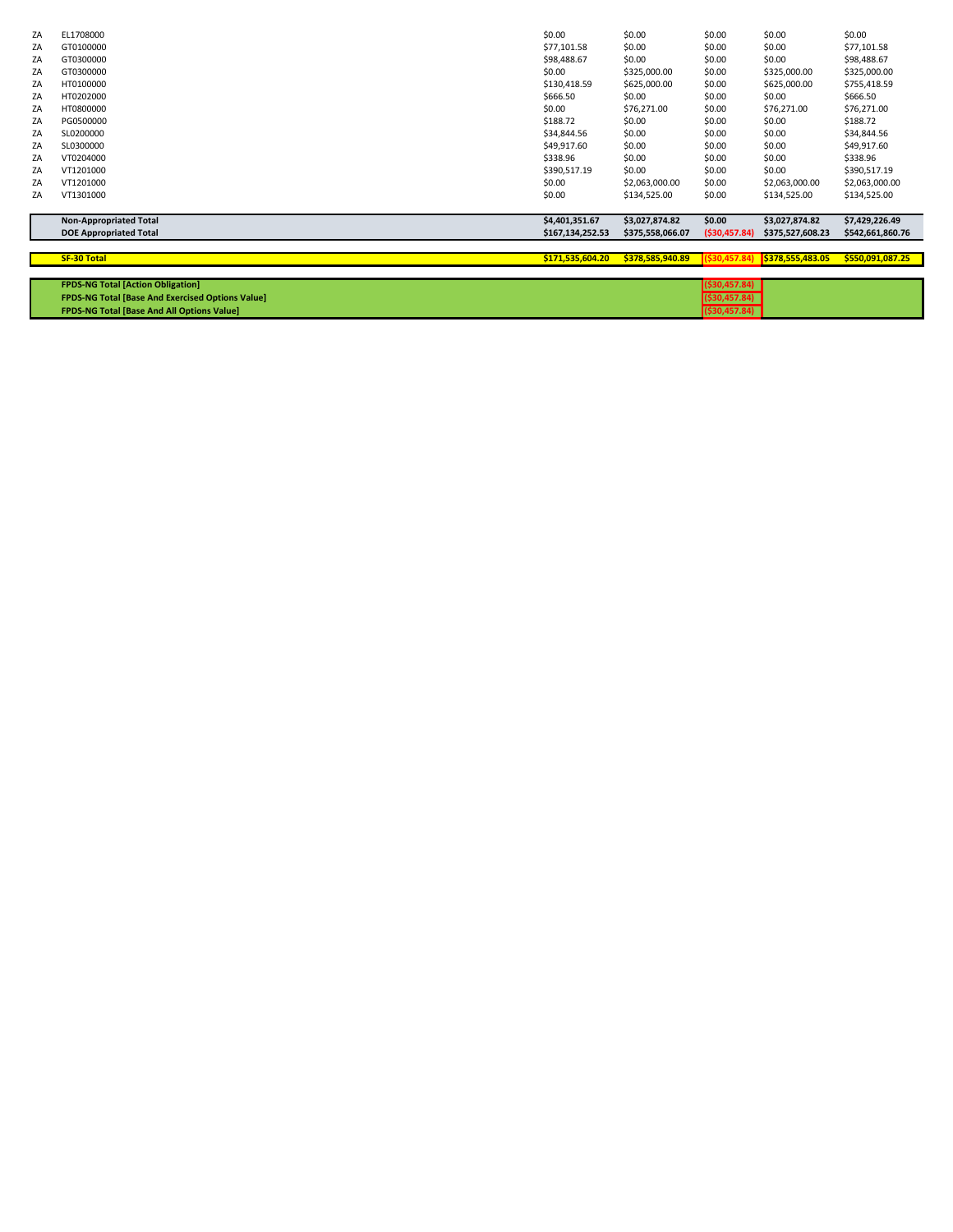| ZA | EL1708000                                               | \$0.00           | \$0.00           | \$0.00         | \$0.00           | \$0.00           |
|----|---------------------------------------------------------|------------------|------------------|----------------|------------------|------------------|
| ZA | GT0100000                                               | \$77,101.58      | \$0.00           | \$0.00         | \$0.00           | \$77,101.58      |
| ZA | GT0300000                                               | \$98,488.67      | \$0.00           | \$0.00         | \$0.00           | \$98,488.67      |
| ZA | GT0300000                                               | \$0.00           | \$325,000.00     | \$0.00         | \$325,000.00     | \$325,000.00     |
| ZA | HT0100000                                               | \$130,418.59     | \$625,000.00     | \$0.00         | \$625,000.00     | \$755,418.59     |
| ZA | HT0202000                                               | \$666.50         | \$0.00           | \$0.00         | \$0.00           | \$666.50         |
| ZA | HT0800000                                               | \$0.00           | \$76,271.00      | \$0.00         | \$76,271.00      | \$76,271.00      |
| ZA | PG0500000                                               | \$188.72         | \$0.00           | \$0.00         | \$0.00           | \$188.72         |
| ZA | SL0200000                                               | \$34,844.56      | \$0.00           | \$0.00         | \$0.00           | \$34,844.56      |
| ZA | SL0300000                                               | \$49,917.60      | \$0.00           | \$0.00         | \$0.00           | \$49,917.60      |
| ZA | VT0204000                                               | \$338.96         | \$0.00           | \$0.00         | \$0.00           | \$338.96         |
| ZA | VT1201000                                               | \$390,517.19     | \$0.00           | \$0.00         | \$0.00           | \$390,517.19     |
| ZA | VT1201000                                               | \$0.00           | \$2,063,000.00   | \$0.00         | \$2,063,000.00   | \$2,063,000.00   |
| ZA | VT1301000                                               | \$0.00           | \$134,525.00     | \$0.00         | \$134,525.00     | \$134,525.00     |
|    |                                                         |                  |                  |                |                  |                  |
|    | <b>Non-Appropriated Total</b>                           | \$4,401,351.67   | \$3,027,874.82   | \$0.00         | \$3,027,874.82   | \$7,429,226.49   |
|    | <b>DOE Appropriated Total</b>                           | \$167,134,252.53 | \$375,558,066.07 | ( \$30,457.84) | \$375,527,608.23 | \$542,661,860.76 |
|    |                                                         |                  |                  |                |                  |                  |
|    | <b>SF-30 Total</b>                                      | \$171,535,604.20 | \$378,585,940.89 | \$30,457.84    | \$378,555,483.05 | \$550,091,087.25 |
|    |                                                         |                  |                  |                |                  |                  |
|    | <b>FPDS-NG Total [Action Obligation]</b>                |                  |                  | ( \$30,457.84) |                  |                  |
|    | <b>FPDS-NG Total [Base And Exercised Options Value]</b> |                  |                  | ( \$30,457.84) |                  |                  |
|    | <b>FPDS-NG Total [Base And All Options Value]</b>       |                  |                  | ( \$30,457.84) |                  |                  |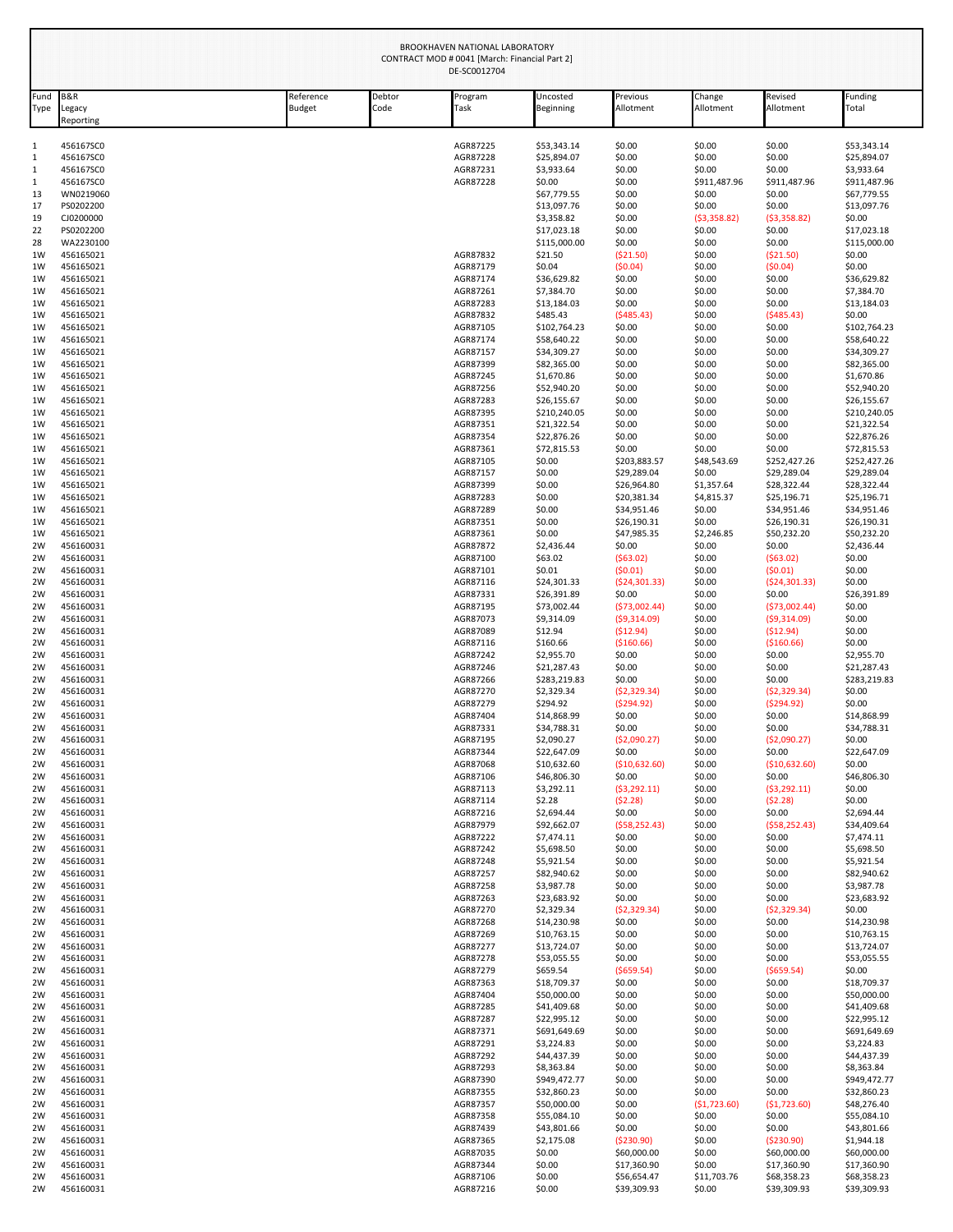|              |                           |                            |                | BROOKHAVEN NATIONAL LABORATORY<br>CONTRACT MOD # 0041 [March: Financial Part 2]<br>DE-SC0012704 |                             |                             |                        |                             |                             |
|--------------|---------------------------|----------------------------|----------------|-------------------------------------------------------------------------------------------------|-----------------------------|-----------------------------|------------------------|-----------------------------|-----------------------------|
| Fund<br>Type | B&R<br>egacy<br>Reporting | Reference<br><b>Budget</b> | Debtor<br>Code | Program<br>Task                                                                                 | Uncosted<br>Beginning       | Previous<br>Allotment       | Change<br>Allotment    | Revised<br>Allotment        | Funding<br>Total            |
| 1            | 456167SC0                 |                            |                | AGR87225                                                                                        | \$53,343.14                 | \$0.00                      | \$0.00                 | \$0.00                      | \$53,343.14                 |
| 1            | 456167SC0                 |                            |                | AGR87228                                                                                        | \$25,894.07                 | \$0.00                      | \$0.00                 | \$0.00                      | \$25,894.07                 |
| 1            | 456167SC0                 |                            |                | AGR87231                                                                                        | \$3,933.64                  | \$0.00                      | \$0.00                 | \$0.00                      | \$3,933.64                  |
| 1<br>13      | 456167SC0<br>WN0219060    |                            |                | AGR87228                                                                                        | \$0.00<br>\$67,779.55       | \$0.00<br>\$0.00            | \$911,487.96<br>\$0.00 | \$911,487.96<br>\$0.00      | \$911,487.96<br>\$67,779.55 |
| 17           | PS0202200                 |                            |                |                                                                                                 | \$13,097.76                 | \$0.00                      | \$0.00                 | \$0.00                      | \$13,097.76                 |
| 19           | CJ0200000                 |                            |                |                                                                                                 | \$3,358.82                  | \$0.00                      | (53,358.82)            | (53,358.82)                 | \$0.00                      |
| 22           | PS0202200                 |                            |                |                                                                                                 | \$17,023.18                 | \$0.00                      | \$0.00                 | \$0.00                      | \$17,023.18                 |
| 28           | WA2230100                 |                            |                |                                                                                                 | \$115,000.00                | \$0.00                      | \$0.00                 | \$0.00                      | \$115,000.00                |
| 1W<br>1W     | 456165021<br>456165021    |                            |                | AGR87832<br>AGR87179                                                                            | \$21.50<br>\$0.04           | ( \$21.50)<br>(50.04)       | \$0.00<br>\$0.00       | (521.50)<br>(50.04)         | \$0.00<br>\$0.00            |
| 1W           | 456165021                 |                            |                | AGR87174                                                                                        | \$36,629.82                 | \$0.00                      | \$0.00                 | \$0.00                      | \$36,629.82                 |
| 1W           | 456165021                 |                            |                | AGR87261                                                                                        | \$7,384.70                  | \$0.00                      | \$0.00                 | \$0.00                      | \$7,384.70                  |
| 1W           | 456165021                 |                            |                | AGR87283                                                                                        | \$13,184.03                 | \$0.00                      | \$0.00                 | \$0.00                      | \$13,184.03                 |
| 1W           | 456165021                 |                            |                | AGR87832                                                                                        | \$485.43                    | (5485.43)                   | \$0.00                 | (5485.43)                   | \$0.00                      |
| 1W<br>1W     | 456165021<br>456165021    |                            |                | AGR87105<br>AGR87174                                                                            | \$102,764.23<br>\$58.640.22 | \$0.00<br>\$0.00            | \$0.00<br>\$0.00       | \$0.00<br>\$0.00            | \$102,764.23<br>\$58,640.22 |
| 1W           | 456165021                 |                            |                | AGR87157                                                                                        | \$34,309.27                 | \$0.00                      | \$0.00                 | \$0.00                      | \$34,309.27                 |
| 1W           | 456165021                 |                            |                | AGR87399                                                                                        | \$82,365.00                 | \$0.00                      | \$0.00                 | \$0.00                      | \$82,365.00                 |
| 1W           | 456165021                 |                            |                | AGR87245                                                                                        | \$1,670.86                  | \$0.00                      | \$0.00                 | \$0.00                      | \$1,670.86                  |
| 1W           | 456165021                 |                            |                | AGR87256                                                                                        | \$52,940.20                 | \$0.00                      | \$0.00                 | \$0.00                      | \$52,940.20                 |
| 1W<br>1W     | 456165021<br>456165021    |                            |                | AGR87283<br>AGR87395                                                                            | \$26,155.67<br>\$210,240.05 | \$0.00<br>\$0.00            | \$0.00<br>\$0.00       | \$0.00<br>\$0.00            | \$26,155.67<br>\$210,240.05 |
| 1W           | 456165021                 |                            |                | AGR87351                                                                                        | \$21,322.54                 | \$0.00                      | \$0.00                 | \$0.00                      | \$21,322.54                 |
| 1W           | 456165021                 |                            |                | AGR87354                                                                                        | \$22,876.26                 | \$0.00                      | \$0.00                 | \$0.00                      | \$22,876.26                 |
| 1W           | 456165021                 |                            |                | AGR87361                                                                                        | \$72,815.53                 | \$0.00                      | \$0.00                 | \$0.00                      | \$72,815.53                 |
| 1W<br>1W     | 456165021<br>456165021    |                            |                | AGR87105<br>AGR87157                                                                            | \$0.00<br>\$0.00            | \$203,883.57<br>\$29,289.04 | \$48,543.69<br>\$0.00  | \$252,427.26<br>\$29,289.04 | \$252,427.26<br>\$29,289.04 |
| 1W           | 456165021                 |                            |                | AGR87399                                                                                        | \$0.00                      | \$26,964.80                 | \$1,357.64             | \$28,322.44                 | \$28,322.44                 |
| 1W           | 456165021                 |                            |                | AGR87283                                                                                        | \$0.00                      | \$20,381.34                 | \$4,815.37             | \$25,196.71                 | \$25,196.71                 |
| 1W           | 456165021                 |                            |                | AGR87289                                                                                        | \$0.00                      | \$34,951.46                 | \$0.00                 | \$34,951.46                 | \$34,951.46                 |
| 1W<br>1W     | 456165021<br>456165021    |                            |                | AGR87351<br>AGR87361                                                                            | \$0.00<br>\$0.00            | \$26,190.31<br>\$47,985.35  | \$0.00<br>\$2,246.85   | \$26,190.31<br>\$50,232.20  | \$26,190.31<br>\$50,232.20  |
| 2W           | 456160031                 |                            |                | AGR87872                                                                                        | \$2,436.44                  | \$0.00                      | \$0.00                 | \$0.00                      | \$2,436.44                  |
| 2W           | 456160031                 |                            |                | AGR87100                                                                                        | \$63.02                     | (563.02)                    | \$0.00                 | (563.02)                    | \$0.00                      |
| 2W           | 456160031                 |                            |                | AGR87101                                                                                        | \$0.01                      | (50.01)                     | \$0.00                 | (50.01)                     | \$0.00                      |
| 2W<br>2W     | 456160031<br>456160031    |                            |                | AGR87116<br>AGR87331                                                                            | \$24,301.33<br>\$26,391.89  | (524, 301.33)<br>\$0.00     | \$0.00<br>\$0.00       | (524, 301.33)<br>\$0.00     | \$0.00<br>\$26,391.89       |
| 2W           | 456160031                 |                            |                | AGR87195                                                                                        | \$73,002.44                 | (573,002.44)                | \$0.00                 | (573,002.44)                | \$0.00                      |
| 2W           | 456160031                 |                            |                | AGR87073                                                                                        | \$9,314.09                  | (59,314.09)                 | \$0.00                 | (59,314.09)                 | \$0.00                      |
| 2W           | 456160031                 |                            |                | AGR87089                                                                                        | \$12.94                     | (512.94)                    | \$0.00                 | (512.94)                    | \$0.00                      |
| 2W<br>2W     | 456160031<br>456160031    |                            |                | AGR87116<br>AGR87242                                                                            | \$160.66<br>\$2,955.70      | ( \$160.66)<br>\$0.00       | \$0.00<br>\$0.00       | ( \$160.66)<br>\$0.00       | \$0.00<br>\$2,955.70        |
| 2W           | 456160031                 |                            |                | AGR87246                                                                                        | \$21,287.43                 | \$0.00                      | \$0.00                 | \$0.00                      | \$21,287.43                 |
| 2W           | 456160031                 |                            |                | AGR87266                                                                                        | \$283,219.83                | \$0.00                      | \$0.00                 | \$0.00                      | \$283,219.83                |
| 2W           | 456160031                 |                            |                | AGR87270                                                                                        | \$2,329.34                  | (52, 329.34)                | \$0.00                 | (52, 329.34)                | \$0.00                      |
| 2W<br>2W     | 456160031<br>456160031    |                            |                | AGR87279<br>AGR87404                                                                            | \$294.92<br>\$14,868.99     | (5294.92)<br>\$0.00         | \$0.00<br>\$0.00       | (5294.92)<br>\$0.00         | \$0.00<br>\$14,868.99       |
| 2W           | 456160031                 |                            |                | AGR87331                                                                                        | \$34,788.31                 | \$0.00                      | \$0.00                 | \$0.00                      | \$34,788.31                 |
| 2W           | 456160031                 |                            |                | AGR87195                                                                                        | \$2,090.27                  | (52,090.27)                 | \$0.00                 | ( \$2,090.27)               | \$0.00                      |
| 2W           | 456160031                 |                            |                | AGR87344                                                                                        | \$22,647.09                 | \$0.00                      | \$0.00                 | \$0.00                      | \$22,647.09                 |
| 2W<br>2W     | 456160031<br>456160031    |                            |                | AGR87068<br>AGR87106                                                                            | \$10,632.60<br>\$46,806.30  | (\$10,632.60)<br>\$0.00     | \$0.00<br>\$0.00       | (\$10,632.60)<br>\$0.00     | \$0.00<br>\$46,806.30       |
| 2W           | 456160031                 |                            |                | AGR87113                                                                                        | \$3,292.11                  | (53, 292.11)                | \$0.00                 | (53, 292.11)                | \$0.00                      |
| 2W           | 456160031                 |                            |                | AGR87114                                                                                        | \$2.28                      | (52.28)                     | \$0.00                 | (52.28)                     | \$0.00                      |
| 2W           | 456160031                 |                            |                | AGR87216                                                                                        | \$2,694.44                  | \$0.00                      | \$0.00                 | \$0.00                      | \$2,694.44                  |
| 2W<br>2W     | 456160031<br>456160031    |                            |                | AGR87979<br>AGR87222                                                                            | \$92,662.07<br>\$7,474.11   | (558, 252.43)<br>\$0.00     | \$0.00<br>\$0.00       | ( \$58, 252.43)<br>\$0.00   | \$34,409.64<br>\$7,474.11   |
| 2W           | 456160031                 |                            |                | AGR87242                                                                                        | \$5,698.50                  | \$0.00                      | \$0.00                 | \$0.00                      | \$5,698.50                  |
| 2W           | 456160031                 |                            |                | AGR87248                                                                                        | \$5,921.54                  | \$0.00                      | \$0.00                 | \$0.00                      | \$5,921.54                  |
| 2W<br>2W     | 456160031<br>456160031    |                            |                | AGR87257<br>AGR87258                                                                            | \$82,940.62                 | \$0.00<br>\$0.00            | \$0.00<br>\$0.00       | \$0.00<br>\$0.00            | \$82,940.62<br>\$3,987.78   |
| 2W           | 456160031                 |                            |                | AGR87263                                                                                        | \$3,987.78<br>\$23,683.92   | \$0.00                      | \$0.00                 | \$0.00                      | \$23,683.92                 |
| 2W           | 456160031                 |                            |                | AGR87270                                                                                        | \$2,329.34                  | (52, 329.34)                | \$0.00                 | (52, 329.34)                | \$0.00                      |
| 2W           | 456160031                 |                            |                | AGR87268                                                                                        | \$14,230.98                 | \$0.00                      | \$0.00                 | \$0.00                      | \$14,230.98                 |
| 2W<br>2W     | 456160031<br>456160031    |                            |                | AGR87269<br>AGR87277                                                                            | \$10,763.15<br>\$13,724.07  | \$0.00<br>\$0.00            | \$0.00<br>\$0.00       | \$0.00<br>\$0.00            | \$10,763.15<br>\$13,724.07  |
| 2W           | 456160031                 |                            |                | AGR87278                                                                                        | \$53,055.55                 | \$0.00                      | \$0.00                 | \$0.00                      | \$53,055.55                 |
| 2W           | 456160031                 |                            |                | AGR87279                                                                                        | \$659.54                    | ( \$659.54)                 | \$0.00                 | ( \$659.54)                 | \$0.00                      |
| 2W           | 456160031                 |                            |                | AGR87363                                                                                        | \$18,709.37                 | \$0.00                      | \$0.00                 | \$0.00                      | \$18,709.37                 |
| 2W<br>2W     | 456160031<br>456160031    |                            |                | AGR87404<br>AGR87285                                                                            | \$50,000.00                 | \$0.00                      | \$0.00<br>\$0.00       | \$0.00<br>\$0.00            | \$50,000.00<br>\$41,409.68  |
| 2W           | 456160031                 |                            |                | AGR87287                                                                                        | \$41,409.68<br>\$22,995.12  | \$0.00<br>\$0.00            | \$0.00                 | \$0.00                      | \$22,995.12                 |
| 2W           | 456160031                 |                            |                | AGR87371                                                                                        | \$691,649.69                | \$0.00                      | \$0.00                 | \$0.00                      | \$691,649.69                |
| 2W           | 456160031                 |                            |                | AGR87291                                                                                        | \$3,224.83                  | \$0.00                      | \$0.00                 | \$0.00                      | \$3,224.83                  |
| 2W           | 456160031                 |                            |                | AGR87292                                                                                        | \$44,437.39                 | \$0.00                      | \$0.00                 | \$0.00                      | \$44,437.39                 |
| 2W<br>2W     | 456160031<br>456160031    |                            |                | AGR87293<br>AGR87390                                                                            | \$8,363.84<br>\$949,472.77  | \$0.00<br>\$0.00            | \$0.00<br>\$0.00       | \$0.00<br>\$0.00            | \$8,363.84<br>\$949,472.77  |
| 2W           | 456160031                 |                            |                | AGR87355                                                                                        | \$32,860.23                 | \$0.00                      | \$0.00                 | \$0.00                      | \$32,860.23                 |
| 2W           | 456160031                 |                            |                | AGR87357                                                                                        | \$50,000.00                 | \$0.00                      | (51,723.60)            | (51, 723.60)                | \$48,276.40                 |
| 2W           | 456160031                 |                            |                | AGR87358                                                                                        | \$55,084.10                 | \$0.00                      | \$0.00                 | \$0.00                      | \$55,084.10                 |
| 2W<br>2W     | 456160031<br>456160031    |                            |                | AGR87439<br>AGR87365                                                                            | \$43,801.66<br>\$2,175.08   | \$0.00<br>( \$230.90)       | \$0.00<br>\$0.00       | \$0.00<br>( \$230.90)       | \$43,801.66<br>\$1,944.18   |
| 2W           | 456160031                 |                            |                | AGR87035                                                                                        | \$0.00                      | \$60,000.00                 | \$0.00                 | \$60,000.00                 | \$60,000.00                 |
| 2W           | 456160031                 |                            |                | AGR87344                                                                                        | \$0.00                      | \$17,360.90                 | \$0.00                 | \$17,360.90                 | \$17,360.90                 |
| 2W           | 456160031                 |                            |                | AGR87106                                                                                        | \$0.00                      | \$56,654.47                 | \$11,703.76            | \$68,358.23                 | \$68,358.23                 |
| 2W           | 456160031                 |                            |                | AGR87216                                                                                        | \$0.00                      | \$39,309.93                 | \$0.00                 | \$39,309.93                 | \$39,309.93                 |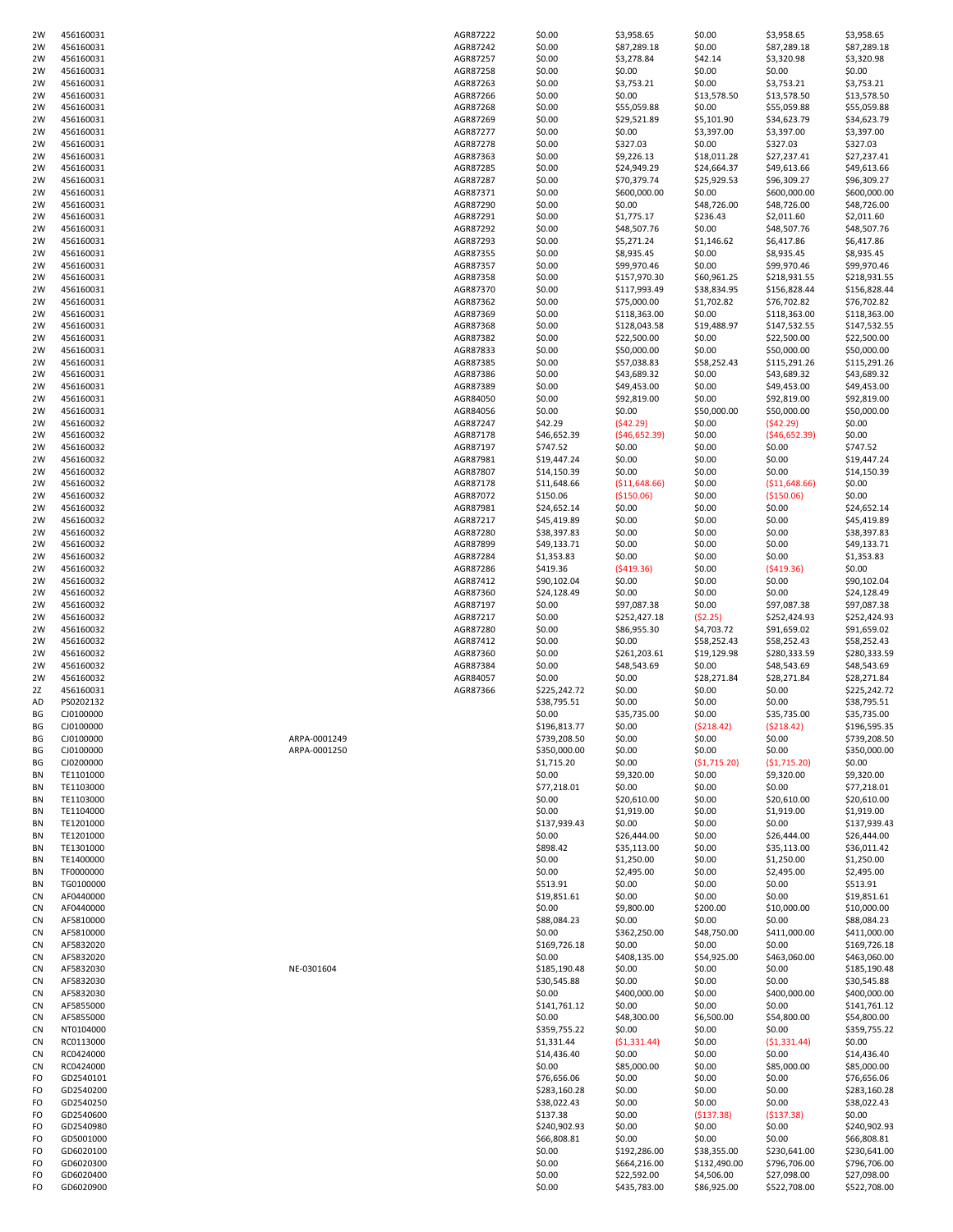| 2W        | 456160031 |              | AGR87222 | \$0.00       | \$3,958.65     | \$0.00                   | \$3,958.65     | \$3,958.65   |
|-----------|-----------|--------------|----------|--------------|----------------|--------------------------|----------------|--------------|
| 2W        | 456160031 |              | AGR87242 | \$0.00       | \$87,289.18    | \$0.00                   | \$87,289.18    | \$87,289.18  |
| 2W        | 456160031 |              | AGR87257 | \$0.00       | \$3,278.84     | \$42.14                  | \$3,320.98     | \$3,320.98   |
| 2W        | 456160031 |              | AGR87258 | \$0.00       | \$0.00         | \$0.00                   | \$0.00         | \$0.00       |
| 2W        | 456160031 |              | AGR87263 | \$0.00       | \$3,753.21     | \$0.00                   | \$3,753.21     | \$3,753.21   |
| 2W        | 456160031 |              | AGR87266 | \$0.00       | \$0.00         | \$13,578.50              | \$13,578.50    | \$13,578.50  |
| 2W        | 456160031 |              | AGR87268 | \$0.00       | \$55,059.88    | \$0.00                   | \$55,059.88    | \$55,059.88  |
| 2W        | 456160031 |              | AGR87269 | \$0.00       | \$29,521.89    |                          | \$34,623.79    | \$34,623.79  |
|           |           |              |          |              |                | \$5,101.90<br>\$3,397.00 |                |              |
| 2W        | 456160031 |              | AGR87277 | \$0.00       | \$0.00         |                          | \$3,397.00     | \$3,397.00   |
| 2W        | 456160031 |              | AGR87278 | \$0.00       | \$327.03       | \$0.00                   | \$327.03       | \$327.03     |
| 2W        | 456160031 |              | AGR87363 | \$0.00       | \$9,226.13     | \$18,011.28              | \$27,237.41    | \$27,237.41  |
| 2W        | 456160031 |              | AGR87285 | \$0.00       | \$24,949.29    | \$24,664.37              | \$49,613.66    | \$49,613.66  |
| 2W        | 456160031 |              | AGR87287 | \$0.00       | \$70,379.74    | \$25,929.53              | \$96,309.27    | \$96,309.27  |
| 2W        | 456160031 |              | AGR87371 | \$0.00       | \$600,000.00   | \$0.00                   | \$600,000.00   | \$600,000.00 |
| 2W        | 456160031 |              | AGR87290 | \$0.00       | \$0.00         | \$48,726.00              | \$48,726.00    | \$48,726.00  |
| 2W        | 456160031 |              | AGR87291 | \$0.00       | \$1,775.17     | \$236.43                 | \$2,011.60     | \$2,011.60   |
| 2W        | 456160031 |              | AGR87292 | \$0.00       | \$48,507.76    | \$0.00                   | \$48,507.76    | \$48,507.76  |
| 2W        | 456160031 |              | AGR87293 | \$0.00       | \$5,271.24     | \$1,146.62               | \$6,417.86     | \$6,417.86   |
| 2W        | 456160031 |              | AGR87355 | \$0.00       | \$8,935.45     | \$0.00                   | \$8,935.45     | \$8,935.45   |
| 2W        | 456160031 |              | AGR87357 | \$0.00       | \$99,970.46    | \$0.00                   | \$99,970.46    | \$99,970.46  |
| 2W        | 456160031 |              | AGR87358 | \$0.00       | \$157,970.30   | \$60,961.25              | \$218,931.55   | \$218,931.55 |
| 2W        | 456160031 |              | AGR87370 | \$0.00       | \$117,993.49   | \$38,834.95              | \$156,828.44   | \$156,828.44 |
| 2W        | 456160031 |              | AGR87362 | \$0.00       | \$75,000.00    | \$1,702.82               | \$76,702.82    | \$76,702.82  |
| 2W        | 456160031 |              | AGR87369 | \$0.00       | \$118,363.00   | \$0.00                   | \$118,363.00   | \$118,363.00 |
| 2W        | 456160031 |              | AGR87368 | \$0.00       | \$128,043.58   | \$19,488.97              | \$147,532.55   | \$147,532.55 |
| 2W        | 456160031 |              | AGR87382 | \$0.00       | \$22,500.00    | \$0.00                   | \$22,500.00    | \$22,500.00  |
| 2W        | 456160031 |              | AGR87833 | \$0.00       | \$50,000.00    | \$0.00                   | \$50,000.00    | \$50,000.00  |
| 2W        | 456160031 |              | AGR87385 | \$0.00       | \$57,038.83    | \$58,252.43              | \$115,291.26   | \$115,291.26 |
| 2W        | 456160031 |              | AGR87386 | \$0.00       | \$43,689.32    | \$0.00                   | \$43,689.32    | \$43,689.32  |
| 2W        | 456160031 |              | AGR87389 | \$0.00       | \$49,453.00    | \$0.00                   | \$49,453.00    | \$49,453.00  |
| 2W        | 456160031 |              | AGR84050 | \$0.00       | \$92,819.00    | \$0.00                   | \$92,819.00    | \$92,819.00  |
| 2W        | 456160031 |              | AGR84056 | \$0.00       | \$0.00         | \$50,000.00              | \$50,000.00    | \$50,000.00  |
| 2W        | 456160032 |              | AGR87247 | \$42.29      | (542.29)       | \$0.00                   | (542.29)       | \$0.00       |
| 2W        | 456160032 |              | AGR87178 | \$46,652.39  | (546, 652.39)  | \$0.00                   | (546, 652.39)  | \$0.00       |
| 2W        | 456160032 |              | AGR87197 | \$747.52     | \$0.00         | \$0.00                   | \$0.00         | \$747.52     |
|           | 456160032 |              | AGR87981 |              |                |                          |                |              |
| 2W        |           |              |          | \$19,447.24  | \$0.00         | \$0.00                   | \$0.00         | \$19,447.24  |
| 2W        | 456160032 |              | AGR87807 | \$14,150.39  | \$0.00         | \$0.00                   | \$0.00         | \$14,150.39  |
| 2W        | 456160032 |              | AGR87178 | \$11,648.66  | ( \$11,648.66) | \$0.00                   | ( \$11,648.66) | \$0.00       |
| 2W        | 456160032 |              | AGR87072 | \$150.06     | (\$150.06)     | \$0.00                   | ( \$150.06)    | \$0.00       |
| 2W        | 456160032 |              | AGR87981 | \$24,652.14  | \$0.00         | \$0.00                   | \$0.00         | \$24,652.14  |
| 2W        | 456160032 |              | AGR87217 | \$45,419.89  | \$0.00         | \$0.00                   | \$0.00         | \$45,419.89  |
| 2W        | 456160032 |              | AGR87280 | \$38,397.83  | \$0.00         | \$0.00                   | \$0.00         | \$38,397.83  |
| 2W        | 456160032 |              | AGR87899 | \$49,133.71  | \$0.00         | \$0.00                   | \$0.00         | \$49,133.71  |
| 2W        | 456160032 |              | AGR87284 | \$1,353.83   | \$0.00         | \$0.00                   | \$0.00         | \$1,353.83   |
| 2W        | 456160032 |              | AGR87286 | \$419.36     | (5419.36)      | \$0.00                   | (5419.36)      | \$0.00       |
| 2W        | 456160032 |              | AGR87412 | \$90,102.04  | \$0.00         | \$0.00                   | \$0.00         | \$90,102.04  |
| 2W        | 456160032 |              | AGR87360 | \$24,128.49  | \$0.00         | \$0.00                   | \$0.00         | \$24,128.49  |
| 2W        | 456160032 |              | AGR87197 | \$0.00       | \$97,087.38    | \$0.00                   | \$97,087.38    | \$97,087.38  |
| 2W        | 456160032 |              | AGR87217 | \$0.00       | \$252,427.18   | (52.25)                  | \$252,424.93   | \$252,424.93 |
| 2W        | 456160032 |              | AGR87280 | \$0.00       | \$86,955.30    | \$4,703.72               | \$91,659.02    | \$91,659.02  |
| 2W        | 456160032 |              | AGR87412 | \$0.00       | \$0.00         | \$58,252.43              | \$58,252.43    | \$58,252.43  |
| 2W        | 456160032 |              | AGR87360 | \$0.00       | \$261,203.61   | \$19,129.98              | \$280,333.59   | \$280,333.59 |
| 2W        | 456160032 |              | AGR87384 | \$0.00       | \$48,543.69    | \$0.00                   | \$48,543.69    | \$48,543.69  |
| 2W        | 456160032 |              | AGR84057 | \$0.00       | \$0.00         | \$28,271.84              | \$28,271.84    | \$28,271.84  |
| 2Z        | 456160031 |              | AGR87366 | \$225,242.72 | \$0.00         | \$0.00                   | \$0.00         | \$225,242.72 |
| AD        | PS0202132 |              |          | \$38,795.51  | \$0.00         | \$0.00                   | \$0.00         | \$38,795.51  |
| ВG        | CJ0100000 |              |          | \$0.00       | \$35,735.00    | \$0.00                   | \$35,735.00    | \$35,735.00  |
| ΒG        | CJ0100000 |              |          | \$196,813.77 | \$0.00         | (5218.42)                | (5218.42)      | \$196,595.35 |
| ΒG        | CJ0100000 | ARPA-0001249 |          | \$739,208.50 | \$0.00         | \$0.00                   | \$0.00         | \$739,208.50 |
| BG        | CJ0100000 | ARPA-0001250 |          | \$350,000.00 | \$0.00         | \$0.00                   | \$0.00         | \$350,000.00 |
| ΒG        | CJ0200000 |              |          | \$1,715.20   | \$0.00         | (51, 715.20)             | (51, 715.20)   | \$0.00       |
| ΒN        | TE1101000 |              |          | \$0.00       | \$9,320.00     | \$0.00                   | \$9,320.00     | \$9,320.00   |
| BN        | TE1103000 |              |          | \$77,218.01  | \$0.00         | \$0.00                   | \$0.00         | \$77,218.01  |
| BN        | TE1103000 |              |          | \$0.00       | \$20,610.00    | \$0.00                   | \$20,610.00    | \$20,610.00  |
| BN        | TE1104000 |              |          | \$0.00       | \$1,919.00     | \$0.00                   | \$1,919.00     | \$1,919.00   |
| BN        | TE1201000 |              |          | \$137,939.43 | \$0.00         | \$0.00                   | \$0.00         | \$137,939.43 |
| BN        | TE1201000 |              |          | \$0.00       | \$26,444.00    | \$0.00                   | \$26,444.00    | \$26,444.00  |
| BN        | TE1301000 |              |          | \$898.42     | \$35,113.00    | \$0.00                   | \$35,113.00    | \$36,011.42  |
| BN        | TE1400000 |              |          | \$0.00       | \$1,250.00     | \$0.00                   | \$1,250.00     | \$1,250.00   |
| BN        | TF0000000 |              |          | \$0.00       | \$2,495.00     | \$0.00                   | \$2,495.00     | \$2,495.00   |
| BN        | TG0100000 |              |          | \$513.91     | \$0.00         | \$0.00                   | \$0.00         | \$513.91     |
| <b>CN</b> | AF0440000 |              |          | \$19,851.61  | \$0.00         | \$0.00                   | \$0.00         | \$19,851.61  |
| <b>CN</b> | AF0440000 |              |          | \$0.00       | \$9,800.00     | \$200.00                 | \$10,000.00    | \$10,000.00  |
| CN        | AF5810000 |              |          | \$88,084.23  | \$0.00         | \$0.00                   | \$0.00         | \$88,084.23  |
| <b>CN</b> | AF5810000 |              |          | \$0.00       | \$362,250.00   | \$48,750.00              | \$411,000.00   | \$411,000.00 |
| <b>CN</b> | AF5832020 |              |          | \$169,726.18 | \$0.00         | \$0.00                   | \$0.00         | \$169,726.18 |
| <b>CN</b> | AF5832020 |              |          | \$0.00       | \$408,135.00   | \$54,925.00              | \$463,060.00   | \$463,060.00 |
| <b>CN</b> | AF5832030 | NE-0301604   |          | \$185,190.48 | \$0.00         | \$0.00                   | \$0.00         | \$185,190.48 |
| CN        | AF5832030 |              |          | \$30,545.88  | \$0.00         | \$0.00                   | \$0.00         | \$30,545.88  |
| <b>CN</b> | AF5832030 |              |          | \$0.00       | \$400,000.00   | \$0.00                   | \$400,000.00   | \$400,000.00 |
| <b>CN</b> | AF5855000 |              |          |              | \$0.00         | \$0.00                   | \$0.00         | \$141,761.12 |
|           |           |              |          | \$141,761.12 |                |                          |                |              |
| <b>CN</b> | AF5855000 |              |          | \$0.00       | \$48,300.00    | \$6,500.00               | \$54,800.00    | \$54,800.00  |
| <b>CN</b> | NT0104000 |              |          | \$359,755.22 | \$0.00         | \$0.00                   | \$0.00         | \$359,755.22 |
| CN        | RC0113000 |              |          | \$1,331.44   | (51, 331.44)   | \$0.00                   | (51, 331.44)   | \$0.00       |
| CN        | RC0424000 |              |          | \$14,436.40  | \$0.00         | \$0.00                   | \$0.00         | \$14,436.40  |
| <b>CN</b> | RC0424000 |              |          | \$0.00       | \$85,000.00    | \$0.00                   | \$85,000.00    | \$85,000.00  |
| FO        | GD2540101 |              |          | \$76,656.06  | \$0.00         | \$0.00                   | \$0.00         | \$76,656.06  |
| FO        | GD2540200 |              |          | \$283,160.28 | \$0.00         | \$0.00                   | \$0.00         | \$283,160.28 |
| FO        | GD2540250 |              |          | \$38,022.43  | \$0.00         | \$0.00                   | \$0.00         | \$38,022.43  |
| FO        | GD2540600 |              |          | \$137.38     | \$0.00         | ( \$137.38)              | (5137.38)      | \$0.00       |
| FO        | GD2540980 |              |          | \$240,902.93 | \$0.00         | \$0.00                   | \$0.00         | \$240,902.93 |
| FO        | GD5001000 |              |          | \$66,808.81  | \$0.00         | \$0.00                   | \$0.00         | \$66,808.81  |
| FO        | GD6020100 |              |          | \$0.00       | \$192,286.00   | \$38,355.00              | \$230,641.00   | \$230,641.00 |
| FO        | GD6020300 |              |          | \$0.00       | \$664,216.00   | \$132,490.00             | \$796,706.00   | \$796,706.00 |
| FO        | GD6020400 |              |          | \$0.00       | \$22,592.00    | \$4,506.00               | \$27,098.00    | \$27,098.00  |
| FO        | GD6020900 |              |          | \$0.00       | \$435,783.00   | \$86,925.00              | \$522,708.00   | \$522,708.00 |
|           |           |              |          |              |                |                          |                |              |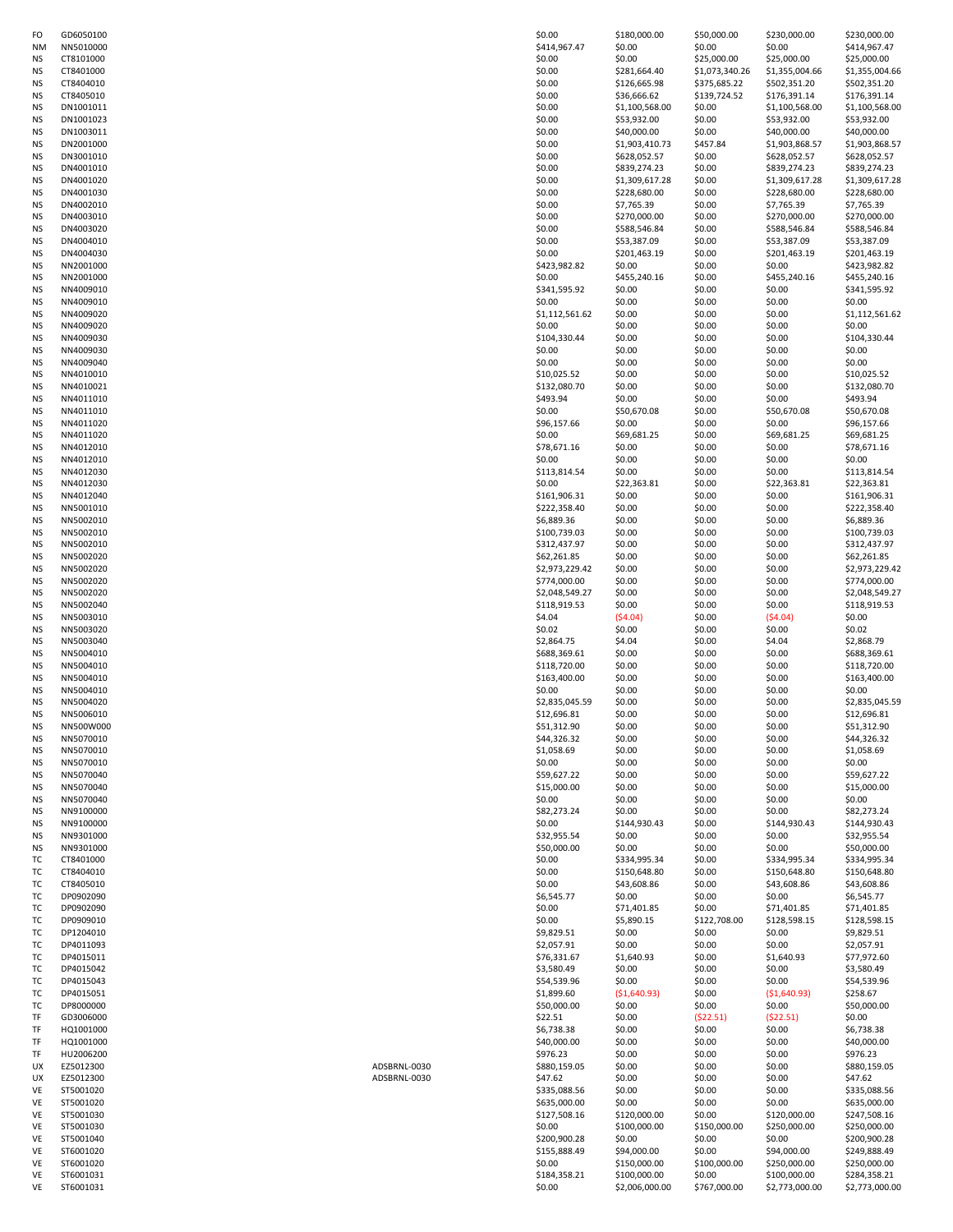| FO        | GD6050100 |              | \$0.00         | \$180,000.00   | \$50,000.00    | \$230,000.00   | \$230,000.00   |
|-----------|-----------|--------------|----------------|----------------|----------------|----------------|----------------|
| <b>NM</b> | NN5010000 |              | \$414,967.47   | \$0.00         | \$0.00         | \$0.00         | \$414,967.47   |
| <b>NS</b> | CT8101000 |              | \$0.00         | \$0.00         | \$25,000.00    | \$25,000.00    | \$25,000.00    |
| <b>NS</b> | CT8401000 |              | \$0.00         | \$281,664.40   | \$1,073,340.26 | \$1,355,004.66 | \$1,355,004.66 |
| <b>NS</b> | CT8404010 |              | \$0.00         | \$126,665.98   | \$375,685.22   | \$502,351.20   | \$502,351.20   |
| <b>NS</b> | CT8405010 |              | \$0.00         | \$36,666.62    | \$139,724.52   | \$176,391.14   | \$176,391.14   |
| <b>NS</b> | DN1001011 |              | \$0.00         | \$1,100,568.00 | \$0.00         | \$1,100,568.00 | \$1,100,568.00 |
| <b>NS</b> | DN1001023 |              | \$0.00         | \$53,932.00    | \$0.00         | \$53,932.00    | \$53,932.00    |
| <b>NS</b> | DN1003011 |              | \$0.00         | \$40,000.00    | \$0.00         | \$40,000.00    | \$40,000.00    |
| <b>NS</b> | DN2001000 |              | \$0.00         | \$1,903,410.73 | \$457.84       | \$1,903,868.57 | \$1,903,868.57 |
| <b>NS</b> | DN3001010 |              | \$0.00         | \$628,052.57   | \$0.00         | \$628,052.57   | \$628,052.57   |
| <b>NS</b> | DN4001010 |              | \$0.00         | \$839,274.23   | \$0.00         | \$839,274.23   | \$839,274.23   |
|           |           |              |                |                |                | \$1,309,617.28 |                |
| <b>NS</b> | DN4001020 |              | \$0.00         | \$1,309,617.28 | \$0.00         |                | \$1,309,617.28 |
| <b>NS</b> | DN4001030 |              | \$0.00         | \$228,680.00   | \$0.00         | \$228,680.00   | \$228,680.00   |
| <b>NS</b> | DN4002010 |              | \$0.00         | \$7,765.39     | \$0.00         | \$7,765.39     | \$7,765.39     |
| <b>NS</b> | DN4003010 |              | \$0.00         | \$270,000.00   | \$0.00         | \$270,000.00   | \$270,000.00   |
| <b>NS</b> | DN4003020 |              | \$0.00         | \$588,546.84   | \$0.00         | \$588,546.84   | \$588,546.84   |
| <b>NS</b> | DN4004010 |              | \$0.00         | \$53,387.09    | \$0.00         | \$53,387.09    | \$53,387.09    |
| <b>NS</b> | DN4004030 |              | \$0.00         | \$201,463.19   | \$0.00         | \$201,463.19   | \$201,463.19   |
| <b>NS</b> | NN2001000 |              | \$423,982.82   | \$0.00         | \$0.00         | \$0.00         | \$423,982.82   |
| <b>NS</b> | NN2001000 |              | \$0.00         | \$455,240.16   | \$0.00         | \$455,240.16   | \$455,240.16   |
| <b>NS</b> | NN4009010 |              | \$341,595.92   | \$0.00         | \$0.00         | \$0.00         | \$341,595.92   |
| <b>NS</b> | NN4009010 |              | \$0.00         | \$0.00         | \$0.00         | \$0.00         | \$0.00         |
| <b>NS</b> | NN4009020 |              | \$1,112,561.62 | \$0.00         | \$0.00         | \$0.00         | \$1,112,561.62 |
| <b>NS</b> | NN4009020 |              | \$0.00         | \$0.00         | \$0.00         | \$0.00         | \$0.00         |
| <b>NS</b> | NN4009030 |              | \$104,330.44   | \$0.00         | \$0.00         | \$0.00         | \$104,330.44   |
| <b>NS</b> | NN4009030 |              | \$0.00         | \$0.00         | \$0.00         | \$0.00         | \$0.00         |
|           |           |              |                |                |                |                |                |
| <b>NS</b> | NN4009040 |              | \$0.00         | \$0.00         | \$0.00         | \$0.00         | \$0.00         |
| <b>NS</b> | NN4010010 |              | \$10,025.52    | \$0.00         | \$0.00         | \$0.00         | \$10,025.52    |
| <b>NS</b> | NN4010021 |              | \$132,080.70   | \$0.00         | \$0.00         | \$0.00         | \$132,080.70   |
| <b>NS</b> | NN4011010 |              | \$493.94       | \$0.00         | \$0.00         | \$0.00         | \$493.94       |
| <b>NS</b> | NN4011010 |              | \$0.00         | \$50,670.08    | \$0.00         | \$50,670.08    | \$50,670.08    |
| <b>NS</b> | NN4011020 |              | \$96,157.66    | \$0.00         | \$0.00         | \$0.00         | \$96,157.66    |
| <b>NS</b> | NN4011020 |              | \$0.00         | \$69,681.25    | \$0.00         | \$69,681.25    | \$69,681.25    |
| <b>NS</b> | NN4012010 |              | \$78,671.16    | \$0.00         | \$0.00         | \$0.00         | \$78,671.16    |
| <b>NS</b> | NN4012010 |              | \$0.00         | \$0.00         | \$0.00         | \$0.00         | \$0.00         |
| <b>NS</b> | NN4012030 |              | \$113,814.54   | \$0.00         | \$0.00         | \$0.00         | \$113,814.54   |
| <b>NS</b> | NN4012030 |              | \$0.00         | \$22,363.81    | \$0.00         | \$22,363.81    | \$22,363.81    |
| <b>NS</b> | NN4012040 |              | \$161,906.31   | \$0.00         | \$0.00         | \$0.00         | \$161,906.31   |
| <b>NS</b> | NN5001010 |              | \$222,358.40   | \$0.00         | \$0.00         | \$0.00         | \$222,358.40   |
| <b>NS</b> | NN5002010 |              | \$6,889.36     | \$0.00         | \$0.00         | \$0.00         | \$6,889.36     |
| <b>NS</b> | NN5002010 |              | \$100,739.03   | \$0.00         | \$0.00         | \$0.00         | \$100,739.03   |
|           |           |              |                |                |                |                |                |
| <b>NS</b> | NN5002010 |              | \$312,437.97   | \$0.00         | \$0.00         | \$0.00         | \$312,437.97   |
| <b>NS</b> | NN5002020 |              | \$62,261.85    | \$0.00         | \$0.00         | \$0.00         | \$62,261.85    |
| <b>NS</b> | NN5002020 |              | \$2,973,229.42 | \$0.00         | \$0.00         | \$0.00         | \$2,973,229.42 |
| <b>NS</b> | NN5002020 |              | \$774,000.00   | \$0.00         | \$0.00         | \$0.00         | \$774,000.00   |
| <b>NS</b> | NN5002020 |              | \$2,048,549.27 | \$0.00         | \$0.00         | \$0.00         | \$2,048,549.27 |
| <b>NS</b> | NN5002040 |              | \$118,919.53   | \$0.00         | \$0.00         | \$0.00         | \$118,919.53   |
| <b>NS</b> | NN5003010 |              | \$4.04         | (54.04)        | \$0.00         | (54.04)        | \$0.00         |
| <b>NS</b> | NN5003020 |              | \$0.02         | \$0.00         | \$0.00         | \$0.00         | \$0.02         |
| <b>NS</b> | NN5003040 |              | \$2,864.75     | \$4.04         | \$0.00         | \$4.04         | \$2,868.79     |
| <b>NS</b> | NN5004010 |              | \$688,369.61   | \$0.00         | \$0.00         | \$0.00         | \$688,369.61   |
| <b>NS</b> | NN5004010 |              | \$118,720.00   | \$0.00         | \$0.00         | \$0.00         | \$118,720.00   |
| <b>NS</b> | NN5004010 |              | \$163,400.00   | \$0.00         | \$0.00         | \$0.00         | \$163,400.00   |
| <b>NS</b> | NN5004010 |              | \$0.00         | \$0.00         | \$0.00         | \$0.00         | \$0.00         |
| <b>NS</b> | NN5004020 |              | \$2,835,045.59 | \$0.00         | \$0.00         | \$0.00         | \$2,835,045.59 |
| <b>NS</b> | NN5006010 |              | \$12,696.81    | \$0.00         | \$0.00         | \$0.00         | \$12,696.81    |
| NS        | NN500W000 |              |                | \$0.00         | \$0.00         | \$0.00         |                |
|           |           |              | \$51,312.90    |                |                |                | \$51,312.90    |
| <b>NS</b> | NN5070010 |              | \$44,326.32    | \$0.00         | \$0.00         | \$0.00         | \$44,326.32    |
| <b>NS</b> | NN5070010 |              | \$1,058.69     | \$0.00         | \$0.00         | \$0.00         | \$1,058.69     |
| <b>NS</b> | NN5070010 |              | \$0.00         | \$0.00         | \$0.00         | \$0.00         | \$0.00         |
| <b>NS</b> | NN5070040 |              | \$59,627.22    | \$0.00         | \$0.00         | \$0.00         | \$59,627.22    |
| <b>NS</b> | NN5070040 |              | \$15,000.00    | \$0.00         | \$0.00         | \$0.00         | \$15,000.00    |
| <b>NS</b> | NN5070040 |              | \$0.00         | \$0.00         | \$0.00         | \$0.00         | \$0.00         |
| <b>NS</b> | NN9100000 |              | \$82,273.24    | \$0.00         | \$0.00         | \$0.00         | \$82,273.24    |
| <b>NS</b> | NN9100000 |              | \$0.00         | \$144,930.43   | \$0.00         | \$144,930.43   | \$144,930.43   |
| <b>NS</b> | NN9301000 |              | \$32,955.54    | \$0.00         | \$0.00         | \$0.00         | \$32,955.54    |
| <b>NS</b> | NN9301000 |              | \$50,000.00    | \$0.00         | \$0.00         | \$0.00         | \$50,000.00    |
| TC        | CT8401000 |              | \$0.00         | \$334,995.34   | \$0.00         | \$334,995.34   | \$334,995.34   |
| TC        | CT8404010 |              | \$0.00         | \$150,648.80   | \$0.00         | \$150,648.80   | \$150,648.80   |
| TC        | CT8405010 |              | \$0.00         | \$43,608.86    | \$0.00         | \$43,608.86    | \$43,608.86    |
| TC        | DP0902090 |              | \$6,545.77     | \$0.00         | \$0.00         | \$0.00         | \$6,545.77     |
| TC        | DP0902090 |              | \$0.00         | \$71,401.85    | \$0.00         | \$71,401.85    | \$71,401.85    |
| ТC        | DP0909010 |              | \$0.00         | \$5,890.15     | \$122,708.00   | \$128,598.15   | \$128,598.15   |
|           |           |              |                |                |                |                |                |
| TC        | DP1204010 |              | \$9,829.51     | \$0.00         | \$0.00         | \$0.00         | \$9,829.51     |
| TC        | DP4011093 |              | \$2,057.91     | \$0.00         | \$0.00         | \$0.00         | \$2,057.91     |
| TC        | DP4015011 |              | \$76,331.67    | \$1,640.93     | \$0.00         | \$1,640.93     | \$77,972.60    |
| TC        | DP4015042 |              | \$3,580.49     | \$0.00         | \$0.00         | \$0.00         | \$3,580.49     |
| TC        | DP4015043 |              | \$54,539.96    | \$0.00         | \$0.00         | \$0.00         | \$54,539.96    |
| TC        | DP4015051 |              | \$1,899.60     | ( \$1,640.93)  | \$0.00         | ( \$1,640.93)  | \$258.67       |
| TC        | DP8000000 |              | \$50,000.00    | \$0.00         | \$0.00         | \$0.00         | \$50,000.00    |
| TF        | GD3006000 |              | \$22.51        | \$0.00         | (522.51)       | (522.51)       | \$0.00         |
| TF        | HQ1001000 |              | \$6,738.38     | \$0.00         | \$0.00         | \$0.00         | \$6,738.38     |
| TF        | HQ1001000 |              | \$40,000.00    | \$0.00         | \$0.00         | \$0.00         | \$40,000.00    |
| TF        | HU2006200 |              | \$976.23       | \$0.00         | \$0.00         | \$0.00         | \$976.23       |
| UX        | EZ5012300 | ADSBRNL-0030 | \$880,159.05   | \$0.00         | \$0.00         | \$0.00         | \$880,159.05   |
| UX        | EZ5012300 | ADSBRNL-0030 | \$47.62        | \$0.00         | \$0.00         | \$0.00         | \$47.62        |
| VE        | ST5001020 |              | \$335,088.56   | \$0.00         | \$0.00         | \$0.00         | \$335,088.56   |
|           |           |              |                |                |                |                |                |
| VE        | ST5001020 |              | \$635,000.00   | \$0.00         | \$0.00         | \$0.00         | \$635,000.00   |
| VE        | ST5001030 |              | \$127,508.16   | \$120,000.00   | \$0.00         | \$120,000.00   | \$247,508.16   |
| VE        | ST5001030 |              | \$0.00         | \$100,000.00   | \$150,000.00   | \$250,000.00   | \$250,000.00   |
| VE        | ST5001040 |              | \$200,900.28   | \$0.00         | \$0.00         | \$0.00         | \$200,900.28   |
| VE        | ST6001020 |              | \$155,888.49   | \$94,000.00    | \$0.00         | \$94,000.00    | \$249,888.49   |
| VE        | ST6001020 |              | \$0.00         | \$150,000.00   | \$100,000.00   | \$250,000.00   | \$250,000.00   |
| VE        | ST6001031 |              | \$184,358.21   | \$100,000.00   | \$0.00         | \$100,000.00   | \$284,358.21   |
| <b>VF</b> | ST6001031 |              | 50.00          | \$2,006,000,00 | \$767,000.00   | \$2,773,000.00 | \$2,773,000,00 |

| NΜ | NN5010000 |              | \$414,967.47   | \$0.00         | \$0.00         | \$0.00         | \$414,967.47   |
|----|-----------|--------------|----------------|----------------|----------------|----------------|----------------|
| ΝS | CT8101000 |              | \$0.00         | \$0.00         | \$25,000.00    | \$25,000.00    | \$25,000.00    |
| ΝS | CT8401000 |              | \$0.00         | \$281,664.40   | \$1,073,340.26 | \$1,355,004.66 | \$1,355,004.66 |
| ΝS | CT8404010 |              | \$0.00         | \$126,665.98   | \$375,685.22   | \$502,351.20   | \$502,351.20   |
| ΝS | CT8405010 |              | \$0.00         | \$36,666.62    | \$139,724.52   | \$176,391.14   | \$176,391.14   |
|    |           |              |                |                |                |                |                |
| ΝS | DN1001011 |              | \$0.00         | \$1,100,568.00 | \$0.00         | \$1,100,568.00 | \$1,100,568.00 |
| ΝS | DN1001023 |              | \$0.00         | \$53,932.00    | \$0.00         | \$53,932.00    | \$53,932.00    |
| ΝS | DN1003011 |              | \$0.00         | \$40,000.00    | \$0.00         | \$40,000.00    | \$40,000.00    |
| ΝS | DN2001000 |              | \$0.00         | \$1,903,410.73 | \$457.84       | \$1,903,868.57 | \$1,903,868.57 |
| ΝS | DN3001010 |              | \$0.00         | \$628,052.57   | \$0.00         | \$628,052.57   | \$628,052.57   |
| ΝS | DN4001010 |              | \$0.00         | \$839,274.23   | \$0.00         | \$839,274.23   | \$839,274.23   |
| ΝS | DN4001020 |              | \$0.00         | \$1,309,617.28 | \$0.00         | \$1,309,617.28 | \$1,309,617.28 |
| ΝS | DN4001030 |              | \$0.00         | \$228,680.00   | \$0.00         | \$228,680.00   | \$228,680.00   |
| ΝS | DN4002010 |              | \$0.00         | \$7,765.39     | \$0.00         | \$7,765.39     | \$7,765.39     |
| ΝS | DN4003010 |              | \$0.00         | \$270,000.00   | \$0.00         | \$270,000.00   | \$270,000.00   |
| ΝS | DN4003020 |              | \$0.00         | \$588,546.84   | \$0.00         | \$588,546.84   | \$588,546.84   |
| ΝS | DN4004010 |              | \$0.00         | \$53,387.09    | \$0.00         | \$53,387.09    | \$53,387.09    |
| ΝS | DN4004030 |              | \$0.00         | \$201,463.19   | \$0.00         | \$201,463.19   | \$201,463.19   |
| ΝS | NN2001000 |              | \$423,982.82   | \$0.00         | \$0.00         | \$0.00         | \$423,982.82   |
| ΝS | NN2001000 |              | \$0.00         | \$455,240.16   | \$0.00         | \$455,240.16   | \$455,240.16   |
|    | NN4009010 |              | \$341,595.92   | \$0.00         | \$0.00         | \$0.00         | \$341,595.92   |
| ΝS |           |              |                |                |                |                |                |
| ΝS | NN4009010 |              | \$0.00         | \$0.00         | \$0.00         | \$0.00         | \$0.00         |
| ΝS | NN4009020 |              | \$1,112,561.62 | \$0.00         | \$0.00         | \$0.00         | \$1,112,561.62 |
| ΝS | NN4009020 |              | \$0.00         | \$0.00         | \$0.00         | \$0.00         | \$0.00         |
| ΝS | NN4009030 |              | \$104,330.44   | \$0.00         | \$0.00         | \$0.00         | \$104,330.44   |
| ΝS | NN4009030 |              | \$0.00         | \$0.00         | \$0.00         | \$0.00         | \$0.00         |
| ΝS | NN4009040 |              | \$0.00         | \$0.00         | \$0.00         | \$0.00         | \$0.00         |
| ΝS | NN4010010 |              | \$10,025.52    | \$0.00         | \$0.00         | \$0.00         | \$10,025.52    |
| ΝS | NN4010021 |              | \$132,080.70   | \$0.00         | \$0.00         | \$0.00         | \$132,080.70   |
| ΝS | NN4011010 |              | \$493.94       | \$0.00         | \$0.00         | \$0.00         | \$493.94       |
| ΝS | NN4011010 |              | \$0.00         | \$50,670.08    | \$0.00         | \$50,670.08    | \$50,670.08    |
| ΝS | NN4011020 |              | \$96,157.66    | \$0.00         | \$0.00         | \$0.00         | \$96,157.66    |
|    | NN4011020 |              | \$0.00         |                | \$0.00         |                |                |
| ΝS |           |              |                | \$69,681.25    |                | \$69,681.25    | \$69,681.25    |
| ΝS | NN4012010 |              | \$78,671.16    | \$0.00         | \$0.00         | \$0.00         | \$78,671.16    |
| ΝS | NN4012010 |              | \$0.00         | \$0.00         | \$0.00         | \$0.00         | \$0.00         |
| ΝS | NN4012030 |              | \$113,814.54   | \$0.00         | \$0.00         | \$0.00         | \$113,814.54   |
| ΝS | NN4012030 |              | \$0.00         | \$22,363.81    | \$0.00         | \$22,363.81    | \$22,363.81    |
| ΝS | NN4012040 |              | \$161,906.31   | \$0.00         | \$0.00         | \$0.00         | \$161,906.31   |
| ΝS | NN5001010 |              | \$222,358.40   | \$0.00         | \$0.00         | \$0.00         | \$222,358.40   |
| ΝS | NN5002010 |              | \$6,889.36     | \$0.00         | \$0.00         | \$0.00         | \$6,889.36     |
| ΝS | NN5002010 |              | \$100,739.03   | \$0.00         | \$0.00         | \$0.00         | \$100,739.03   |
| ΝS | NN5002010 |              | \$312,437.97   | \$0.00         | \$0.00         | \$0.00         | \$312,437.97   |
| ΝS | NN5002020 |              | \$62,261.85    | \$0.00         | \$0.00         | \$0.00         | \$62,261.85    |
|    |           |              |                |                |                |                |                |
| ΝS | NN5002020 |              | \$2,973,229.42 | \$0.00         | \$0.00         | \$0.00         | \$2,973,229.42 |
| ΝS | NN5002020 |              | \$774,000.00   | \$0.00         | \$0.00         | \$0.00         | \$774,000.00   |
| ΝS | NN5002020 |              | \$2,048,549.27 | \$0.00         | \$0.00         | \$0.00         | \$2,048,549.27 |
| ΝS | NN5002040 |              | \$118,919.53   | \$0.00         | \$0.00         | \$0.00         | \$118,919.53   |
| ΝS | NN5003010 |              | \$4.04         | (54.04)        | \$0.00         | (54.04)        | \$0.00         |
| ΝS | NN5003020 |              | \$0.02         | \$0.00         | \$0.00         | \$0.00         | \$0.02         |
| ΝS | NN5003040 |              | \$2,864.75     | \$4.04         | \$0.00         | \$4.04         | \$2,868.79     |
| ΝS | NN5004010 |              | \$688,369.61   | \$0.00         | \$0.00         | \$0.00         | \$688,369.61   |
| ΝS | NN5004010 |              | \$118,720.00   | \$0.00         | \$0.00         | \$0.00         | \$118,720.00   |
|    | NN5004010 |              | \$163,400.00   |                | \$0.00         |                | \$163,400.00   |
| ΝS |           |              |                | \$0.00         |                | \$0.00         |                |
| ΝS | NN5004010 |              | \$0.00         | \$0.00         | \$0.00         | \$0.00         | \$0.00         |
| ΝS | NN5004020 |              | \$2,835,045.59 | \$0.00         | \$0.00         | \$0.00         | \$2,835,045.59 |
| ΝS | NN5006010 |              | \$12,696.81    | \$0.00         | \$0.00         | \$0.00         | \$12,696.81    |
| ΝS | NN500W000 |              | \$51,312.90    | \$0.00         | \$0.00         | \$0.00         | \$51,312.90    |
| NS | NN5070010 |              | \$44,326.32    | \$0.00         | \$0.00         | \$0.00         | \$44,326.32    |
| ΝS | NN5070010 |              | \$1,058.69     | \$0.00         | \$0.00         | \$0.00         | \$1,058.69     |
| ΝS | NN5070010 |              | \$0.00         | \$0.00         | \$0.00         | \$0.00         | \$0.00         |
| ΝS | NN5070040 |              | \$59,627.22    | \$0.00         | \$0.00         | \$0.00         | \$59,627.22    |
| ΝS | NN5070040 |              | \$15,000.00    | \$0.00         | \$0.00         | \$0.00         | \$15,000.00    |
| ΝS | NN5070040 |              | \$0.00         | \$0.00         | \$0.00         | \$0.00         | \$0.00         |
| ΝS | NN9100000 |              | \$82,273.24    | \$0.00         | \$0.00         | \$0.00         | \$82,273.24    |
| ΝS | NN9100000 |              | \$0.00         | \$144,930.43   | \$0.00         | \$144,930.43   | \$144,930.43   |
|    |           |              |                |                |                |                |                |
| ΝS | NN9301000 |              | \$32,955.54    | \$0.00         | \$0.00         | \$0.00         | \$32,955.54    |
| ΝS | NN9301000 |              | \$50,000.00    | \$0.00         | \$0.00         | \$0.00         | \$50,000.00    |
| ТC | CT8401000 |              | \$0.00         | \$334,995.34   | \$0.00         | \$334,995.34   | \$334,995.34   |
| ТC | CT8404010 |              | \$0.00         | \$150,648.80   | \$0.00         | \$150,648.80   | \$150,648.80   |
| тс | CT8405010 |              | \$0.00         | \$43,608.86    | \$0.00         | \$43,608.86    | \$43,608.86    |
| ТC | DP0902090 |              | \$6,545.77     | \$0.00         | \$0.00         | \$0.00         | \$6,545.77     |
| ТC | DP0902090 |              | \$0.00         | \$71,401.85    | \$0.00         | \$71,401.85    | \$71,401.85    |
| ТC | DP0909010 |              | \$0.00         | \$5,890.15     | \$122,708.00   | \$128,598.15   | \$128,598.15   |
| ТC | DP1204010 |              | \$9,829.51     | \$0.00         | \$0.00         | \$0.00         | \$9,829.51     |
| ТC | DP4011093 |              | \$2,057.91     | \$0.00         | \$0.00         | \$0.00         | \$2,057.91     |
| ТC | DP4015011 |              | \$76,331.67    | \$1,640.93     | \$0.00         | \$1,640.93     | \$77,972.60    |
| ТC | DP4015042 |              | \$3,580.49     | \$0.00         | \$0.00         | \$0.00         | \$3,580.49     |
| тс | DP4015043 |              | \$54,539.96    | \$0.00         | \$0.00         | \$0.00         | \$54,539.96    |
| ТC | DP4015051 |              | \$1,899.60     | (\$1,640.93)   | \$0.00         | ( \$1,640.93)  | \$258.67       |
|    |           |              |                |                |                |                |                |
| ТC | DP8000000 |              | \$50,000.00    | \$0.00         | \$0.00         | \$0.00         | \$50,000.00    |
| TF | GD3006000 |              | \$22.51        | \$0.00         | (522.51)       | ( \$22.51)     | \$0.00         |
| TF | HQ1001000 |              | \$6,738.38     | \$0.00         | \$0.00         | \$0.00         | \$6,738.38     |
| TF | HQ1001000 |              | \$40,000.00    | \$0.00         | \$0.00         | \$0.00         | \$40,000.00    |
| TF | HU2006200 |              | \$976.23       | \$0.00         | \$0.00         | \$0.00         | \$976.23       |
| UX | EZ5012300 | ADSBRNL-0030 | \$880,159.05   | \$0.00         | \$0.00         | \$0.00         | \$880,159.05   |
| UX | EZ5012300 | ADSBRNL-0030 | \$47.62        | \$0.00         | \$0.00         | \$0.00         | \$47.62        |
| VE | ST5001020 |              | \$335,088.56   | \$0.00         | \$0.00         | \$0.00         | \$335,088.56   |
| VE | ST5001020 |              | \$635,000.00   | \$0.00         | \$0.00         | \$0.00         | \$635,000.00   |
| VE | ST5001030 |              | \$127,508.16   | \$120,000.00   | \$0.00         | \$120,000.00   | \$247,508.16   |
|    |           |              |                |                |                |                |                |
| VE | ST5001030 |              | \$0.00         | \$100,000.00   | \$150,000.00   | \$250,000.00   | \$250,000.00   |
| VE | ST5001040 |              | \$200,900.28   | \$0.00         | \$0.00         | \$0.00         | \$200,900.28   |
| VE | ST6001020 |              | \$155,888.49   | \$94,000.00    | \$0.00         | \$94,000.00    | \$249,888.49   |
| VE | ST6001020 |              | \$0.00         | \$150,000.00   | \$100,000.00   | \$250,000.00   | \$250,000.00   |
| VE | ST6001031 |              | \$184,358.21   | \$100,000.00   | \$0.00         | \$100,000.00   | \$284,358.21   |
| VE | ST6001031 |              | \$0.00         | \$2,006,000.00 | \$767,000.00   | \$2,773,000.00 | \$2,773,000.00 |
|    |           |              |                |                |                |                |                |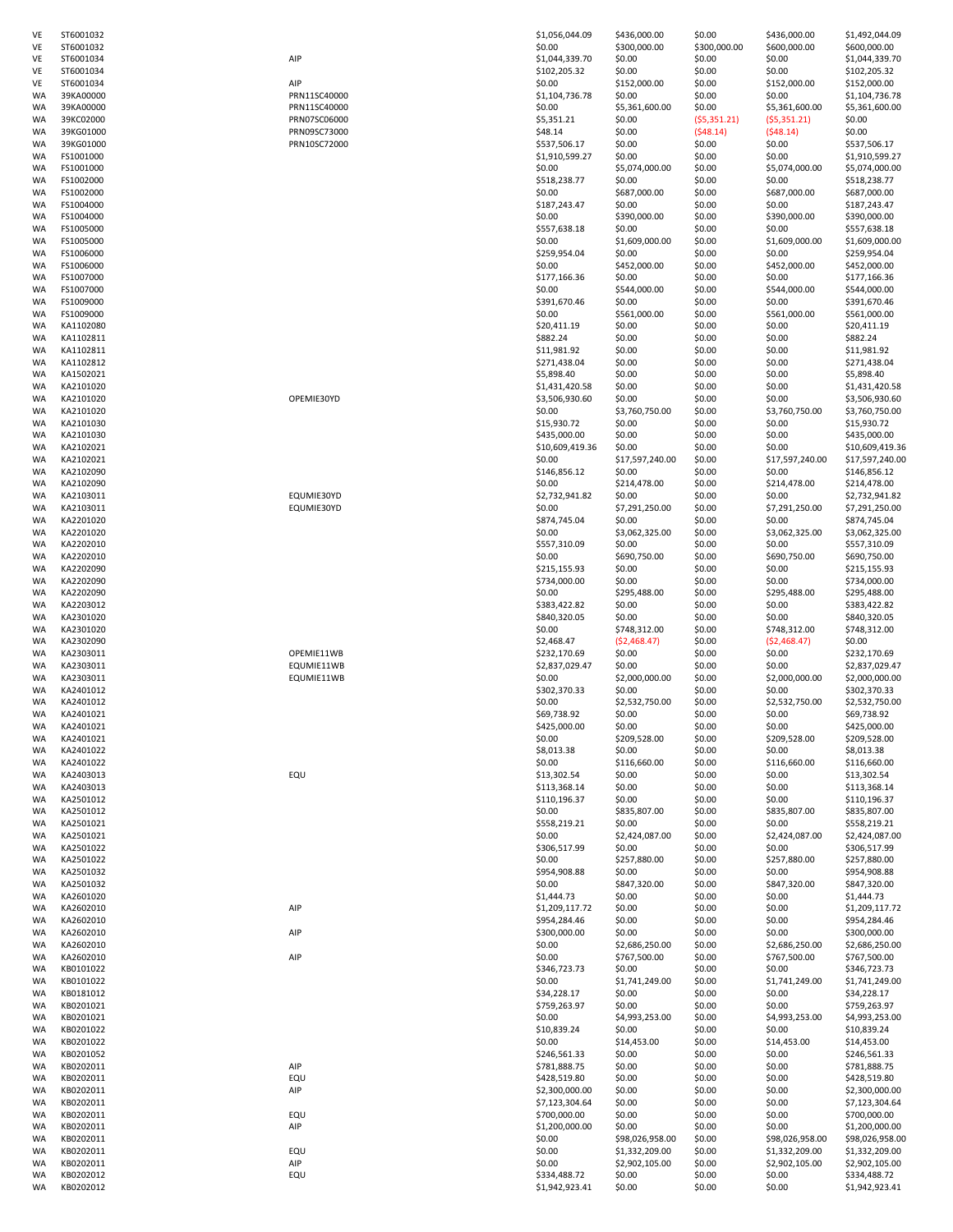| VE       | ST6001032              |              | \$1,056,044.09               | \$436,000.00           | \$0.00                 | \$436,000.00           | \$1,492,044.09                 |
|----------|------------------------|--------------|------------------------------|------------------------|------------------------|------------------------|--------------------------------|
| VE<br>VE | ST6001032<br>ST6001034 | AIP          | \$0.00<br>\$1,044,339.70     | \$300,000.00<br>\$0.00 | \$300,000.00<br>\$0.00 | \$600,000.00<br>\$0.00 | \$600,000.00<br>\$1,044,339.70 |
| VE       | ST6001034              |              | \$102,205.32                 | \$0.00                 | \$0.00                 | \$0.00                 | \$102,205.32                   |
| VE       | ST6001034              | AIP          | \$0.00                       | \$152,000.00           | \$0.00                 | \$152,000.00           | \$152,000.00                   |
| WA       | 39KA00000              | PRN11SC40000 | \$1,104,736.78               | \$0.00                 | \$0.00                 | \$0.00                 | \$1,104,736.78                 |
| WA       | 39KA00000              | PRN11SC40000 | \$0.00                       | \$5,361,600.00         | \$0.00                 | \$5,361,600.00         | \$5,361,600.00                 |
| WA       | 39KC02000              | PRN07SC06000 | \$5,351.21                   | \$0.00                 | (55,351.21)            | (55, 351.21)           | \$0.00                         |
| WA       | 39KG01000              | PRN09SC73000 | \$48.14                      | \$0.00                 | (548.14)               | (548.14)               | \$0.00                         |
| WA       | 39KG01000              | PRN10SC72000 | \$537,506.17                 | \$0.00                 | \$0.00                 | \$0.00                 | \$537,506.17                   |
| WA       | FS1001000              |              | \$1,910,599.27               | \$0.00                 | \$0.00                 | \$0.00                 | \$1,910,599.27                 |
| WA       | FS1001000              |              | \$0.00                       | \$5,074,000.00         | \$0.00                 | \$5,074,000.00         | \$5,074,000.00                 |
| WA       | FS1002000              |              | \$518,238.77                 | \$0.00                 | \$0.00                 | \$0.00                 | \$518,238.77                   |
| WA<br>WA | FS1002000<br>FS1004000 |              | \$0.00<br>\$187,243.47       | \$687,000.00<br>\$0.00 | \$0.00<br>\$0.00       | \$687,000.00<br>\$0.00 | \$687,000.00<br>\$187,243.47   |
| WA       | FS1004000              |              | \$0.00                       | \$390,000.00           | \$0.00                 | \$390,000.00           | \$390,000.00                   |
| WA       | FS1005000              |              | \$557,638.18                 | \$0.00                 | \$0.00                 | \$0.00                 | \$557,638.18                   |
| WA       | FS1005000              |              | \$0.00                       | \$1,609,000.00         | \$0.00                 | \$1,609,000.00         | \$1,609,000.00                 |
| WA       | FS1006000              |              | \$259,954.04                 | \$0.00                 | \$0.00                 | \$0.00                 | \$259,954.04                   |
| WA       | FS1006000              |              | \$0.00                       | \$452,000.00           | \$0.00                 | \$452,000.00           | \$452,000.00                   |
| WA       | FS1007000              |              | \$177,166.36                 | \$0.00                 | \$0.00                 | \$0.00                 | \$177,166.36                   |
| WA       | FS1007000              |              | \$0.00                       | \$544,000.00           | \$0.00                 | \$544,000.00           | \$544,000.00                   |
| WA       | FS1009000              |              | \$391,670.46                 | \$0.00                 | \$0.00                 | \$0.00                 | \$391,670.46                   |
| WA       | FS1009000              |              | \$0.00                       | \$561,000.00           | \$0.00                 | \$561,000.00           | \$561,000.00                   |
| WA       | KA1102080              |              | \$20,411.19                  | \$0.00                 | \$0.00                 | \$0.00                 | \$20,411.19                    |
| WA       | KA1102811              |              | \$882.24                     | \$0.00                 | \$0.00                 | \$0.00                 | \$882.24                       |
| WA       | KA1102811              |              | \$11,981.92                  | \$0.00                 | \$0.00                 | \$0.00                 | \$11,981.92                    |
| WA       | KA1102812              |              | \$271,438.04                 | \$0.00                 | \$0.00                 | \$0.00                 | \$271,438.04                   |
| WA<br>WA | KA1502021<br>KA2101020 |              | \$5,898.40<br>\$1,431,420.58 | \$0.00<br>\$0.00       | \$0.00<br>\$0.00       | \$0.00<br>\$0.00       | \$5,898.40<br>\$1,431,420.58   |
| WA       | KA2101020              | OPEMIE30YD   | \$3,506,930.60               | \$0.00                 | \$0.00                 | \$0.00                 | \$3,506,930.60                 |
| WA       | KA2101020              |              | \$0.00                       | \$3,760,750.00         | \$0.00                 | \$3,760,750.00         | \$3,760,750.00                 |
| WA       | KA2101030              |              | \$15,930.72                  | \$0.00                 | \$0.00                 | \$0.00                 | \$15,930.72                    |
| WA       | KA2101030              |              | \$435,000.00                 | \$0.00                 | \$0.00                 | \$0.00                 | \$435,000.00                   |
| WA       | KA2102021              |              | \$10,609,419.36              | \$0.00                 | \$0.00                 | \$0.00                 | \$10,609,419.3                 |
| WA       | KA2102021              |              | \$0.00                       | \$17,597,240.00        | \$0.00                 | \$17,597,240.00        | \$17,597,240.0                 |
| WA       | KA2102090              |              | \$146,856.12                 | \$0.00                 | \$0.00                 | \$0.00                 | \$146,856.12                   |
| WA       | KA2102090              |              | \$0.00                       | \$214,478.00           | \$0.00                 | \$214,478.00           | \$214,478.00                   |
| WA       | KA2103011              | EQUMIE30YD   | \$2,732,941.82               | \$0.00                 | \$0.00                 | \$0.00                 | \$2,732,941.82                 |
| WA       | KA2103011              | EQUMIE30YD   | \$0.00                       | \$7,291,250.00         | \$0.00                 | \$7,291,250.00         | \$7,291,250.00                 |
| WA       | KA2201020              |              | \$874,745.04                 | \$0.00                 | \$0.00                 | \$0.00                 | \$874,745.04                   |
| WA       | KA2201020              |              | \$0.00                       | \$3,062,325.00         | \$0.00                 | \$3,062,325.00         | \$3,062,325.00                 |
| WA       | KA2202010              |              | \$557,310.09                 | \$0.00                 | \$0.00                 | \$0.00                 | \$557,310.09                   |
| WA<br>WA | KA2202010<br>KA2202090 |              | \$0.00<br>\$215,155.93       | \$690,750.00<br>\$0.00 | \$0.00<br>\$0.00       | \$690,750.00<br>\$0.00 | \$690,750.00<br>\$215,155.93   |
| WA       | KA2202090              |              | \$734,000.00                 | \$0.00                 | \$0.00                 | \$0.00                 | \$734,000.00                   |
| WA       | KA2202090              |              | \$0.00                       | \$295,488.00           | \$0.00                 | \$295,488.00           | \$295,488.00                   |
| WA       | KA2203012              |              | \$383,422.82                 | \$0.00                 | \$0.00                 | \$0.00                 | \$383,422.82                   |
| WA       | KA2301020              |              | \$840,320.05                 | \$0.00                 | \$0.00                 | \$0.00                 | \$840,320.05                   |
| WA       | KA2301020              |              | \$0.00                       | \$748,312.00           | \$0.00                 | \$748,312.00           | \$748,312.00                   |
| WA       | KA2302090              |              | \$2,468.47                   | (\$2,468.47)           | \$0.00                 | (52, 468.47)           | \$0.00                         |
| WA       | KA2303011              | OPEMIE11WB   | \$232,170.69                 | \$0.00                 | \$0.00                 | \$0.00                 | \$232,170.69                   |
| WA       | KA2303011              | EQUMIE11WB   | \$2,837,029.47               | \$0.00                 | \$0.00                 | \$0.00                 | \$2,837,029.47                 |
| WA       | KA2303011              | EQUMIE11WB   | \$0.00                       | \$2,000,000.00         | \$0.00                 | \$2,000,000.00         | \$2,000,000.00                 |
| WA       | KA2401012              |              | \$302,370.33                 | \$0.00                 | \$0.00                 | \$0.00                 | \$302,370.33                   |
| WA       | KA2401012              |              | \$0.00                       | \$2,532,750.00         | \$0.00                 | \$2,532,750.00         | \$2,532,750.00                 |
| WA       | KA2401021              |              | \$69,738.92                  | \$0.00                 | \$0.00                 | \$0.00                 | \$69,738.92                    |
| WA<br>WA | KA2401021<br>KA2401021 |              | \$425,000.00<br>\$0.00       | \$0.00<br>\$209,528.00 | \$0.00<br>\$0.00       | \$0.00<br>\$209,528.00 | \$425,000.00<br>\$209,528.00   |
| WA       | KA2401022              |              | \$8,013.38                   | \$0.00                 | \$0.00                 | \$0.00                 | \$8,013.38                     |
| WA       | KA2401022              |              | \$0.00                       | \$116,660.00           | \$0.00                 | \$116,660.00           | \$116,660.00                   |
| WA       | KA2403013              | EQU          | \$13,302.54                  | \$0.00                 | \$0.00                 | \$0.00                 | \$13,302.54                    |
| WA       | KA2403013              |              | \$113,368.14                 | \$0.00                 | \$0.00                 | \$0.00                 | \$113,368.14                   |
| WA       | KA2501012              |              | \$110,196.37                 | \$0.00                 | \$0.00                 | \$0.00                 | \$110,196.37                   |
| WA       | KA2501012              |              | \$0.00                       | \$835,807.00           | \$0.00                 | \$835,807.00           | \$835,807.00                   |
| WA       | KA2501021              |              | \$558,219.21                 | \$0.00                 | \$0.00                 | \$0.00                 | \$558,219.21                   |
| WA       | KA2501021              |              | \$0.00                       | \$2,424,087.00         | \$0.00                 | \$2,424,087.00         | \$2,424,087.00                 |
| WA       | KA2501022              |              | \$306,517.99                 | \$0.00                 | \$0.00                 | \$0.00                 | \$306,517.99                   |
| WA       | KA2501022              |              | \$0.00                       | \$257,880.00           | \$0.00                 | \$257,880.00           | \$257,880.00                   |
| WA<br>WA | KA2501032<br>KA2501032 |              | \$954,908.88<br>\$0.00       | \$0.00<br>\$847,320.00 | \$0.00<br>\$0.00       | \$0.00<br>\$847,320.00 | \$954,908.88<br>\$847,320.00   |
| WA       | KA2601020              |              |                              | \$0.00                 |                        | \$0.00                 | \$1,444.73                     |
| WA       | KA2602010              | AIP          | \$1,444.73<br>\$1,209,117.72 | \$0.00                 | \$0.00<br>\$0.00       | \$0.00                 | \$1,209,117.72                 |
| WA       | KA2602010              |              | \$954,284.46                 | \$0.00                 | \$0.00                 | \$0.00                 | \$954,284.46                   |
| WA       | KA2602010              | AIP          | \$300,000.00                 | \$0.00                 | \$0.00                 | \$0.00                 | \$300,000.00                   |
| WA       | KA2602010              |              | \$0.00                       | \$2,686,250.00         | \$0.00                 | \$2,686,250.00         | \$2,686,250.00                 |
| WA       | KA2602010              | AIP          | \$0.00                       | \$767,500.00           | \$0.00                 | \$767,500.00           | \$767,500.00                   |
| WA       | KB0101022              |              | \$346,723.73                 | \$0.00                 | \$0.00                 | \$0.00                 | \$346,723.73                   |
| WA       | KB0101022              |              | \$0.00                       | \$1,741,249.00         | \$0.00                 | \$1,741,249.00         | \$1,741,249.00                 |
| WA       | KB0181012              |              | \$34,228.17                  | \$0.00                 | \$0.00                 | \$0.00                 | \$34,228.17                    |
| WA       | KB0201021              |              | \$759,263.97                 | \$0.00                 | \$0.00                 | \$0.00                 | \$759,263.97                   |
| WA       | KB0201021              |              | \$0.00                       | \$4,993,253.00         | \$0.00                 | \$4,993,253.00         | \$4,993,253.00                 |
| WA       | KB0201022              |              | \$10,839.24                  | \$0.00                 | \$0.00                 | \$0.00                 | \$10,839.24                    |
| WA       | KB0201022<br>KB0201052 |              | \$0.00                       | \$14,453.00<br>\$0.00  | \$0.00<br>\$0.00       | \$14,453.00<br>\$0.00  | \$14,453.00<br>\$246,561.33    |
| WA<br>WA | KB0202011              | AIP          | \$246,561.33<br>\$781,888.75 | \$0.00                 | \$0.00                 | \$0.00                 | \$781,888.75                   |
| WA       | KB0202011              | EQU          | \$428,519.80                 | \$0.00                 | \$0.00                 | \$0.00                 | \$428,519.80                   |
| WA       | KB0202011              | AIP          | \$2,300,000.00               | \$0.00                 | \$0.00                 | \$0.00                 | \$2,300,000.00                 |
| WA       | KB0202011              |              | \$7,123,304.64               | \$0.00                 | \$0.00                 | \$0.00                 | \$7,123,304.64                 |
| WA       | KB0202011              | EQU          | \$700,000.00                 | \$0.00                 | \$0.00                 | \$0.00                 | \$700,000.00                   |
| WA       | KB0202011              | AIP          | \$1,200,000.00               | \$0.00                 | \$0.00                 | \$0.00                 | \$1,200,000.00                 |
| WA       | KB0202011              |              | \$0.00                       | \$98,026,958.00        | \$0.00                 | \$98,026,958.00        | \$98,026,958.0                 |
| WA       | KB0202011              | EQU          | \$0.00                       | \$1,332,209.00         | \$0.00                 | \$1,332,209.00         | \$1,332,209.00                 |
| WA       | KB0202011              | AIP          | \$0.00                       | \$2,902,105.00         | \$0.00                 | \$2,902,105.00         | \$2,902,105.00                 |
| WA       | KB0202012              | EQU          | \$334,488.72                 | \$0.00                 | \$0.00                 | \$0.00                 | \$334,488.72                   |
| WA       | KB0202012              |              | \$1,942,923.41               | \$0.00                 | \$0.00                 | \$0.00                 | \$1,942,923.41                 |

| AIP |              |  |
|-----|--------------|--|
| AIP |              |  |
|     | PRN11SC40000 |  |
|     | PRN11SC40000 |  |
|     | PRN07SC06000 |  |
|     | PRN09SC73000 |  |
|     | PRN10SC72000 |  |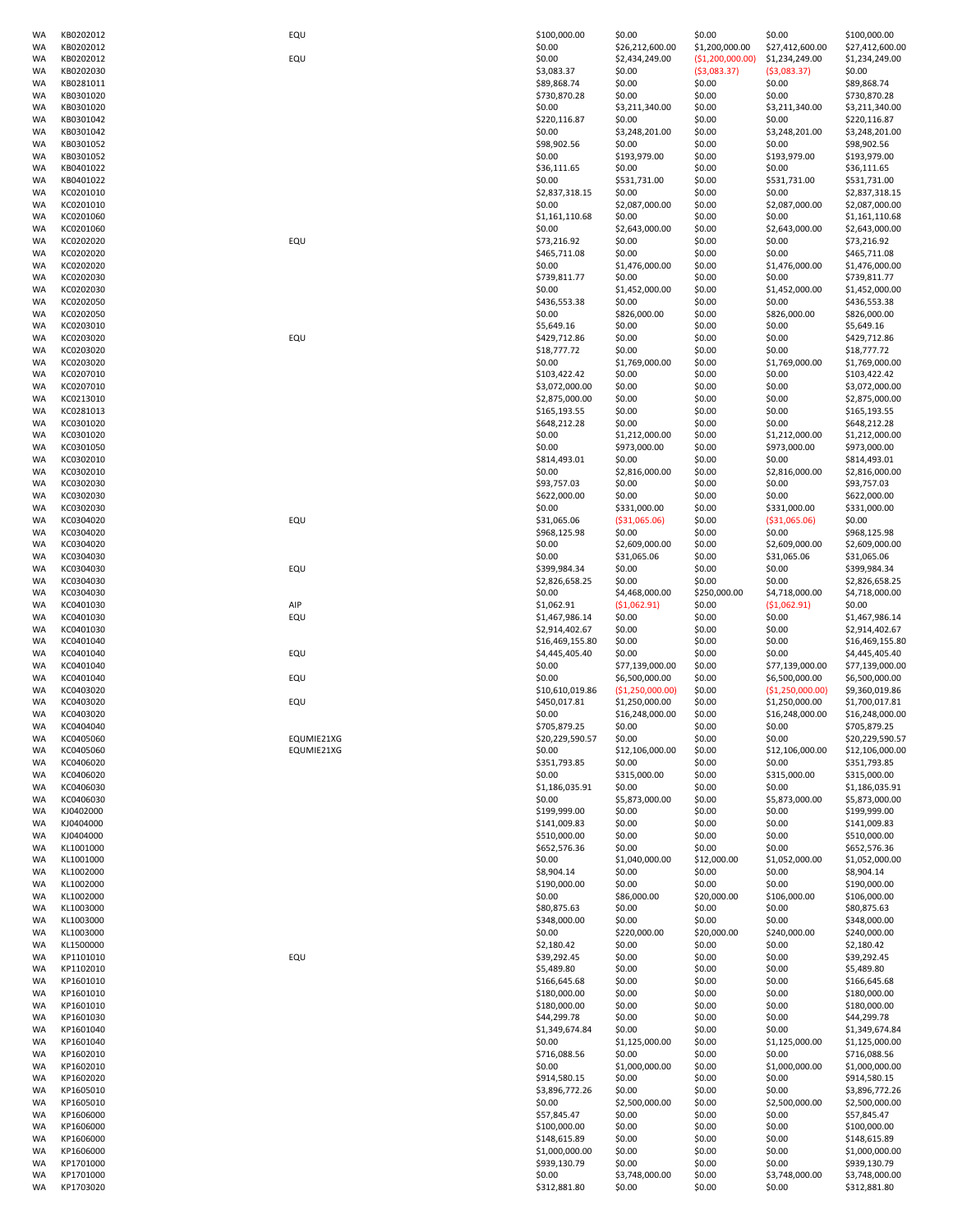| WA                     | KB0202012              | EQU        | \$100,000.00           | \$0.00                   | \$0.00            | \$0.00                   | \$100,000.00                     |
|------------------------|------------------------|------------|------------------------|--------------------------|-------------------|--------------------------|----------------------------------|
| <b>WA</b>              | KB0202012              |            | \$0.00                 | \$26,212,600.00          | \$1,200,000.00    | \$27,412,600.00          | \$27,412,600.00                  |
| <b>WA</b>              | KB0202012              | EQU        | \$0.00                 | \$2,434,249.00           | (51, 200, 000.00) | \$1,234,249.00           | \$1,234,249.00                   |
| WA                     | KB0202030              |            | \$3,083.37             | \$0.00                   | ( \$3,083.37)     | ( \$3,083.37)            | \$0.00                           |
| WA                     | KB0281011              |            | \$89,868.74            | \$0.00                   | \$0.00            | \$0.00                   | \$89,868.74                      |
| WA                     | KB0301020              |            | \$730,870.28           | \$0.00                   | \$0.00            | \$0.00                   | \$730,870.28                     |
| <b>WA</b><br><b>WA</b> | KB0301020<br>KB0301042 |            | \$0.00<br>\$220,116.87 | \$3,211,340.00<br>\$0.00 | \$0.00<br>\$0.00  | \$3,211,340.00<br>\$0.00 | \$3,211,340.00                   |
| WA                     | KB0301042              |            | \$0.00                 | \$3,248,201.00           | \$0.00            | \$3,248,201.00           | \$220,116.87<br>\$3,248,201.00   |
| WA                     | KB0301052              |            | \$98,902.56            | \$0.00                   | \$0.00            | \$0.00                   | \$98,902.56                      |
| WA                     | KB0301052              |            | \$0.00                 | \$193,979.00             | \$0.00            | \$193,979.00             | \$193,979.00                     |
|                        |                        |            |                        |                          |                   |                          |                                  |
| WA                     | KB0401022              |            | \$36,111.65            | \$0.00                   | \$0.00            | \$0.00                   | \$36,111.65                      |
| WA                     | KB0401022              |            | \$0.00                 | \$531,731.00             | \$0.00            | \$531,731.00             | \$531,731.00                     |
| WA                     | KC0201010              |            | \$2,837,318.15         | \$0.00                   | \$0.00            | \$0.00                   | \$2,837,318.15                   |
| WA                     | KC0201010              |            | \$0.00                 | \$2,087,000.00           | \$0.00            | \$2,087,000.00           | \$2,087,000.00                   |
| WA                     | KC0201060              |            | \$1,161,110.68         | \$0.00                   | \$0.00            | \$0.00                   | \$1,161,110.68                   |
| <b>WA</b>              | KC0201060              |            | \$0.00                 | \$2,643,000.00           | \$0.00            | \$2,643,000.00           | \$2,643,000.00                   |
| <b>WA</b>              | KC0202020              | EQU        | \$73,216.92            | \$0.00                   | \$0.00            | \$0.00                   | \$73,216.92                      |
| WA                     | KC0202020              |            | \$465,711.08           | \$0.00                   | \$0.00            | \$0.00                   | \$465,711.08                     |
| WA                     | KC0202020              |            | \$0.00                 | \$1,476,000.00           | \$0.00            | \$1,476,000.00           | \$1,476,000.00                   |
| WA                     | KC0202030              |            | \$739,811.77           | \$0.00                   | \$0.00            | \$0.00                   | \$739,811.77                     |
| WA                     | KC0202030              |            | \$0.00                 | \$1,452,000.00           | \$0.00            | \$1,452,000.00           | \$1,452,000.00                   |
| WA                     | KC0202050              |            | \$436,553.38           | \$0.00                   | \$0.00            | \$0.00                   | \$436,553.38                     |
| WA                     | KC0202050              |            | \$0.00                 | \$826,000.00             | \$0.00            | \$826,000.00             | \$826,000.00                     |
| WA                     | KC0203010              |            | \$5,649.16             | \$0.00                   | \$0.00            | \$0.00                   | \$5,649.16                       |
| <b>WA</b>              | KC0203020              | EQU        | \$429,712.86           | \$0.00                   | \$0.00            | \$0.00                   | \$429,712.86                     |
| <b>WA</b>              | KC0203020              |            | \$18,777.72            | \$0.00                   | \$0.00            | \$0.00                   | \$18,777.72                      |
| <b>WA</b>              | KC0203020              |            | \$0.00                 | \$1,769,000.00           | \$0.00            | \$1,769,000.00           | \$1,769,000.00                   |
| WA                     | KC0207010              |            | \$103,422.42           | \$0.00                   | \$0.00            | \$0.00                   | \$103,422.42                     |
| WA                     | KC0207010              |            | \$3,072,000.00         | \$0.00                   | \$0.00            | \$0.00                   | \$3,072,000.00                   |
| <b>WA</b>              | KC0213010              |            | \$2,875,000.00         | \$0.00                   | \$0.00            | \$0.00                   | \$2,875,000.00                   |
| WA                     | KC0281013              |            | \$165,193.55           | \$0.00                   | \$0.00            | \$0.00                   | \$165,193.55                     |
| <b>WA</b>              | KC0301020              |            | \$648,212.28           | \$0.00                   | \$0.00            | \$0.00                   | \$648,212.28                     |
| WA                     | KC0301020              |            | \$0.00                 | \$1,212,000.00           | \$0.00            | \$1,212,000.00           | \$1,212,000.00                   |
| WA                     | KC0301050              |            | \$0.00                 | \$973,000.00             | \$0.00            | \$973,000.00             | \$973,000.00                     |
| <b>WA</b>              | KC0302010              |            | \$814,493.01           | \$0.00                   | \$0.00            | \$0.00                   | \$814,493.01                     |
| <b>WA</b>              | KC0302010              |            | \$0.00                 | \$2,816,000.00           | \$0.00            | \$2,816,000.00           | \$2,816,000.00                   |
| <b>WA</b>              | KC0302030              |            | \$93,757.03            | \$0.00                   | \$0.00            | \$0.00                   | \$93,757.03                      |
|                        |                        |            |                        |                          |                   |                          |                                  |
| WA                     | KC0302030              |            | \$622,000.00           | \$0.00                   | \$0.00            | \$0.00                   | \$622,000.00                     |
| WA                     | KC0302030              |            | \$0.00                 | \$331,000.00             | \$0.00            | \$331,000.00             | \$331,000.00                     |
| <b>WA</b>              | KC0304020              | EQU        | \$31,065.06            | ( \$31,065.06)           | \$0.00            | ( \$31,065.06)           | \$0.00                           |
| WA                     | KC0304020              |            | \$968,125.98           | \$0.00                   | \$0.00            | \$0.00                   | \$968,125.98                     |
| WA                     | KC0304020              |            | \$0.00                 | \$2,609,000.00           | \$0.00            | \$2,609,000.00           | \$2,609,000.00                   |
| WA                     | KC0304030              |            | \$0.00                 | \$31,065.06              | \$0.00            | \$31,065.06              | \$31,065.06                      |
| WA                     | KC0304030              | EQU        | \$399,984.34           | \$0.00                   | \$0.00            | \$0.00                   | \$399,984.34                     |
| <b>WA</b>              | KC0304030              |            | \$2,826,658.25         | \$0.00                   | \$0.00            | \$0.00                   | \$2,826,658.25                   |
| <b>WA</b>              | KC0304030              |            | \$0.00                 | \$4,468,000.00           | \$250,000.00      | \$4,718,000.00           | \$4,718,000.00                   |
| <b>WA</b>              | KC0401030              | AIP        | \$1,062.91             | (51,062.91)              | \$0.00            | (51,062.91)              | \$0.00                           |
| WA                     | KC0401030              | EQU        | \$1,467,986.14         | \$0.00                   | \$0.00            | \$0.00                   | \$1,467,986.14                   |
| WA                     | KC0401030              |            | \$2,914,402.67         | \$0.00                   | \$0.00            | \$0.00                   | \$2,914,402.67                   |
| <b>WA</b>              | KC0401040              |            | \$16,469,155.80        | \$0.00                   | \$0.00            | \$0.00                   | \$16,469,155.80                  |
| <b>WA</b>              | KC0401040              | EQU        | \$4,445,405.40         | \$0.00                   | \$0.00            | \$0.00                   | \$4,445,405.40                   |
| WA                     | KC0401040              |            | \$0.00                 | \$77,139,000.00          | \$0.00            | \$77,139,000.00          | \$77,139,000.00                  |
| WA                     | KC0401040              | EQU        | \$0.00                 | \$6,500,000.00           | \$0.00            | \$6,500,000.00           | \$6,500,000.00                   |
| WA                     | KC0403020              |            | \$10,610,019.86        | (\$1,250,000.00)         | \$0.00            | ( \$1,250,000.00)        | \$9,360,019.86                   |
| WA                     | KC0403020              | EQU        | \$450,017.81           | \$1,250,000.00           | \$0.00            | \$1,250,000.00           | \$1,700,017.81                   |
| <b>WA</b>              | KC0403020              |            | \$0.00                 | \$16,248,000.00          | \$0.00            | \$16,248,000.00          | \$16,248,000.00                  |
| <b>WA</b>              | KC0404040              |            | \$705,879.25           | \$0.00                   | \$0.00            | \$0.00                   | \$705,879.25                     |
| WA                     | KC0405060              | EQUMIE21XG | \$20,229,590.57        | \$0.00                   | \$0.00            | \$0.00                   | \$20,229,590.57                  |
| <b>WA</b>              | KC0405060              | EQUMIE21XG | \$0.00                 | \$12,106,000.00          | \$0.00            | \$12,106,000.00          | \$12,106,000.00                  |
| <b>WA</b>              | KC0406020              |            |                        |                          | \$0.00            |                          | \$351,793.85                     |
| <b>WA</b>              | KC0406020              |            |                        |                          |                   |                          |                                  |
| <b>WA</b>              |                        |            | \$351,793.85           | \$0.00                   |                   | \$0.00                   |                                  |
| WA                     |                        |            | \$0.00                 | \$315,000.00             | \$0.00            | \$315,000.00             | \$315,000.00                     |
|                        | KC0406030              |            | \$1,186,035.91         | \$0.00                   | \$0.00            | \$0.00                   | \$1,186,035.91                   |
| WA                     | KC0406030              |            | \$0.00                 | \$5,873,000.00           | \$0.00            | \$5,873,000.00           | \$5,873,000.00                   |
|                        | KJ0402000              |            | \$199,999.00           | \$0.00                   | \$0.00            | \$0.00                   | \$199,999.00                     |
| <b>WA</b>              | KJ0404000              |            | \$141,009.83           | \$0.00                   | \$0.00            | \$0.00                   | \$141,009.83                     |
| <b>WA</b>              | KJ0404000              |            | \$510,000.00           | \$0.00                   | \$0.00            | \$0.00                   | \$510,000.00                     |
| WA                     | KL1001000              |            | \$652,576.36           | \$0.00                   | \$0.00            | \$0.00                   | \$652,576.36                     |
| WA                     | KL1001000              |            | \$0.00                 | \$1,040,000.00           | \$12,000.00       | \$1,052,000.00           | \$1,052,000.00                   |
| WA                     | KL1002000              |            | \$8,904.14             | \$0.00                   | \$0.00            | \$0.00                   | \$8,904.14                       |
| <b>WA</b>              | KL1002000              |            | \$190,000.00           | \$0.00                   | \$0.00            | \$0.00                   | \$190,000.00                     |
| <b>WA</b>              | KL1002000              |            | \$0.00                 | \$86,000.00              | \$20,000.00       | \$106,000.00             | \$106,000.00                     |
| WA                     | KL1003000              |            | \$80,875.63            | \$0.00                   | \$0.00            | \$0.00                   | \$80,875.63                      |
| WA                     | KL1003000              |            | \$348,000.00           | \$0.00                   | \$0.00            | \$0.00                   | \$348,000.00                     |
| WA                     | KL1003000              |            | \$0.00                 | \$220,000.00             | \$20,000.00       | \$240,000.00             | \$240,000.00                     |
| <b>WA</b>              | KL1500000              |            | \$2,180.42             | \$0.00                   | \$0.00            | \$0.00                   | \$2,180.42                       |
| <b>WA</b>              | KP1101010              | EQU        | \$39,292.45            | \$0.00                   | \$0.00            | \$0.00                   | \$39,292.45                      |
| WA                     | KP1102010              |            | \$5,489.80             | \$0.00                   | \$0.00            | \$0.00                   | \$5,489.80                       |
| WA                     | KP1601010              |            | \$166,645.68           | \$0.00                   | \$0.00            | \$0.00                   | \$166,645.68                     |
| WA                     | KP1601010              |            | \$180,000.00           | \$0.00                   | \$0.00            | \$0.00                   | \$180,000.00                     |
| <b>WA</b>              | KP1601010              |            | \$180,000.00           | \$0.00                   | \$0.00            | \$0.00                   | \$180,000.00                     |
| <b>WA</b>              | KP1601030              |            | \$44,299.78            | \$0.00                   | \$0.00            | \$0.00                   | \$44,299.78                      |
| WA                     | KP1601040              |            | \$1,349,674.84         | \$0.00                   | \$0.00            | \$0.00                   | \$1,349,674.84                   |
| <b>WA</b>              | KP1601040              |            | \$0.00                 | \$1,125,000.00           | \$0.00            | \$1,125,000.00           | \$1,125,000.00                   |
| WA                     | KP1602010              |            | \$716,088.56           | \$0.00                   | \$0.00            | \$0.00                   | \$716,088.56                     |
| <b>WA</b>              | KP1602010              |            | \$0.00                 | \$1,000,000.00           | \$0.00            | \$1,000,000.00           | \$1,000,000.00                   |
| <b>WA</b>              | KP1602020              |            | \$914,580.15           | \$0.00                   | \$0.00            | \$0.00                   | \$914,580.15                     |
| WA                     | KP1605010              |            | \$3,896,772.26         | \$0.00                   | \$0.00            | \$0.00                   |                                  |
| <b>WA</b>              | KP1605010              |            | \$0.00                 | \$2,500,000.00           | \$0.00            | \$2,500,000.00           | \$3,896,772.26<br>\$2,500,000.00 |
| WA                     |                        |            |                        |                          |                   |                          |                                  |
|                        | KP1606000              |            | \$57,845.47            | \$0.00                   | \$0.00            | \$0.00                   | \$57,845.47                      |
| <b>WA</b>              | KP1606000              |            | \$100,000.00           | \$0.00                   | \$0.00            | \$0.00                   | \$100,000.00                     |
| <b>WA</b>              | KP1606000              |            | \$148,615.89           | \$0.00                   | \$0.00            | \$0.00                   | \$148,615.89                     |
| WA                     | KP1606000              |            | \$1,000,000.00         | \$0.00                   | \$0.00            | \$0.00                   | \$1,000,000.00                   |
| <b>WA</b>              | KP1701000              |            | \$939,130.79           | \$0.00                   | \$0.00            | \$0.00                   | \$939,130.79                     |
| WA<br>WA               | KP1701000<br>KP1703020 |            | \$0.00<br>\$312,881.80 | \$3,748,000.00<br>\$0.00 | \$0.00<br>\$0.00  | \$3,748,000.00<br>\$0.00 | \$3,748,000.00<br>\$312,881.80   |